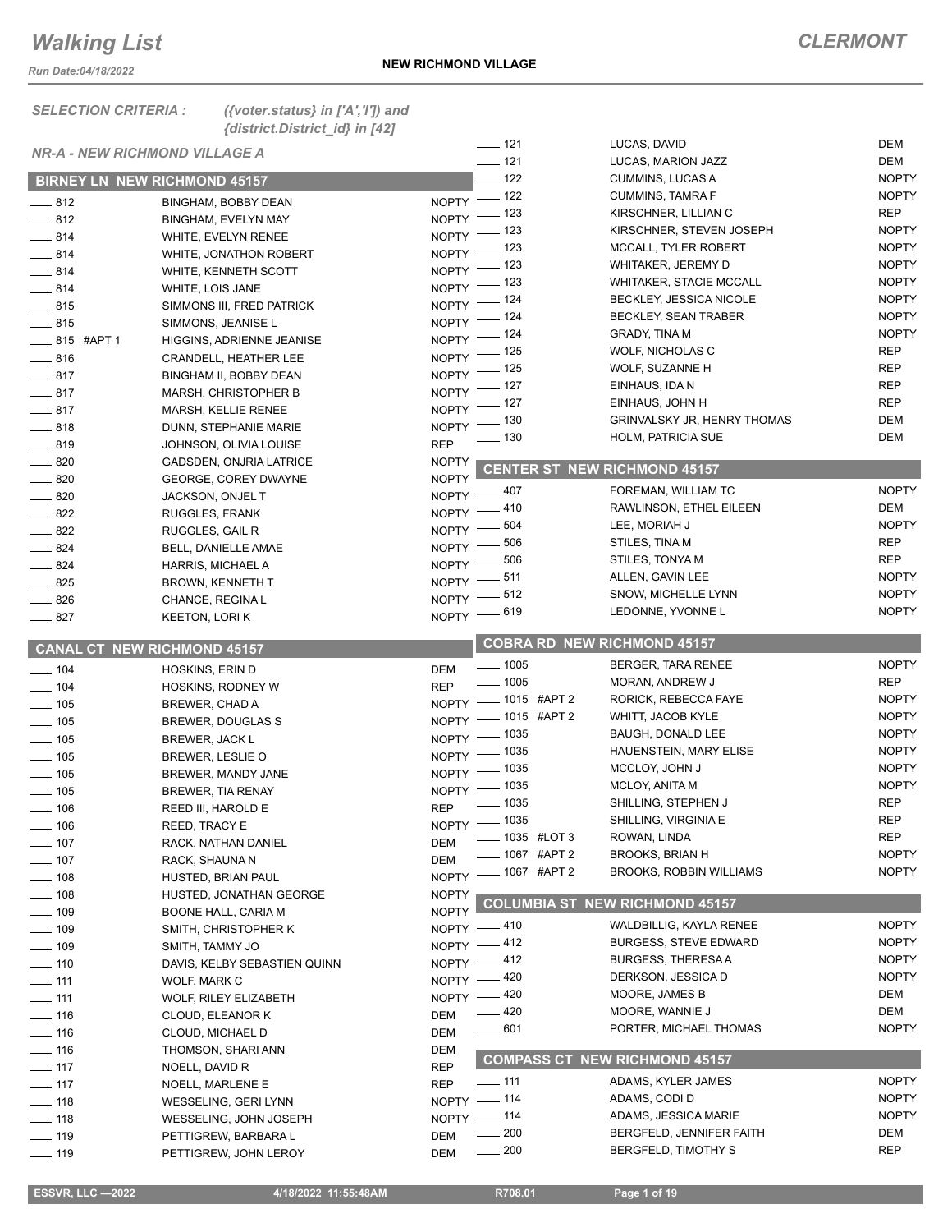*Run Date:04/18/2022*

#### *SELECTION CRITERIA : ({voter.status} in ['A','I']) and {district.District\_id} in [42] NR-A - NEW RICHMOND VILLAGE A*  **BIRNEY LN NEW RICHMOND 45157** 812 BINGHAM, BOBBY DEAN NOPTY 812 BINGHAM, EVELYN MAY NOPTY \_\_ 814 WHITE, EVELYN RENEE NOPTY <sup>IZS</sup><br>\_\_ 814 WHITE, JONATHON ROBERT NOPTY 123 814 WHITE, JONATHON ROBERT NOPTY 814 WHITE, KENNETH SCOTT NOPTY 814 WHITE, LOIS JANE NOPTY 815 SIMMONS III, FRED PATRICK NOPTY 815 SIMMONS, JEANISE L NOPTY 815 #APT 1 HIGGINS, ADRIENNE JEANISE NOPTY 816 CRANDELL, HEATHER LEE NOPTY 817 BINGHAM II, BOBBY DEAN NOPTY 817 MARSH, CHRISTOPHER B NOPTY 817 MARSH, KELLIE RENEE NOPTY LASTER BOOK BOOK BARNESS DUNN, STEPHANIE MARIE 819 JOHNSON, OLIVIA LOUISE REP 820 GADSDEN, ONJRIA LATRICE NOPTY 820 GEORGE, COREY DWAYNE NOPTY \_\_\_\_\_\_\_ 820 JACKSON, ONJEL T NOPTY <sup>407</sup><br>\_\_\_\_\_\_ 822 RUGGLES, FRANK NOPTY <sup>410</sup> 822 RUGGLES, FRANK NOPTY \_\_\_\_\_\_ 822 RUGGLES, GAIL R NOPTY <sup>\_\_\_\_\_\_ 504</sup><br>\_\_\_\_\_ 824 BELL, DANIELLE AMAE NOPTY <sup>\_\_\_\_\_\_\_ 506</sup> 824 BELL, DANIELLE AMAE NOPTY 824 HARRIS, MICHAEL A NOPTY 825 BROWN, KENNETH T NOPTY 826 CHANCE, REGINA L NOPTY  $\frac{1}{2}$  827 KEETON, LORI K  **CANAL CT NEW RICHMOND 45157** 104 HOSKINS, ERIN D \_\_\_ 104 HOSKINS, RODNEY W REP <sup>\_\_\_\_\_ 1005</sup><br>\_\_\_\_ 105 BREWER. CHAD A 1015 #APT 2 105 BREWER, CHAD A NOPTY 105 BREWER, DOUGLAS S NOPTY 105 BREWER, JACK L NOPTY 105 BREWER, LESLIE O NOPTY 105 BREWER, MANDY JANE NOPTY **105** BREWER, TIA RENAY 106 REED III, HAROLD E REP  $\Box$  106 REED, TRACY E \_\_\_\_\_ 107 RACK. NATHAN DANIEL DEM 107 RACK, SHAUNA N DEM **108** HUSTED, BRIAN PAUL \_ 108 HUSTED, JONATHAN GEORGE 109 BOONE HALL, CARIA M NOPTY \_\_\_\_ 109 SMITH, CHRISTOPHER K NOPTY <sup>\_\_\_\_\_ 410</sup><br>\_\_\_\_\_ 109 SMITH, TAMMY JO NOPTY <sup>\_\_\_\_\_</sup> 412 \_\_\_\_ 109 SMITH, TAMMY JO NOPTY <sup>\_\_\_\_\_ 412</sup><br>\_\_\_\_ 110 DAVIS, KELBY SEBASTIEN OUINN NOPTY <sup>\_\_\_\_\_</sup> 412 110 DAVIS, KELBY SEBASTIEN QUINN NOPTY 111 WOLF, MARK C NOPTY 111 WOLF, RILEY ELIZABETH \_\_\_\_\_ 116 CLOUD, ELEANOR K DEM \_\_\_\_ 116 CLOUD, MICHAEL D DEM Let 116 THOMSON, SHARI ANN DEM and 117 NOELL, DAVID R REP REP 117 NOELL, MARLENE E \_\_\_ 118 WESSELING, GERI LYNN NOPTY - 114  $\frac{118}{118}$  WESSELING, JOHN JOSEPH NOPTY -119 PETTIGREW, BARBARA L DEM **119 PETTIGREW, JOHN LEROY DEM** LUCAS, DAVID <sup>121</sup> LUCAS, MARION JAZZ DEM 122 CUMMINS, LUCAS A NOPTY  $\overline{a}$  122 CUMMINS, TAMRA F NOPTY 123 KIRSCHNER, LILLIAN C REP KIRSCHNER, STEVEN JOSEPH NOPTY MCCALL, TYLER ROBERT NOPTY WHITAKER, JEREMY D NOPTY WHITAKER, STACIE MCCALL NOPTY **BECKLEY, JESSICA NICOLE NOPTY** BECKLEY, SEAN TRABER NOPTY GRADY TINA M NOPTY 125 WOLF, NICHOLAS C REP WOLF, SUZANNE H REP 127 EINHAUS, IDA N REP **EINHAUS, JOHN H REP** GRINVALSKY JR, HENRY THOMAS DEM LACK 130 HOLM, PATRICIA SUE **EXAMPLE 130** DEM **CENTER ST NEW RICHMOND 45157** 407 FOREMAN, WILLIAM TC NOPTY RAWLINSON, ETHEL EILEEN DEM LEE, MORIAH J NOPTY STILES, TINA M REP STILES, TONYA M REP ALLEN, GAVIN LEE NOPTY SNOW, MICHELLE LYNN NOPTY LEDONNE, YVONNE L<br>NOPTY  **COBRA RD NEW RICHMOND 45157** 1005 BERGER, TARA RENEE NOPTY 1005 MORAN, ANDREW J RORICK, REBECCA FAYE NOPTY WHITT, JACOB KYLE NOPTY BAUGH, DONALD LEE NOPTY HAUENSTEIN, MARY ELISE NOPTY MCCLOY, JOHN J NOPTY MCLOY, ANITA M NOPTY 1035 SHILLING, STEPHEN J REP SHILLING, VIRGINIA E REP 1035 #LOT 3 ROWAN, LINDA REP  $\frac{1}{2}$  1067 #APT 2 BROOKS, BRIAN H NOPTY BROOKS, ROBBIN WILLIAMS NOPTY  **NOPTY** COLUMBIA ST NEW RICHMOND 45157 WALDBILLIG, KAYLA RENEE NOPTY BURGESS, STEVE EDWARD NOPTY BURGESS, THERESA A NOPTY DERKSON, JESSICA D NOPTY MOORE, JAMES B DEM 420 MOORE, WANNIE J DEM LASSED 1001 PORTER, MICHAEL THOMAS NOPTY  **COMPASS CT NEW RICHMOND 45157** 111 ADAMS, KYLER JAMES NOPTY ADAMS, CODI D NOPTY 114 ADAMS, JESSICA MARIE NOPTY 200 BERGFELD, JENNIFER FAITH DEM 200 BERGFELD, TIMOTHY S REP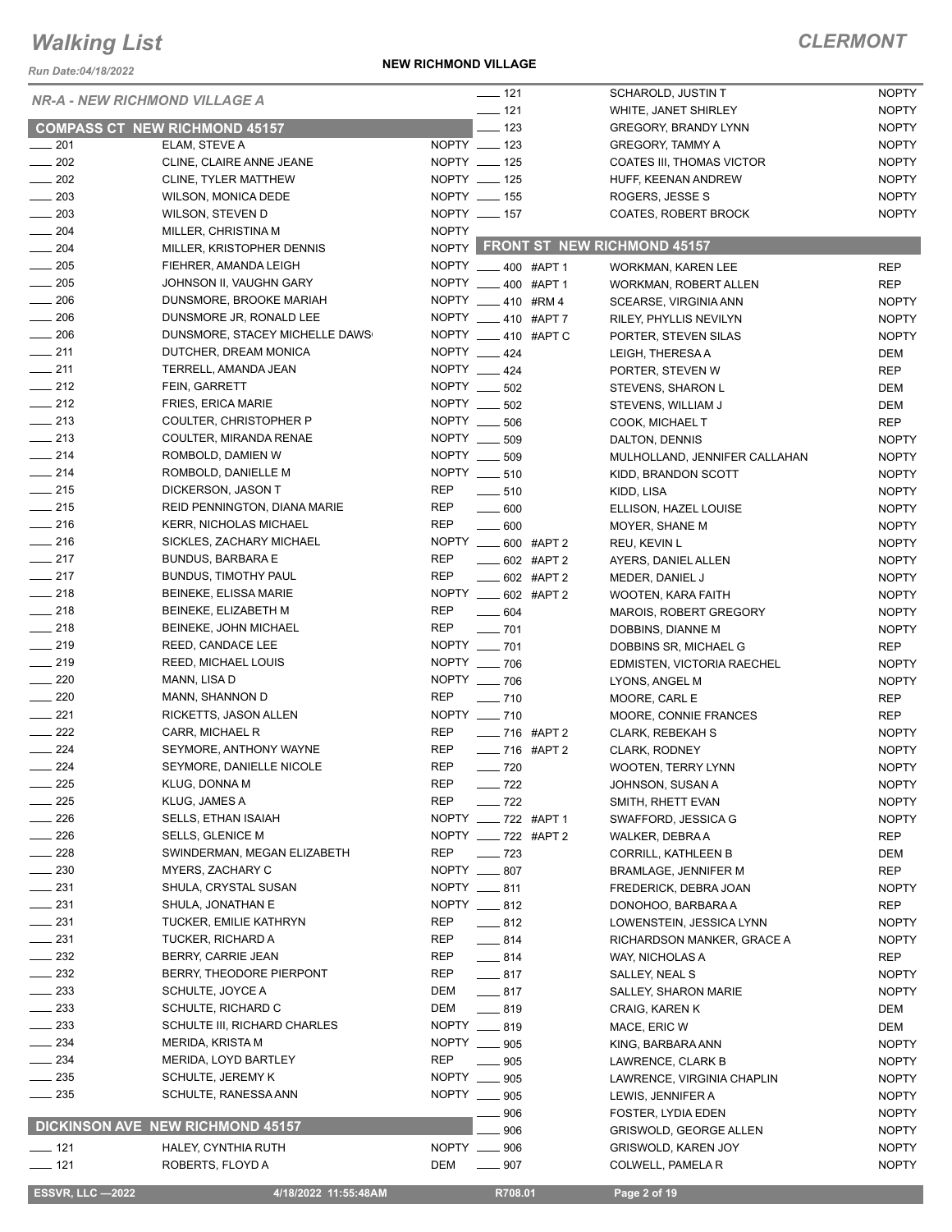*Run Date:04/18/2022*

**NEW RICHMOND VILLAGE**

|                                      |                                             |              | $\frac{1}{2}$ 121            | SCHAROLD, JUSTIN T                            | <b>NOPTY</b>                 |
|--------------------------------------|---------------------------------------------|--------------|------------------------------|-----------------------------------------------|------------------------------|
| <b>NR-A - NEW RICHMOND VILLAGE A</b> |                                             |              | $\frac{1}{2}$ 121            | WHITE, JANET SHIRLEY                          | <b>NOPTY</b>                 |
|                                      | <b>COMPASS CT NEW RICHMOND 45157</b>        |              | $\equiv$ 123                 | <b>GREGORY, BRANDY LYNN</b>                   | <b>NOPTY</b>                 |
| $-201$                               | ELAM, STEVE A                               |              | NOPTY __ 123                 | <b>GREGORY, TAMMY A</b>                       | <b>NOPTY</b>                 |
| $\sim$ 202                           | CLINE, CLAIRE ANNE JEANE                    |              | NOPTY __ 125                 | COATES III, THOMAS VICTOR                     | <b>NOPTY</b>                 |
| $\sim$ 202                           | CLINE, TYLER MATTHEW                        |              | NOPTY __ 125                 | HUFF, KEENAN ANDREW                           | <b>NOPTY</b>                 |
| 203                                  | WILSON, MONICA DEDE                         |              | NOPTY __ 155                 | ROGERS, JESSE S                               | <b>NOPTY</b>                 |
| $\frac{1}{203}$                      | WILSON, STEVEN D                            |              | NOPTY __ 157                 | COATES, ROBERT BROCK                          | <b>NOPTY</b>                 |
| $-204$                               | MILLER, CHRISTINA M                         | <b>NOPTY</b> |                              |                                               |                              |
| $\frac{1}{204}$                      | MILLER, KRISTOPHER DENNIS                   |              |                              | NOPTY FRONT ST NEW RICHMOND 45157             |                              |
| $\frac{1}{205}$                      | FIEHRER, AMANDA LEIGH                       |              | NOPTY __ 400 #APT 1          | <b>WORKMAN, KAREN LEE</b>                     | <b>REP</b>                   |
| $\frac{1}{205}$                      | JOHNSON II, VAUGHN GARY                     |              | NOPTY __ 400 #APT 1          | <b>WORKMAN, ROBERT ALLEN</b>                  | <b>REP</b>                   |
| $\frac{1}{206}$                      | DUNSMORE, BROOKE MARIAH                     |              | NOPTY 410 #RM4               | SCEARSE, VIRGINIA ANN                         | <b>NOPTY</b>                 |
| $\frac{1}{206}$                      | DUNSMORE JR, RONALD LEE                     |              | NOPTY __ 410 #APT 7          | RILEY, PHYLLIS NEVILYN                        | <b>NOPTY</b>                 |
| $\frac{1}{206}$                      | DUNSMORE, STACEY MICHELLE DAWS              |              | NOPTY __ 410 #APT C          | PORTER, STEVEN SILAS                          | <b>NOPTY</b>                 |
| $\frac{1}{211}$                      | DUTCHER, DREAM MONICA                       |              | NOPTY __ 424                 | LEIGH, THERESA A                              | DEM                          |
| $\frac{1}{211}$                      | TERRELL, AMANDA JEAN                        |              | NOPTY 424                    | PORTER, STEVEN W                              | <b>REP</b>                   |
| $\frac{1}{2}$ 212                    | FEIN, GARRETT                               |              | NOPTY ____ 502               | STEVENS, SHARON L                             | DEM                          |
| $\frac{1}{212}$                      | FRIES, ERICA MARIE                          |              | NOPTY ____ 502               | STEVENS, WILLIAM J                            | DEM                          |
| $\equiv$ 213                         | COULTER, CHRISTOPHER P                      |              | NOPTY __ 506                 | COOK, MICHAEL T                               | <b>REP</b>                   |
| $\frac{1}{213}$                      | COULTER, MIRANDA RENAE                      |              | NOPTY __ 509                 | DALTON, DENNIS                                | <b>NOPTY</b>                 |
| $\frac{1}{214}$                      | ROMBOLD, DAMIEN W                           |              | NOPTY __ 509                 | MULHOLLAND, JENNIFER CALLAHAN                 | <b>NOPTY</b>                 |
| $-214$                               | ROMBOLD, DANIELLE M                         |              | NOPTY __ 510                 | KIDD, BRANDON SCOTT                           | <b>NOPTY</b>                 |
| $\frac{1}{215}$                      | DICKERSON, JASON T                          | REP          | $-510$                       | KIDD, LISA                                    | <b>NOPTY</b>                 |
| $\frac{1}{215}$                      | REID PENNINGTON, DIANA MARIE                | REP          | $\frac{1}{2}$ 600            | ELLISON, HAZEL LOUISE                         | <b>NOPTY</b>                 |
| $\frac{1}{216}$                      | <b>KERR, NICHOLAS MICHAEL</b>               | <b>REP</b>   | $\frac{1}{2}$ 600            | MOYER, SHANE M                                | <b>NOPTY</b>                 |
| $\frac{1}{216}$                      | SICKLES, ZACHARY MICHAEL                    |              | NOPTY _____ 600 #APT 2       | REU, KEVIN L                                  | <b>NOPTY</b>                 |
| $-217$                               | <b>BUNDUS, BARBARA E</b>                    | <b>REP</b>   | $\frac{1}{2}$ 602 #APT 2     | AYERS, DANIEL ALLEN                           | <b>NOPTY</b>                 |
| $\frac{1}{217}$                      | <b>BUNDUS, TIMOTHY PAUL</b>                 | <b>REP</b>   | $-602$ #APT 2                | MEDER, DANIEL J                               | <b>NOPTY</b>                 |
| $-218$                               | BEINEKE, ELISSA MARIE                       |              | NOPTY ____ 602 #APT 2        | WOOTEN, KARA FAITH                            | <b>NOPTY</b>                 |
| $-218$                               | BEINEKE, ELIZABETH M                        | <b>REP</b>   | $\frac{1}{2}$ 604            | <b>MAROIS, ROBERT GREGORY</b>                 | <b>NOPTY</b>                 |
| $\frac{1}{218}$                      | BEINEKE, JOHN MICHAEL                       | REP          | $\sim$ 701                   | DOBBINS, DIANNE M                             | <b>NOPTY</b>                 |
| $\frac{1}{219}$                      | REED, CANDACE LEE                           |              | NOPTY __ 701                 | DOBBINS SR, MICHAEL G                         | <b>REP</b>                   |
| $\frac{1}{219}$                      | REED, MICHAEL LOUIS                         |              | NOPTY __ 706                 | EDMISTEN, VICTORIA RAECHEL                    | <b>NOPTY</b>                 |
| $\sim$ 220                           | MANN, LISA D                                |              | NOPTY __ 706                 | LYONS, ANGEL M                                | <b>NOPTY</b>                 |
| $-220$                               | MANN, SHANNON D                             | REP          | $- 710$                      | MOORE, CARL E                                 | <b>REP</b>                   |
| $\frac{1}{221}$                      | RICKETTS, JASON ALLEN                       |              | NOPTY __ 710                 | MOORE, CONNIE FRANCES                         | <b>REP</b>                   |
| $\frac{222}{2}$                      | CARR, MICHAEL R                             | REP          | -8716 #APT 2                 | CLARK, REBEKAH S                              | <b>NOPTY</b>                 |
| $\frac{224}{ }$                      | SEYMORE, ANTHONY WAYNE                      | REP          | ___ 716 #APT 2               | <b>CLARK, RODNEY</b>                          | <b>NOPTY</b>                 |
| $-224$                               | SEYMORE, DANIELLE NICOLE                    | <b>REP</b>   | $\sim$ 720                   | <b>WOOTEN, TERRY LYNN</b>                     | <b>NOPTY</b>                 |
| 225                                  | KLUG, DONNA M                               | <b>REP</b>   | $-722$                       | JOHNSON, SUSAN A                              | <b>NOPTY</b>                 |
| 225                                  | KLUG, JAMES A                               | <b>REP</b>   | $-722$                       | SMITH, RHETT EVAN                             | <b>NOPTY</b>                 |
| 226                                  | <b>SELLS, ETHAN ISAIAH</b>                  |              | NOPTY __ 722 #APT 1          | SWAFFORD, JESSICA G                           | <b>NOPTY</b>                 |
| 226                                  | <b>SELLS, GLENICE M</b>                     |              | NOPTY ___ 722 #APT 2         | WALKER, DEBRA A                               | <b>REP</b>                   |
| 228                                  | SWINDERMAN, MEGAN ELIZABETH                 | REP          | $\sim$ 723                   | CORRILL, KATHLEEN B                           | DEM                          |
| $-230$                               | MYERS, ZACHARY C                            |              | NOPTY __ 807                 | <b>BRAMLAGE, JENNIFER M</b>                   | <b>REP</b>                   |
| $-231$                               | SHULA, CRYSTAL SUSAN                        |              | NOPTY __ 811<br>NOPTY __ 812 | FREDERICK, DEBRA JOAN                         | <b>NOPTY</b>                 |
| $\frac{1}{2}$ 231                    | SHULA, JONATHAN E                           |              |                              | DONOHOO, BARBARA A                            | <b>REP</b>                   |
| $\frac{1}{2}$ 231<br>$\frac{1}{231}$ | TUCKER, EMILIE KATHRYN<br>TUCKER, RICHARD A | REP<br>REP   | $-812$                       | LOWENSTEIN, JESSICA LYNN                      | <b>NOPTY</b>                 |
| $\frac{1}{2}$ 232                    | BERRY, CARRIE JEAN                          | REP          | $-814$                       | RICHARDSON MANKER, GRACE A                    | <b>NOPTY</b>                 |
| $-232$                               | BERRY, THEODORE PIERPONT                    | REP          | $-814$<br>$-817$             | WAY, NICHOLAS A                               | REP                          |
| $-233$                               | SCHULTE, JOYCE A                            | DEM          | $-817$                       | SALLEY, NEAL S                                | <b>NOPTY</b><br><b>NOPTY</b> |
| $\sim$ 233                           | SCHULTE, RICHARD C                          | DEM          | $-819$                       | <b>SALLEY, SHARON MARIE</b><br>CRAIG, KAREN K | DEM                          |
| $-233$                               | SCHULTE III, RICHARD CHARLES                |              | NOPTY __ 819                 | MACE, ERIC W                                  | DEM                          |
| $\frac{234}{2}$                      | MERIDA, KRISTA M                            |              | NOPTY __ 905                 | KING, BARBARA ANN                             | <b>NOPTY</b>                 |
| $\frac{1}{2}$ 234                    | MERIDA, LOYD BARTLEY                        | REP          | $\frac{1}{2}$ 905            | LAWRENCE, CLARK B                             | <b>NOPTY</b>                 |
| $\frac{1}{2}$ 235                    | SCHULTE, JEREMY K                           |              | NOPTY __ 905                 | LAWRENCE, VIRGINIA CHAPLIN                    | <b>NOPTY</b>                 |
| $\frac{1}{2}$ 235                    | SCHULTE, RANESSA ANN                        |              | NOPTY __ 905                 | LEWIS, JENNIFER A                             | <b>NOPTY</b>                 |
|                                      |                                             |              | 906                          | FOSTER, LYDIA EDEN                            | <b>NOPTY</b>                 |
|                                      | DICKINSON AVE NEW RICHMOND 45157            |              | 906                          | <b>GRISWOLD, GEORGE ALLEN</b>                 | <b>NOPTY</b>                 |
| $- 121$                              | HALEY, CYNTHIA RUTH                         |              | NOPTY __ 906                 | GRISWOLD, KAREN JOY                           | <b>NOPTY</b>                 |
| $- 121$                              | ROBERTS, FLOYD A                            | DEM          | $- 907$                      | COLWELL, PAMELA R                             | <b>NOPTY</b>                 |
|                                      |                                             |              |                              |                                               |                              |
| <b>ESSVR, LLC -2022</b>              | 4/18/2022 11:55:48AM                        |              | R708.01                      | Page 2 of 19                                  |                              |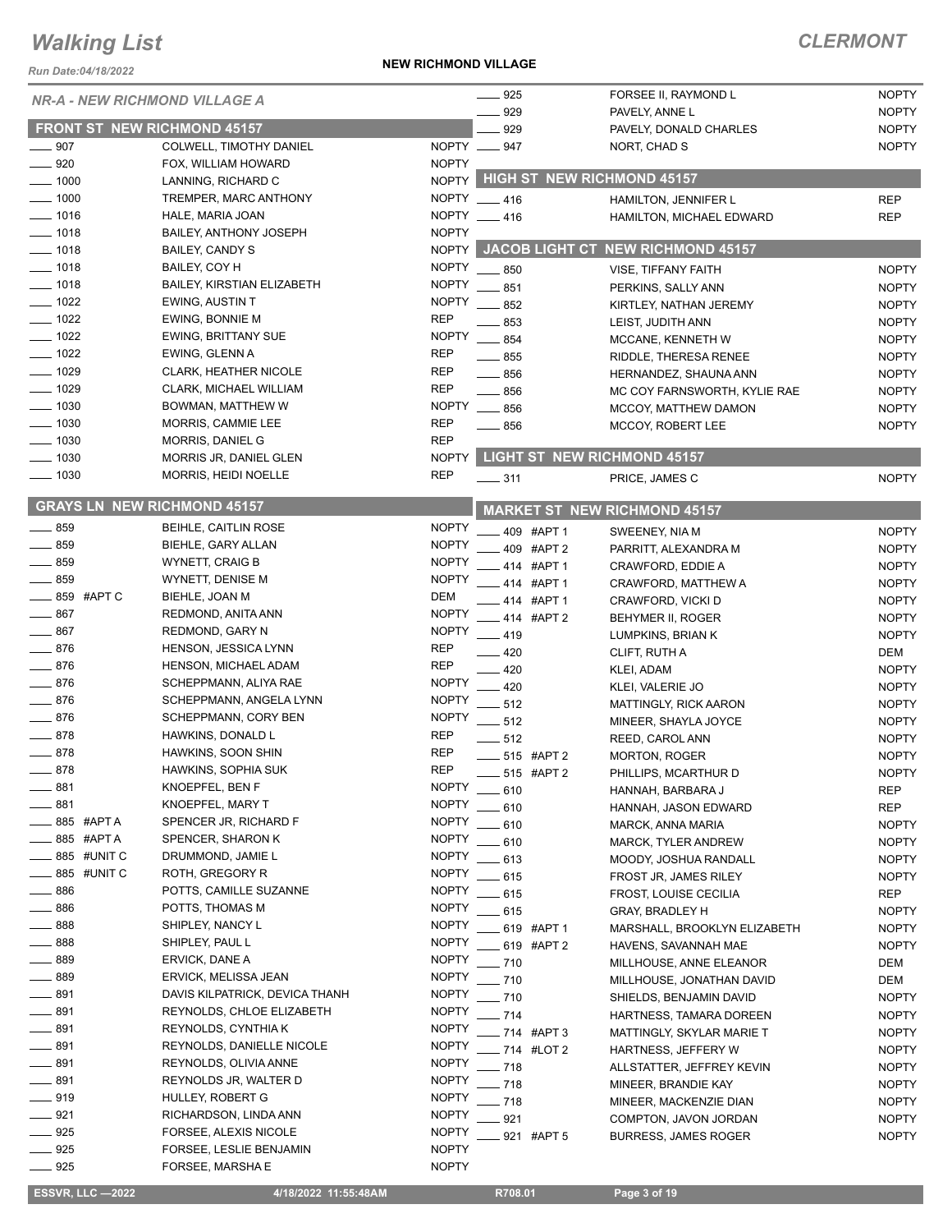*Run Date:04/18/2022*

#### **NEW RICHMOND VILLAGE**

### *CLERMONT*

| <b>NR-A - NEW RICHMOND VILLAGE A</b> |                                                             |                              | $-925$            |               | FORSEE II, RAYMOND L                    | <b>NOPTY</b> |
|--------------------------------------|-------------------------------------------------------------|------------------------------|-------------------|---------------|-----------------------------------------|--------------|
|                                      |                                                             |                              | 929               |               | PAVELY, ANNE L                          | <b>NOPTY</b> |
| <b>FRONT ST NEW RICHMOND 45157</b>   |                                                             |                              | 929               |               | PAVELY, DONALD CHARLES                  | <b>NOPTY</b> |
| $\frac{1}{2}$ 907                    | COLWELL, TIMOTHY DANIEL                                     | NOPTY __ 947                 |                   |               | NORT, CHAD S                            | <b>NOPTY</b> |
| $\equiv$ 920                         | FOX, WILLIAM HOWARD                                         | <b>NOPTY</b>                 |                   |               |                                         |              |
| $-1000$                              | LANNING, RICHARD C                                          | NOPTY                        |                   |               | <b>HIGH ST NEW RICHMOND 45157</b>       |              |
| $-1000$                              | TREMPER, MARC ANTHONY                                       | NOPTY 416                    |                   |               | HAMILTON, JENNIFER L                    | <b>REP</b>   |
| $- 1016$                             | HALE, MARIA JOAN                                            | NOPTY 416                    |                   |               | HAMILTON, MICHAEL EDWARD                | <b>REP</b>   |
| $- 1018$                             | <b>BAILEY, ANTHONY JOSEPH</b>                               | <b>NOPTY</b>                 |                   |               |                                         |              |
| $- 1018$                             | <b>BAILEY, CANDY S</b>                                      |                              |                   |               | NOPTY JACOB LIGHT CT NEW RICHMOND 45157 |              |
| $- 1018$                             | BAILEY, COY H                                               | <b>NOPTY</b>                 | $-850$            |               | VISE, TIFFANY FAITH                     | <b>NOPTY</b> |
| $- 1018$                             | BAILEY, KIRSTIAN ELIZABETH                                  | <b>NOPTY</b>                 | 851               |               | PERKINS, SALLY ANN                      | <b>NOPTY</b> |
| $- 1022$                             | <b>EWING, AUSTIN T</b>                                      | <b>NOPTY</b>                 | 852               |               | KIRTLEY, NATHAN JEREMY                  | <b>NOPTY</b> |
| $- 1022$                             | EWING, BONNIE M                                             | <b>REP</b>                   | 853               |               | LEIST, JUDITH ANN                       | <b>NOPTY</b> |
| $- 1022$                             | <b>EWING, BRITTANY SUE</b>                                  | <b>NOPTY</b>                 | $-854$            |               | MCCANE, KENNETH W                       | <b>NOPTY</b> |
| $- 1022$                             | EWING, GLENN A                                              | <b>REP</b>                   | $\equiv$ 855      |               | RIDDLE, THERESA RENEE                   | <b>NOPTY</b> |
| $\frac{1029}{2}$                     | <b>CLARK, HEATHER NICOLE</b>                                | <b>REP</b>                   | $-856$            |               | HERNANDEZ, SHAUNA ANN                   | <b>NOPTY</b> |
| $- 1029$                             | CLARK, MICHAEL WILLIAM                                      | <b>REP</b>                   | $-856$            |               | MC COY FARNSWORTH, KYLIE RAE            | <b>NOPTY</b> |
| $- 1030$                             | BOWMAN, MATTHEW W                                           | <b>NOPTY</b>                 | $\frac{1}{2}$ 856 |               | MCCOY, MATTHEW DAMON                    | <b>NOPTY</b> |
| $- 1030$                             | MORRIS, CAMMIE LEE                                          | <b>REP</b>                   | $-856$            |               | MCCOY, ROBERT LEE                       | <b>NOPTY</b> |
| $- 1030$                             | <b>MORRIS, DANIEL G</b>                                     | <b>REP</b>                   |                   |               |                                         |              |
| $- 1030$                             | MORRIS JR, DANIEL GLEN                                      | <b>NOPTY</b>                 |                   |               | <b>LIGHT ST NEW RICHMOND 45157</b>      |              |
| $- 1030$                             | MORRIS, HEIDI NOELLE                                        | <b>REP</b>                   | $\frac{1}{2}$ 311 |               | PRICE, JAMES C                          | <b>NOPTY</b> |
| <b>GRAYS LN NEW RICHMOND 45157</b>   |                                                             |                              |                   |               | <b>MARKET ST NEW RICHMOND 45157</b>     |              |
| $-859$                               | BEIHLE, CAITLIN ROSE                                        | <b>NOPTY</b>                 |                   | 409 #APT 1    | SWEENEY, NIA M                          | <b>NOPTY</b> |
| 859                                  | BIEHLE, GARY ALLAN                                          | <b>NOPTY</b>                 |                   | 409 #APT 2    | PARRITT, ALEXANDRA M                    | <b>NOPTY</b> |
| $-859$                               | <b>WYNETT, CRAIG B</b>                                      | <b>NOPTY</b>                 |                   | 414 #APT 1    | CRAWFORD, EDDIE A                       | <b>NOPTY</b> |
| $-859$                               | WYNETT, DENISE M                                            | <b>NOPTY</b>                 |                   | 414 #APT 1    | CRAWFORD, MATTHEW A                     | <b>NOPTY</b> |
| $\_\_\_\$ 859 #APTC                  | BIEHLE, JOAN M                                              | DEM                          |                   | 414 #APT 1    | CRAWFORD, VICKI D                       | <b>NOPTY</b> |
| $-867$                               | REDMOND, ANITA ANN                                          | <b>NOPTY</b>                 |                   | 414 #APT 2    | BEHYMER II, ROGER                       | <b>NOPTY</b> |
| $-867$                               | REDMOND, GARY N                                             | <b>NOPTY</b>                 | $-419$            |               | LUMPKINS, BRIAN K                       | <b>NOPTY</b> |
| $-876$                               | HENSON, JESSICA LYNN                                        | <b>REP</b>                   | $-420$            |               | CLIFT, RUTH A                           | DEM          |
| $= 876$                              | HENSON, MICHAEL ADAM                                        | <b>REP</b>                   | 420               |               | KLEI, ADAM                              | <b>NOPTY</b> |
| $-876$                               | SCHEPPMANN, ALIYA RAE                                       | <b>NOPTY</b>                 | .420              |               | KLEI, VALERIE JO                        | <b>NOPTY</b> |
| $-876$                               | SCHEPPMANN, ANGELA LYNN                                     | <b>NOPTY</b>                 | 512               |               | <b>MATTINGLY, RICK AARON</b>            | <b>NOPTY</b> |
| $-876$                               | SCHEPPMANN, CORY BEN                                        | <b>NOPTY</b>                 | $-512$            |               | MINEER, SHAYLA JOYCE                    | <b>NOPTY</b> |
| $-878$                               | HAWKINS, DONALD L                                           | <b>REP</b>                   | $-512$            |               | REED, CAROL ANN                         | <b>NOPTY</b> |
| $-878$                               | HAWKINS, SOON SHIN                                          | <b>REP</b>                   |                   | $-515$ #APT 2 | <b>MORTON, ROGER</b>                    | <b>NOPTY</b> |
| 878                                  | HAWKINS, SOPHIA SUK                                         | <b>REP</b>                   |                   | 515 #APT 2    | PHILLIPS, MCARTHUR D                    | <b>NOPTY</b> |
| 881                                  | KNOEPFEL, BEN F                                             | <b>NOPTY</b>                 | $-610$            |               | HANNAH, BARBARA J                       | <b>REP</b>   |
| 881                                  | KNOEPFEL, MARY T                                            | <b>NOPTY</b>                 | 610               |               | HANNAH, JASON EDWARD                    | <b>REP</b>   |
| 885 #APT A                           | SPENCER JR, RICHARD F                                       | <b>NOPTY</b>                 | 610               |               | MARCK, ANNA MARIA                       | <b>NOPTY</b> |
| 885 #APT A                           | SPENCER, SHARON K                                           | <b>NOPTY</b>                 | . 610             |               | <b>MARCK, TYLER ANDREW</b>              | <b>NOPTY</b> |
| 885 #UNIT C                          | DRUMMOND, JAMIE L                                           | <b>NOPTY</b>                 | $= 613$           |               | MOODY, JOSHUA RANDALL                   | <b>NOPTY</b> |
| ____885 #UNIT C                      | ROTH, GREGORY R                                             | <b>NOPTY</b>                 | - 615             |               | FROST JR, JAMES RILEY                   | <b>NOPTY</b> |
| $-886$                               | POTTS, CAMILLE SUZANNE                                      | <b>NOPTY</b>                 | $=615$            |               | FROST, LOUISE CECILIA                   | REP          |
| 886                                  | POTTS, THOMAS M                                             | <b>NOPTY</b>                 | $-615$            |               | <b>GRAY, BRADLEY H</b>                  | <b>NOPTY</b> |
| $-888$                               | SHIPLEY, NANCY L                                            | <b>NOPTY</b>                 |                   | 619 #APT 1    | MARSHALL, BROOKLYN ELIZABETH            | <b>NOPTY</b> |
| 888                                  | SHIPLEY, PAUL L                                             | <b>NOPTY</b>                 |                   | 619 #APT 2    | HAVENS, SAVANNAH MAE                    | <b>NOPTY</b> |
| 889                                  | ERVICK, DANE A                                              | <b>NOPTY</b>                 | $-710$            |               | MILLHOUSE, ANNE ELEANOR                 | DEM          |
| 889<br>891                           | ERVICK, MELISSA JEAN                                        | <b>NOPTY</b><br><b>NOPTY</b> | $-710$            |               | MILLHOUSE, JONATHAN DAVID               | DEM          |
| 891                                  | DAVIS KILPATRICK, DEVICA THANH<br>REYNOLDS, CHLOE ELIZABETH | <b>NOPTY</b>                 | $-710$            |               | SHIELDS, BENJAMIN DAVID                 | <b>NOPTY</b> |
| 891                                  | REYNOLDS, CYNTHIA K                                         | <b>NOPTY</b>                 | $-714$            |               | HARTNESS, TAMARA DOREEN                 | <b>NOPTY</b> |
| 891                                  | REYNOLDS, DANIELLE NICOLE                                   | <b>NOPTY</b>                 |                   | $-714$ #APT 3 | MATTINGLY, SKYLAR MARIE T               | <b>NOPTY</b> |
| 891                                  | REYNOLDS, OLIVIA ANNE                                       | <b>NOPTY</b>                 |                   | _ 714 #LOT 2  | HARTNESS, JEFFERY W                     | <b>NOPTY</b> |
| 891                                  | REYNOLDS JR, WALTER D                                       | <b>NOPTY</b>                 | $-718$            |               | ALLSTATTER, JEFFREY KEVIN               | <b>NOPTY</b> |
| ____ 919                             | HULLEY, ROBERT G                                            | <b>NOPTY</b>                 | $-718$            |               | MINEER, BRANDIE KAY                     | <b>NOPTY</b> |
| $-921$                               | RICHARDSON, LINDA ANN                                       | <b>NOPTY</b>                 | $-718$            |               | MINEER, MACKENZIE DIAN                  | <b>NOPTY</b> |
| $-925$                               | FORSEE, ALEXIS NICOLE                                       | <b>NOPTY</b>                 | 921               |               | COMPTON, JAVON JORDAN                   | <b>NOPTY</b> |
| $-925$                               | FORSEE, LESLIE BENJAMIN                                     | <b>NOPTY</b>                 |                   | 921 #APT 5    | <b>BURRESS, JAMES ROGER</b>             | <b>NOPTY</b> |
| $-925$                               | FORSEE, MARSHA E                                            | <b>NOPTY</b>                 |                   |               |                                         |              |
|                                      |                                                             |                              |                   |               |                                         |              |

**ESSVR, LLC -2022 4/18/2022 11:55:48AM** R708.01 **Page 3 of 19**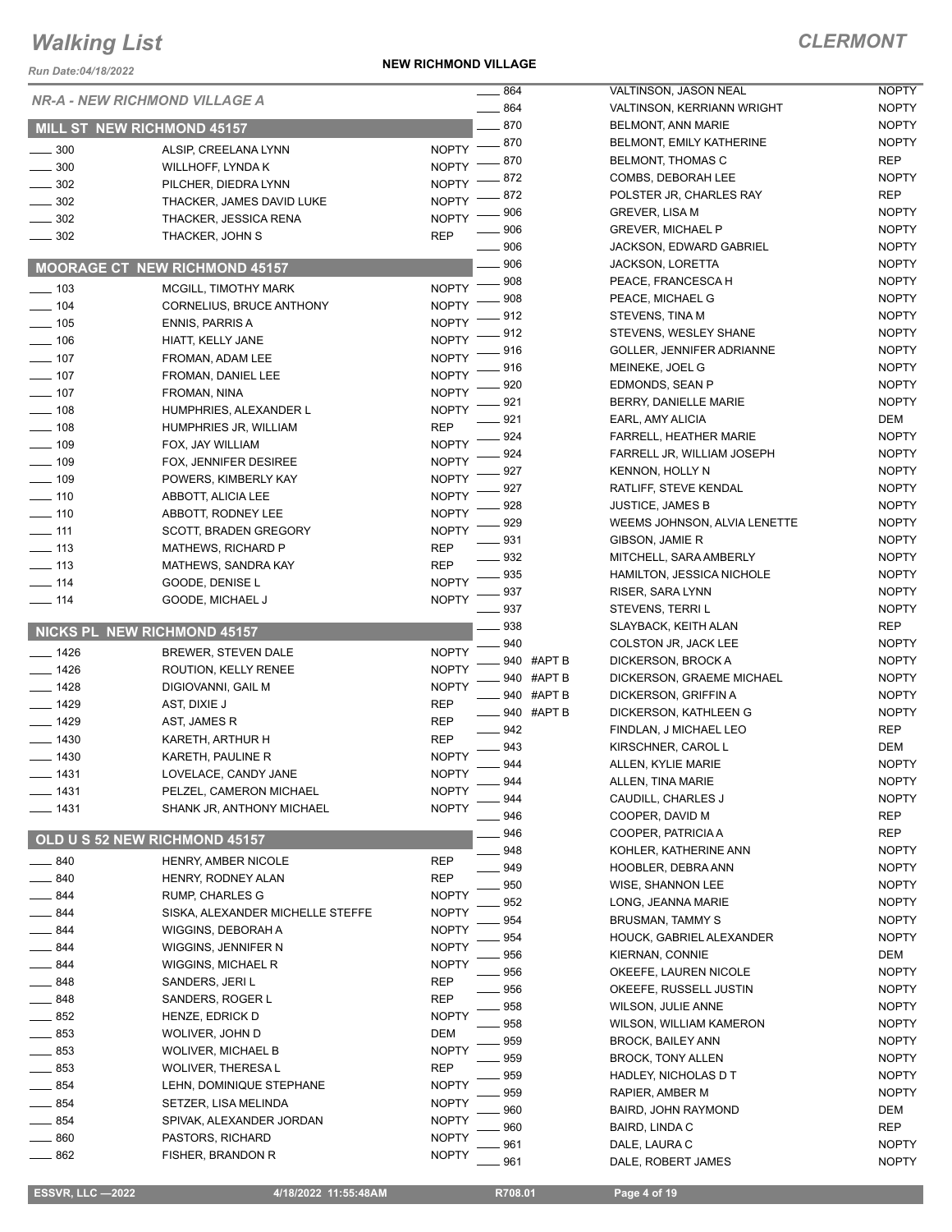*Run Date:04/18/2022*

**NEW RICHMOND VILLAGE**

|                   |                                      | 864                    | VALTINSON, JASON NEAL                   | <b>NOPTY</b> |
|-------------------|--------------------------------------|------------------------|-----------------------------------------|--------------|
|                   | <b>NR-A - NEW RICHMOND VILLAGE A</b> | $-864$                 | <b>VALTINSON, KERRIANN WRIGHT</b>       | <b>NOPTY</b> |
|                   | <b>MILL ST NEW RICHMOND 45157</b>    | $-870$                 | <b>BELMONT, ANN MARIE</b>               | <b>NOPTY</b> |
| $\frac{1}{2}$ 300 | ALSIP, CREELANA LYNN                 | $-870$<br><b>NOPTY</b> | <b>BELMONT, EMILY KATHERINE</b>         | <b>NOPTY</b> |
| $\frac{1}{2}$ 300 | WILLHOFF, LYNDA K                    | 870<br><b>NOPTY</b>    | BELMONT, THOMAS C                       | <b>REP</b>   |
|                   |                                      | 872<br><b>NOPTY</b>    | COMBS, DEBORAH LEE                      | <b>NOPTY</b> |
| $\frac{1}{2}$ 302 | PILCHER, DIEDRA LYNN                 | 872                    | POLSTER JR, CHARLES RAY                 | <b>REP</b>   |
| $\frac{1}{2}$ 302 | THACKER, JAMES DAVID LUKE            | <b>NOPTY</b><br>906    | <b>GREVER, LISA M</b>                   | <b>NOPTY</b> |
| $\frac{1}{2}$ 302 | THACKER, JESSICA RENA                | <b>NOPTY</b><br>906    | <b>GREVER, MICHAEL P</b>                | <b>NOPTY</b> |
| $- 302$           | THACKER, JOHN S                      | <b>REP</b><br>$-906$   | <b>JACKSON, EDWARD GABRIEL</b>          | <b>NOPTY</b> |
|                   |                                      | 906                    | <b>JACKSON, LORETTA</b>                 | <b>NOPTY</b> |
|                   | <b>MOORAGE CT NEW RICHMOND 45157</b> | $-908$                 | PEACE, FRANCESCA H                      | <b>NOPTY</b> |
| $\frac{1}{2}$ 103 | <b>MCGILL, TIMOTHY MARK</b>          | <b>NOPTY</b><br>908    | PEACE, MICHAEL G                        | <b>NOPTY</b> |
| $- 104$           | CORNELIUS, BRUCE ANTHONY             | <b>NOPTY</b>           |                                         |              |
| $\frac{1}{2}$ 105 | <b>ENNIS, PARRIS A</b>               | 912<br><b>NOPTY</b>    | STEVENS, TINA M                         | <b>NOPTY</b> |
| $\frac{1}{2}$ 106 | HIATT, KELLY JANE                    | .912<br><b>NOPTY</b>   | STEVENS, WESLEY SHANE                   | <b>NOPTY</b> |
| $- 107$           | FROMAN, ADAM LEE                     | 916<br><b>NOPTY</b>    | <b>GOLLER, JENNIFER ADRIANNE</b>        | <b>NOPTY</b> |
| $- 107$           | FROMAN, DANIEL LEE                   | 916<br><b>NOPTY</b>    | MEINEKE, JOEL G                         | <b>NOPTY</b> |
| $\frac{1}{2}$ 107 | FROMAN, NINA                         | 920<br><b>NOPTY</b>    | EDMONDS, SEAN P                         | <b>NOPTY</b> |
| $\frac{1}{2}$ 108 | HUMPHRIES, ALEXANDER L               | 921<br><b>NOPTY</b>    | BERRY, DANIELLE MARIE                   | <b>NOPTY</b> |
| $\frac{1}{2}$ 108 | HUMPHRIES JR, WILLIAM                | 921<br><b>REP</b>      | EARL, AMY ALICIA                        | DEM          |
| $\frac{1}{2}$ 109 | FOX, JAY WILLIAM                     | 924<br><b>NOPTY</b>    | <b>FARRELL, HEATHER MARIE</b>           | <b>NOPTY</b> |
| $- 109$           | FOX, JENNIFER DESIREE                | 924<br><b>NOPTY</b>    | FARRELL JR, WILLIAM JOSEPH              | <b>NOPTY</b> |
| $- 109$           | POWERS, KIMBERLY KAY                 | 927<br><b>NOPTY</b>    | <b>KENNON, HOLLY N</b>                  | <b>NOPTY</b> |
| $- 110$           |                                      | 927<br><b>NOPTY</b>    | RATLIFF, STEVE KENDAL                   | <b>NOPTY</b> |
|                   | ABBOTT, ALICIA LEE                   | 928<br><b>NOPTY</b>    | <b>JUSTICE, JAMES B</b>                 | <b>NOPTY</b> |
| $- 110$           | ABBOTT, RODNEY LEE                   | 929                    | WEEMS JOHNSON, ALVIA LENETTE            | <b>NOPTY</b> |
| $- 111$           | SCOTT, BRADEN GREGORY                | <b>NOPTY</b><br>931    | GIBSON, JAMIE R                         | <b>NOPTY</b> |
| $\frac{1}{2}$ 113 | MATHEWS, RICHARD P                   | <b>REP</b><br>$-932$   | MITCHELL, SARA AMBERLY                  | <b>NOPTY</b> |
| $\frac{1}{2}$ 113 | <b>MATHEWS, SANDRA KAY</b>           | <b>REP</b><br>$= 935$  | HAMILTON, JESSICA NICHOLE               | <b>NOPTY</b> |
| $\frac{1}{2}$ 114 | GOODE, DENISE L                      | <b>NOPTY</b><br>937    | RISER, SARA LYNN                        | <b>NOPTY</b> |
| $\frac{1}{2}$ 114 | GOODE, MICHAEL J                     | <b>NOPTY</b><br>_ 937  | STEVENS, TERRI L                        | <b>NOPTY</b> |
|                   |                                      | 938                    | SLAYBACK, KEITH ALAN                    | <b>REP</b>   |
|                   | NICKS PL NEW RICHMOND 45157          | 940                    | COLSTON JR, JACK LEE                    | <b>NOPTY</b> |
| $- 1426$          | BREWER, STEVEN DALE                  | <b>NOPTY</b>           | 940 #APT B<br>DICKERSON, BROCK A        | <b>NOPTY</b> |
| $- 1426$          | ROUTION, KELLY RENEE                 | <b>NOPTY</b>           | 940 #APT B<br>DICKERSON, GRAEME MICHAEL | <b>NOPTY</b> |
| $- 1428$          | DIGIOVANNI, GAIL M                   | <b>NOPTY</b>           | 940 #APT B<br>DICKERSON, GRIFFIN A      | <b>NOPTY</b> |
| $- 1429$          | AST, DIXIE J                         | <b>REP</b>             | 940 #APT B                              |              |
| $- 1429$          | AST, JAMES R                         | <b>REP</b><br>$-942$   | DICKERSON, KATHLEEN G                   | <b>NOPTY</b> |
| $- 1430$          | KARETH, ARTHUR H                     | <b>REP</b>             | FINDLAN, J MICHAEL LEO                  | <b>REP</b>   |
| $- 1430$          | KARETH, PAULINE R                    | 943<br><b>NOPTY</b>    | KIRSCHNER, CAROL L                      | DEM          |
| 1431              | LOVELACE, CANDY JANE                 | 944<br><b>NOPTY</b>    | ALLEN, KYLIE MARIE                      | <b>NOPTY</b> |
| ___ 1431          | PELZEL, CAMERON MICHAEL              | 944<br><b>NOPTY</b>    | ALLEN, TINA MARIE                       | <b>NOPTY</b> |
| $- 1431$          | SHANK JR, ANTHONY MICHAEL            | 944<br><b>NOPTY</b>    | CAUDILL, CHARLES J                      | <b>NOPTY</b> |
|                   |                                      | 946                    | COOPER, DAVID M                         | REP          |
|                   | OLD U S 52 NEW RICHMOND 45157        | 946                    | COOPER, PATRICIA A                      | <b>REP</b>   |
|                   |                                      | 948                    | KOHLER, KATHERINE ANN                   | <b>NOPTY</b> |
| 840               | HENRY, AMBER NICOLE                  | REP<br>949             | HOOBLER, DEBRA ANN                      | <b>NOPTY</b> |
| 840               | HENRY, RODNEY ALAN                   | <b>REP</b><br>950      | WISE, SHANNON LEE                       | <b>NOPTY</b> |
| 844               | RUMP, CHARLES G                      | <b>NOPTY</b><br>952    | LONG, JEANNA MARIE                      | <b>NOPTY</b> |
| 844               | SISKA, ALEXANDER MICHELLE STEFFE     | <b>NOPTY</b><br>954    | <b>BRUSMAN, TAMMY S</b>                 | <b>NOPTY</b> |
| 844               | WIGGINS, DEBORAH A                   | <b>NOPTY</b><br>954    | HOUCK, GABRIEL ALEXANDER                | <b>NOPTY</b> |
| 844               | WIGGINS, JENNIFER N                  | <b>NOPTY</b><br>956    | KIERNAN, CONNIE                         | DEM          |
| 844               | WIGGINS, MICHAEL R                   | <b>NOPTY</b><br>956    | OKEEFE, LAUREN NICOLE                   | <b>NOPTY</b> |
| 848               | SANDERS, JERI L                      | REP<br>956             | OKEEFE, RUSSELL JUSTIN                  | <b>NOPTY</b> |
| 848               | SANDERS, ROGER L                     | <b>REP</b><br>958      | WILSON, JULIE ANNE                      | <b>NOPTY</b> |
| 852               | HENZE, EDRICK D                      | <b>NOPTY</b><br>958    | WILSON, WILLIAM KAMERON                 | <b>NOPTY</b> |
| 853               | WOLIVER, JOHN D                      | <b>DEM</b>             |                                         | <b>NOPTY</b> |
| 853               | WOLIVER, MICHAEL B                   | 959<br><b>NOPTY</b>    | <b>BROCK, BAILEY ANN</b>                |              |
| 853               | <b>WOLIVER, THERESA L</b>            | 959<br><b>REP</b>      | <b>BROCK, TONY ALLEN</b>                | <b>NOPTY</b> |
| 854               | LEHN, DOMINIQUE STEPHANE             | 959<br><b>NOPTY</b>    | HADLEY, NICHOLAS D T                    | <b>NOPTY</b> |
| 854               | SETZER, LISA MELINDA                 | 959<br><b>NOPTY</b>    | RAPIER, AMBER M                         | <b>NOPTY</b> |
| 854               | SPIVAK, ALEXANDER JORDAN             | 960<br><b>NOPTY</b>    | BAIRD, JOHN RAYMOND                     | DEM          |
| 860               | PASTORS, RICHARD                     | 960<br><b>NOPTY</b>    | BAIRD, LINDA C                          | REP          |
|                   |                                      | 961                    | DALE, LAURA C                           | <b>NOPTY</b> |
| 862               | FISHER, BRANDON R                    | <b>NOPTY</b><br>961    |                                         | <b>NOPTY</b> |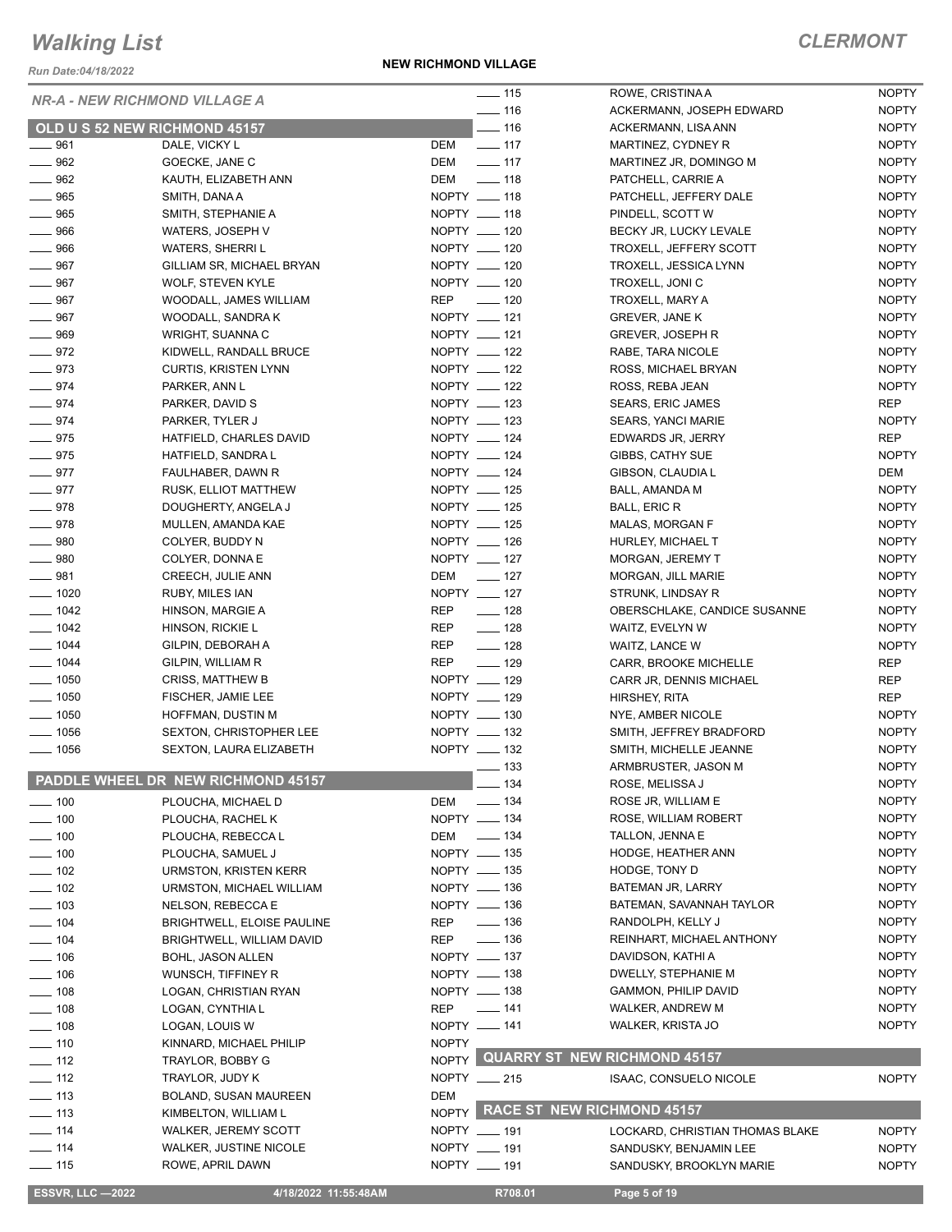*Run Date:04/18/2022*

**NEW RICHMOND VILLAGE**

| <b>NR-A - NEW RICHMOND VILLAGE A</b><br>$- 116$<br><b>NOPTY</b><br>ACKERMANN, JOSEPH EDWARD<br>$- 116$<br><b>NOPTY</b><br>OLD U S 52 NEW RICHMOND 45157<br>ACKERMANN, LISA ANN<br>$- 961$<br>DEM<br>$\frac{1}{2}$ 117<br><b>NOPTY</b><br>DALE, VICKY L<br>MARTINEZ, CYDNEY R<br>$\frac{1}{2}$ 117<br>$\frac{1}{2}$ 962<br>GOECKE, JANE C<br>DEM<br><b>NOPTY</b><br>MARTINEZ JR, DOMINGO M<br>$\frac{1}{2}$ 962<br>$- 118$<br>KAUTH, ELIZABETH ANN<br>DEM<br><b>NOPTY</b><br>PATCHELL, CARRIE A<br>NOPTY __ 118<br>$- 965$<br><b>NOPTY</b><br>SMITH, DANA A<br>PATCHELL, JEFFERY DALE<br>NOPTY __ 118<br>$\frac{1}{2}$ 965<br><b>NOPTY</b><br>SMITH, STEPHANIE A<br>PINDELL, SCOTT W<br>$- 966$<br>NOPTY __ 120<br><b>NOPTY</b><br>WATERS, JOSEPH V<br>BECKY JR, LUCKY LEVALE<br>NOPTY __ 120<br><b>NOPTY</b><br>$- 966$<br><b>WATERS, SHERRIL</b><br>TROXELL, JEFFERY SCOTT<br>NOPTY __ 120<br>$- 967$<br>GILLIAM SR, MICHAEL BRYAN<br>TROXELL, JESSICA LYNN<br><b>NOPTY</b><br>NOPTY __ 120<br>$- 967$<br><b>NOPTY</b><br><b>WOLF, STEVEN KYLE</b><br>TROXELL, JONI C<br>REP __ 120<br>$- 967$<br><b>NOPTY</b><br>WOODALL, JAMES WILLIAM<br>TROXELL, MARY A<br>NOPTY __ 121<br>$- 967$<br><b>NOPTY</b><br>WOODALL, SANDRA K<br>GREVER, JANE K<br>NOPTY __ 121<br>$- 969$<br><b>NOPTY</b><br>WRIGHT, SUANNA C<br><b>GREVER, JOSEPH R</b><br>$-972$<br>NOPTY __ 122<br>KIDWELL, RANDALL BRUCE<br><b>NOPTY</b><br>RABE, TARA NICOLE<br>$- 973$<br>NOPTY __ 122<br><b>NOPTY</b><br><b>CURTIS, KRISTEN LYNN</b><br>ROSS, MICHAEL BRYAN<br>$-974$<br>NOPTY __ 122<br><b>NOPTY</b><br>PARKER, ANN L<br>ROSS, REBA JEAN<br>NOPTY __ 123<br>$-974$<br><b>REP</b><br>PARKER, DAVID S<br><b>SEARS, ERIC JAMES</b><br>NOPTY __ 123<br>$- 974$<br><b>NOPTY</b><br>PARKER, TYLER J<br>SEARS, YANCI MARIE<br>$- 975$<br>NOPTY __ 124<br>HATFIELD, CHARLES DAVID<br><b>REP</b><br>EDWARDS JR, JERRY<br>$- 975$<br>NOPTY __ 124<br><b>NOPTY</b><br>HATFIELD, SANDRA L<br>GIBBS, CATHY SUE<br>$-977$<br>NOPTY __ 124<br>FAULHABER, DAWN R<br>GIBSON, CLAUDIA L<br>DEM<br>$-977$<br>NOPTY __ 125<br><b>NOPTY</b><br>RUSK, ELLIOT MATTHEW<br>BALL, AMANDA M<br>NOPTY __ 125<br>$- 978$<br><b>NOPTY</b><br>DOUGHERTY, ANGELA J<br><b>BALL, ERIC R</b><br>NOPTY __ 125<br>$-978$<br>MULLEN, AMANDA KAE<br><b>NOPTY</b><br><b>MALAS, MORGAN F</b><br>NOPTY __ 126<br>$- 980$<br><b>NOPTY</b><br>COLYER, BUDDY N<br>HURLEY, MICHAEL T<br>NOPTY __ 127<br>$- 980$<br><b>NOPTY</b><br>COLYER, DONNA E<br>MORGAN, JEREMY T<br>DEM __ 127<br><b>NOPTY</b><br>CREECH, JULIE ANN<br>MORGAN, JILL MARIE<br>NOPTY __ 127<br>$\frac{1}{2}$ 1020<br><b>NOPTY</b><br><b>RUBY, MILES IAN</b><br>STRUNK, LINDSAY R<br><b>REP</b><br>$- 1042$<br>HINSON, MARGIE A<br>$\frac{1}{2}$ 128<br><b>NOPTY</b><br>OBERSCHLAKE, CANDICE SUSANNE<br>$- 128$<br>$- 1042$<br>REP<br><b>NOPTY</b><br>HINSON, RICKIE L<br>WAITZ, EVELYN W<br>$- 1044$<br>$\frac{1}{2}$ 128<br>REP<br><b>NOPTY</b><br>GILPIN, DEBORAH A<br>WAITZ, LANCE W<br>$\frac{1}{2}$ 129<br>$- 1044$<br><b>REP</b><br><b>REP</b><br>CARR, BROOKE MICHELLE<br>GILPIN, WILLIAM R<br>$\frac{1}{2}$ 1050<br>NOPTY __ 129<br><b>REP</b><br><b>CRISS, MATTHEW B</b><br>CARR JR, DENNIS MICHAEL<br>$\frac{1}{2}$ 1050<br>NOPTY __ 129<br><b>REP</b><br>FISCHER, JAMIE LEE<br>HIRSHEY, RITA<br>$\frac{1}{2}$ 1050<br>NOPTY __ 130<br><b>NOPTY</b><br>HOFFMAN, DUSTIN M<br>NYE, AMBER NICOLE<br>$- 1056$<br>NOPTY __ 132<br>SEXTON, CHRISTOPHER LEE<br>SMITH, JEFFREY BRADFORD<br><b>NOPTY</b><br>NOPTY __ 132<br>$\frac{1}{2}$ 1056<br><b>NOPTY</b><br>SEXTON, LAURA ELIZABETH<br>SMITH, MICHELLE JEANNE<br>$\frac{1}{2}$ 133<br><b>NOPTY</b><br>ARMBRUSTER, JASON M<br>PADDLE WHEEL DR NEW RICHMOND 45157<br>$-134$<br><b>NOPTY</b><br>ROSE, MELISSA J<br><b>NOPTY</b><br>$\frac{1}{2}$ 134<br>ROSE JR, WILLIAM E<br>$\frac{1}{2}$ 100<br>PLOUCHA, MICHAEL D<br>DEM<br>NOPTY - 134<br>ROSE, WILLIAM ROBERT<br><b>NOPTY</b><br>$\frac{1}{2}$ 100<br>PLOUCHA, RACHEL K<br>$\frac{1}{2}$ 134<br>TALLON, JENNA E<br><b>NOPTY</b><br>DEM<br>$\frac{1}{2}$ 100<br>PLOUCHA, REBECCA L<br>NOPTY __ 135<br><b>HODGE, HEATHER ANN</b><br><b>NOPTY</b><br>$- 100$<br>PLOUCHA, SAMUEL J<br>NOPTY - 135<br>HODGE, TONY D<br><b>NOPTY</b><br>$- 102$<br><b>URMSTON, KRISTEN KERR</b><br>NOPTY __ 136<br><b>NOPTY</b><br>BATEMAN JR, LARRY<br>$\frac{1}{2}$ 102<br>URMSTON, MICHAEL WILLIAM<br>NOPTY __ 136<br>BATEMAN, SAVANNAH TAYLOR<br><b>NOPTY</b><br>$\equiv$ 103<br>NELSON, REBECCA E<br>$\frac{1}{2}$ 136<br>RANDOLPH, KELLY J<br><b>NOPTY</b><br>$- 104$<br>REP<br>BRIGHTWELL, ELOISE PAULINE<br>$\equiv$ 136<br>REINHART, MICHAEL ANTHONY<br><b>NOPTY</b><br>REP<br>$\frac{1}{2}$ 104<br>BRIGHTWELL, WILLIAM DAVID<br>NOPTY - 137<br>DAVIDSON, KATHI A<br><b>NOPTY</b><br>$- 106$<br><b>BOHL, JASON ALLEN</b><br><b>NOPTY</b><br>NOPTY __ 138<br>DWELLY, STEPHANIE M<br>$- 106$<br>WUNSCH, TIFFINEY R<br>NOPTY - 138<br>GAMMON, PHILIP DAVID<br><b>NOPTY</b><br>$- 108$<br>LOGAN, CHRISTIAN RYAN<br>$- 141$<br><b>NOPTY</b><br>$- 108$<br>REP<br>WALKER, ANDREW M<br>LOGAN, CYNTHIA L<br>NOPTY -141<br><b>NOPTY</b><br>$- 108$<br>WALKER, KRISTA JO<br>LOGAN, LOUIS W<br><b>NOPTY</b><br>$\frac{1}{2}$ 110<br>KINNARD, MICHAEL PHILIP<br>NOPTY QUARRY ST NEW RICHMOND 45157<br>$- 112$<br>TRAYLOR, BOBBY G<br>$- 112$<br>NOPTY __ 215<br><b>NOPTY</b><br>TRAYLOR, JUDY K<br><b>ISAAC, CONSUELO NICOLE</b><br>DEM<br>$\frac{1}{2}$ 113<br>BOLAND, SUSAN MAUREEN<br>NOPTY RACE ST NEW RICHMOND 45157<br>$\frac{1}{2}$ 113<br>KIMBELTON, WILLIAM L<br>NOPTY __ 191<br>$- 114$<br><b>WALKER, JEREMY SCOTT</b><br><b>NOPTY</b><br>LOCKARD, CHRISTIAN THOMAS BLAKE<br>$- 114$<br>WALKER, JUSTINE NICOLE<br>NOPTY __ 191<br>SANDUSKY, BENJAMIN LEE<br><b>NOPTY</b><br>$\equiv$ 115<br>ROWE, APRIL DAWN<br>NOPTY __ 191<br>SANDUSKY, BROOKLYN MARIE<br><b>NOPTY</b><br><b>ESSVR, LLC -2022</b><br>4/18/2022 11:55:48AM<br>R708.01<br>Page 5 of 19 |         |  |                   |                  |              |
|-------------------------------------------------------------------------------------------------------------------------------------------------------------------------------------------------------------------------------------------------------------------------------------------------------------------------------------------------------------------------------------------------------------------------------------------------------------------------------------------------------------------------------------------------------------------------------------------------------------------------------------------------------------------------------------------------------------------------------------------------------------------------------------------------------------------------------------------------------------------------------------------------------------------------------------------------------------------------------------------------------------------------------------------------------------------------------------------------------------------------------------------------------------------------------------------------------------------------------------------------------------------------------------------------------------------------------------------------------------------------------------------------------------------------------------------------------------------------------------------------------------------------------------------------------------------------------------------------------------------------------------------------------------------------------------------------------------------------------------------------------------------------------------------------------------------------------------------------------------------------------------------------------------------------------------------------------------------------------------------------------------------------------------------------------------------------------------------------------------------------------------------------------------------------------------------------------------------------------------------------------------------------------------------------------------------------------------------------------------------------------------------------------------------------------------------------------------------------------------------------------------------------------------------------------------------------------------------------------------------------------------------------------------------------------------------------------------------------------------------------------------------------------------------------------------------------------------------------------------------------------------------------------------------------------------------------------------------------------------------------------------------------------------------------------------------------------------------------------------------------------------------------------------------------------------------------------------------------------------------------------------------------------------------------------------------------------------------------------------------------------------------------------------------------------------------------------------------------------------------------------------------------------------------------------------------------------------------------------------------------------------------------------------------------------------------------------------------------------------------------------------------------------------------------------------------------------------------------------------------------------------------------------------------------------------------------------------------------------------------------------------------------------------------------------------------------------------------------------------------------------------------------------------------------------------------------------------------------------------------------------------------------------------------------------------------------------------------------------------------------------------------------------------------------------------------------------------------------------------------------------------------------------------------------------------------------------------------------------------------------------------------------------------------------------------------------------------------------------------------------------------------------------------------------------------------------------------------------------------------------------------------------------------------------------------------------------------------------------------------------------------------------------------------------------------------------------------------------------------------------------------------------------------------------------------------------------------------------------------------------------------------------------------------------------------------------------------------------------------------------------------------------------------------------------------------------------------------------------------------------------------------------------------------------------------------------------------------------------------------------------------------------------------------------------------------------------------------------------------------------------------------------------------------------------------------------------------------------------------------------------------------------------------------------------------------------|---------|--|-------------------|------------------|--------------|
|                                                                                                                                                                                                                                                                                                                                                                                                                                                                                                                                                                                                                                                                                                                                                                                                                                                                                                                                                                                                                                                                                                                                                                                                                                                                                                                                                                                                                                                                                                                                                                                                                                                                                                                                                                                                                                                                                                                                                                                                                                                                                                                                                                                                                                                                                                                                                                                                                                                                                                                                                                                                                                                                                                                                                                                                                                                                                                                                                                                                                                                                                                                                                                                                                                                                                                                                                                                                                                                                                                                                                                                                                                                                                                                                                                                                                                                                                                                                                                                                                                                                                                                                                                                                                                                                                                                                                                                                                                                                                                                                                                                                                                                                                                                                                                                                                                                                                                                                                                                                                                                                                                                                                                                                                                                                                                                                                                                                                                                                                                                                                                                                                                                                                                                                                                                                                                                                                                                                                 |         |  | $\frac{1}{2}$ 115 | ROWE, CRISTINA A | <b>NOPTY</b> |
|                                                                                                                                                                                                                                                                                                                                                                                                                                                                                                                                                                                                                                                                                                                                                                                                                                                                                                                                                                                                                                                                                                                                                                                                                                                                                                                                                                                                                                                                                                                                                                                                                                                                                                                                                                                                                                                                                                                                                                                                                                                                                                                                                                                                                                                                                                                                                                                                                                                                                                                                                                                                                                                                                                                                                                                                                                                                                                                                                                                                                                                                                                                                                                                                                                                                                                                                                                                                                                                                                                                                                                                                                                                                                                                                                                                                                                                                                                                                                                                                                                                                                                                                                                                                                                                                                                                                                                                                                                                                                                                                                                                                                                                                                                                                                                                                                                                                                                                                                                                                                                                                                                                                                                                                                                                                                                                                                                                                                                                                                                                                                                                                                                                                                                                                                                                                                                                                                                                                                 |         |  |                   |                  |              |
|                                                                                                                                                                                                                                                                                                                                                                                                                                                                                                                                                                                                                                                                                                                                                                                                                                                                                                                                                                                                                                                                                                                                                                                                                                                                                                                                                                                                                                                                                                                                                                                                                                                                                                                                                                                                                                                                                                                                                                                                                                                                                                                                                                                                                                                                                                                                                                                                                                                                                                                                                                                                                                                                                                                                                                                                                                                                                                                                                                                                                                                                                                                                                                                                                                                                                                                                                                                                                                                                                                                                                                                                                                                                                                                                                                                                                                                                                                                                                                                                                                                                                                                                                                                                                                                                                                                                                                                                                                                                                                                                                                                                                                                                                                                                                                                                                                                                                                                                                                                                                                                                                                                                                                                                                                                                                                                                                                                                                                                                                                                                                                                                                                                                                                                                                                                                                                                                                                                                                 |         |  |                   |                  |              |
|                                                                                                                                                                                                                                                                                                                                                                                                                                                                                                                                                                                                                                                                                                                                                                                                                                                                                                                                                                                                                                                                                                                                                                                                                                                                                                                                                                                                                                                                                                                                                                                                                                                                                                                                                                                                                                                                                                                                                                                                                                                                                                                                                                                                                                                                                                                                                                                                                                                                                                                                                                                                                                                                                                                                                                                                                                                                                                                                                                                                                                                                                                                                                                                                                                                                                                                                                                                                                                                                                                                                                                                                                                                                                                                                                                                                                                                                                                                                                                                                                                                                                                                                                                                                                                                                                                                                                                                                                                                                                                                                                                                                                                                                                                                                                                                                                                                                                                                                                                                                                                                                                                                                                                                                                                                                                                                                                                                                                                                                                                                                                                                                                                                                                                                                                                                                                                                                                                                                                 |         |  |                   |                  |              |
|                                                                                                                                                                                                                                                                                                                                                                                                                                                                                                                                                                                                                                                                                                                                                                                                                                                                                                                                                                                                                                                                                                                                                                                                                                                                                                                                                                                                                                                                                                                                                                                                                                                                                                                                                                                                                                                                                                                                                                                                                                                                                                                                                                                                                                                                                                                                                                                                                                                                                                                                                                                                                                                                                                                                                                                                                                                                                                                                                                                                                                                                                                                                                                                                                                                                                                                                                                                                                                                                                                                                                                                                                                                                                                                                                                                                                                                                                                                                                                                                                                                                                                                                                                                                                                                                                                                                                                                                                                                                                                                                                                                                                                                                                                                                                                                                                                                                                                                                                                                                                                                                                                                                                                                                                                                                                                                                                                                                                                                                                                                                                                                                                                                                                                                                                                                                                                                                                                                                                 |         |  |                   |                  |              |
|                                                                                                                                                                                                                                                                                                                                                                                                                                                                                                                                                                                                                                                                                                                                                                                                                                                                                                                                                                                                                                                                                                                                                                                                                                                                                                                                                                                                                                                                                                                                                                                                                                                                                                                                                                                                                                                                                                                                                                                                                                                                                                                                                                                                                                                                                                                                                                                                                                                                                                                                                                                                                                                                                                                                                                                                                                                                                                                                                                                                                                                                                                                                                                                                                                                                                                                                                                                                                                                                                                                                                                                                                                                                                                                                                                                                                                                                                                                                                                                                                                                                                                                                                                                                                                                                                                                                                                                                                                                                                                                                                                                                                                                                                                                                                                                                                                                                                                                                                                                                                                                                                                                                                                                                                                                                                                                                                                                                                                                                                                                                                                                                                                                                                                                                                                                                                                                                                                                                                 |         |  |                   |                  |              |
|                                                                                                                                                                                                                                                                                                                                                                                                                                                                                                                                                                                                                                                                                                                                                                                                                                                                                                                                                                                                                                                                                                                                                                                                                                                                                                                                                                                                                                                                                                                                                                                                                                                                                                                                                                                                                                                                                                                                                                                                                                                                                                                                                                                                                                                                                                                                                                                                                                                                                                                                                                                                                                                                                                                                                                                                                                                                                                                                                                                                                                                                                                                                                                                                                                                                                                                                                                                                                                                                                                                                                                                                                                                                                                                                                                                                                                                                                                                                                                                                                                                                                                                                                                                                                                                                                                                                                                                                                                                                                                                                                                                                                                                                                                                                                                                                                                                                                                                                                                                                                                                                                                                                                                                                                                                                                                                                                                                                                                                                                                                                                                                                                                                                                                                                                                                                                                                                                                                                                 |         |  |                   |                  |              |
|                                                                                                                                                                                                                                                                                                                                                                                                                                                                                                                                                                                                                                                                                                                                                                                                                                                                                                                                                                                                                                                                                                                                                                                                                                                                                                                                                                                                                                                                                                                                                                                                                                                                                                                                                                                                                                                                                                                                                                                                                                                                                                                                                                                                                                                                                                                                                                                                                                                                                                                                                                                                                                                                                                                                                                                                                                                                                                                                                                                                                                                                                                                                                                                                                                                                                                                                                                                                                                                                                                                                                                                                                                                                                                                                                                                                                                                                                                                                                                                                                                                                                                                                                                                                                                                                                                                                                                                                                                                                                                                                                                                                                                                                                                                                                                                                                                                                                                                                                                                                                                                                                                                                                                                                                                                                                                                                                                                                                                                                                                                                                                                                                                                                                                                                                                                                                                                                                                                                                 |         |  |                   |                  |              |
|                                                                                                                                                                                                                                                                                                                                                                                                                                                                                                                                                                                                                                                                                                                                                                                                                                                                                                                                                                                                                                                                                                                                                                                                                                                                                                                                                                                                                                                                                                                                                                                                                                                                                                                                                                                                                                                                                                                                                                                                                                                                                                                                                                                                                                                                                                                                                                                                                                                                                                                                                                                                                                                                                                                                                                                                                                                                                                                                                                                                                                                                                                                                                                                                                                                                                                                                                                                                                                                                                                                                                                                                                                                                                                                                                                                                                                                                                                                                                                                                                                                                                                                                                                                                                                                                                                                                                                                                                                                                                                                                                                                                                                                                                                                                                                                                                                                                                                                                                                                                                                                                                                                                                                                                                                                                                                                                                                                                                                                                                                                                                                                                                                                                                                                                                                                                                                                                                                                                                 |         |  |                   |                  |              |
|                                                                                                                                                                                                                                                                                                                                                                                                                                                                                                                                                                                                                                                                                                                                                                                                                                                                                                                                                                                                                                                                                                                                                                                                                                                                                                                                                                                                                                                                                                                                                                                                                                                                                                                                                                                                                                                                                                                                                                                                                                                                                                                                                                                                                                                                                                                                                                                                                                                                                                                                                                                                                                                                                                                                                                                                                                                                                                                                                                                                                                                                                                                                                                                                                                                                                                                                                                                                                                                                                                                                                                                                                                                                                                                                                                                                                                                                                                                                                                                                                                                                                                                                                                                                                                                                                                                                                                                                                                                                                                                                                                                                                                                                                                                                                                                                                                                                                                                                                                                                                                                                                                                                                                                                                                                                                                                                                                                                                                                                                                                                                                                                                                                                                                                                                                                                                                                                                                                                                 |         |  |                   |                  |              |
|                                                                                                                                                                                                                                                                                                                                                                                                                                                                                                                                                                                                                                                                                                                                                                                                                                                                                                                                                                                                                                                                                                                                                                                                                                                                                                                                                                                                                                                                                                                                                                                                                                                                                                                                                                                                                                                                                                                                                                                                                                                                                                                                                                                                                                                                                                                                                                                                                                                                                                                                                                                                                                                                                                                                                                                                                                                                                                                                                                                                                                                                                                                                                                                                                                                                                                                                                                                                                                                                                                                                                                                                                                                                                                                                                                                                                                                                                                                                                                                                                                                                                                                                                                                                                                                                                                                                                                                                                                                                                                                                                                                                                                                                                                                                                                                                                                                                                                                                                                                                                                                                                                                                                                                                                                                                                                                                                                                                                                                                                                                                                                                                                                                                                                                                                                                                                                                                                                                                                 |         |  |                   |                  |              |
|                                                                                                                                                                                                                                                                                                                                                                                                                                                                                                                                                                                                                                                                                                                                                                                                                                                                                                                                                                                                                                                                                                                                                                                                                                                                                                                                                                                                                                                                                                                                                                                                                                                                                                                                                                                                                                                                                                                                                                                                                                                                                                                                                                                                                                                                                                                                                                                                                                                                                                                                                                                                                                                                                                                                                                                                                                                                                                                                                                                                                                                                                                                                                                                                                                                                                                                                                                                                                                                                                                                                                                                                                                                                                                                                                                                                                                                                                                                                                                                                                                                                                                                                                                                                                                                                                                                                                                                                                                                                                                                                                                                                                                                                                                                                                                                                                                                                                                                                                                                                                                                                                                                                                                                                                                                                                                                                                                                                                                                                                                                                                                                                                                                                                                                                                                                                                                                                                                                                                 |         |  |                   |                  |              |
|                                                                                                                                                                                                                                                                                                                                                                                                                                                                                                                                                                                                                                                                                                                                                                                                                                                                                                                                                                                                                                                                                                                                                                                                                                                                                                                                                                                                                                                                                                                                                                                                                                                                                                                                                                                                                                                                                                                                                                                                                                                                                                                                                                                                                                                                                                                                                                                                                                                                                                                                                                                                                                                                                                                                                                                                                                                                                                                                                                                                                                                                                                                                                                                                                                                                                                                                                                                                                                                                                                                                                                                                                                                                                                                                                                                                                                                                                                                                                                                                                                                                                                                                                                                                                                                                                                                                                                                                                                                                                                                                                                                                                                                                                                                                                                                                                                                                                                                                                                                                                                                                                                                                                                                                                                                                                                                                                                                                                                                                                                                                                                                                                                                                                                                                                                                                                                                                                                                                                 |         |  |                   |                  |              |
|                                                                                                                                                                                                                                                                                                                                                                                                                                                                                                                                                                                                                                                                                                                                                                                                                                                                                                                                                                                                                                                                                                                                                                                                                                                                                                                                                                                                                                                                                                                                                                                                                                                                                                                                                                                                                                                                                                                                                                                                                                                                                                                                                                                                                                                                                                                                                                                                                                                                                                                                                                                                                                                                                                                                                                                                                                                                                                                                                                                                                                                                                                                                                                                                                                                                                                                                                                                                                                                                                                                                                                                                                                                                                                                                                                                                                                                                                                                                                                                                                                                                                                                                                                                                                                                                                                                                                                                                                                                                                                                                                                                                                                                                                                                                                                                                                                                                                                                                                                                                                                                                                                                                                                                                                                                                                                                                                                                                                                                                                                                                                                                                                                                                                                                                                                                                                                                                                                                                                 |         |  |                   |                  |              |
|                                                                                                                                                                                                                                                                                                                                                                                                                                                                                                                                                                                                                                                                                                                                                                                                                                                                                                                                                                                                                                                                                                                                                                                                                                                                                                                                                                                                                                                                                                                                                                                                                                                                                                                                                                                                                                                                                                                                                                                                                                                                                                                                                                                                                                                                                                                                                                                                                                                                                                                                                                                                                                                                                                                                                                                                                                                                                                                                                                                                                                                                                                                                                                                                                                                                                                                                                                                                                                                                                                                                                                                                                                                                                                                                                                                                                                                                                                                                                                                                                                                                                                                                                                                                                                                                                                                                                                                                                                                                                                                                                                                                                                                                                                                                                                                                                                                                                                                                                                                                                                                                                                                                                                                                                                                                                                                                                                                                                                                                                                                                                                                                                                                                                                                                                                                                                                                                                                                                                 |         |  |                   |                  |              |
|                                                                                                                                                                                                                                                                                                                                                                                                                                                                                                                                                                                                                                                                                                                                                                                                                                                                                                                                                                                                                                                                                                                                                                                                                                                                                                                                                                                                                                                                                                                                                                                                                                                                                                                                                                                                                                                                                                                                                                                                                                                                                                                                                                                                                                                                                                                                                                                                                                                                                                                                                                                                                                                                                                                                                                                                                                                                                                                                                                                                                                                                                                                                                                                                                                                                                                                                                                                                                                                                                                                                                                                                                                                                                                                                                                                                                                                                                                                                                                                                                                                                                                                                                                                                                                                                                                                                                                                                                                                                                                                                                                                                                                                                                                                                                                                                                                                                                                                                                                                                                                                                                                                                                                                                                                                                                                                                                                                                                                                                                                                                                                                                                                                                                                                                                                                                                                                                                                                                                 |         |  |                   |                  |              |
|                                                                                                                                                                                                                                                                                                                                                                                                                                                                                                                                                                                                                                                                                                                                                                                                                                                                                                                                                                                                                                                                                                                                                                                                                                                                                                                                                                                                                                                                                                                                                                                                                                                                                                                                                                                                                                                                                                                                                                                                                                                                                                                                                                                                                                                                                                                                                                                                                                                                                                                                                                                                                                                                                                                                                                                                                                                                                                                                                                                                                                                                                                                                                                                                                                                                                                                                                                                                                                                                                                                                                                                                                                                                                                                                                                                                                                                                                                                                                                                                                                                                                                                                                                                                                                                                                                                                                                                                                                                                                                                                                                                                                                                                                                                                                                                                                                                                                                                                                                                                                                                                                                                                                                                                                                                                                                                                                                                                                                                                                                                                                                                                                                                                                                                                                                                                                                                                                                                                                 |         |  |                   |                  |              |
|                                                                                                                                                                                                                                                                                                                                                                                                                                                                                                                                                                                                                                                                                                                                                                                                                                                                                                                                                                                                                                                                                                                                                                                                                                                                                                                                                                                                                                                                                                                                                                                                                                                                                                                                                                                                                                                                                                                                                                                                                                                                                                                                                                                                                                                                                                                                                                                                                                                                                                                                                                                                                                                                                                                                                                                                                                                                                                                                                                                                                                                                                                                                                                                                                                                                                                                                                                                                                                                                                                                                                                                                                                                                                                                                                                                                                                                                                                                                                                                                                                                                                                                                                                                                                                                                                                                                                                                                                                                                                                                                                                                                                                                                                                                                                                                                                                                                                                                                                                                                                                                                                                                                                                                                                                                                                                                                                                                                                                                                                                                                                                                                                                                                                                                                                                                                                                                                                                                                                 |         |  |                   |                  |              |
|                                                                                                                                                                                                                                                                                                                                                                                                                                                                                                                                                                                                                                                                                                                                                                                                                                                                                                                                                                                                                                                                                                                                                                                                                                                                                                                                                                                                                                                                                                                                                                                                                                                                                                                                                                                                                                                                                                                                                                                                                                                                                                                                                                                                                                                                                                                                                                                                                                                                                                                                                                                                                                                                                                                                                                                                                                                                                                                                                                                                                                                                                                                                                                                                                                                                                                                                                                                                                                                                                                                                                                                                                                                                                                                                                                                                                                                                                                                                                                                                                                                                                                                                                                                                                                                                                                                                                                                                                                                                                                                                                                                                                                                                                                                                                                                                                                                                                                                                                                                                                                                                                                                                                                                                                                                                                                                                                                                                                                                                                                                                                                                                                                                                                                                                                                                                                                                                                                                                                 |         |  |                   |                  |              |
|                                                                                                                                                                                                                                                                                                                                                                                                                                                                                                                                                                                                                                                                                                                                                                                                                                                                                                                                                                                                                                                                                                                                                                                                                                                                                                                                                                                                                                                                                                                                                                                                                                                                                                                                                                                                                                                                                                                                                                                                                                                                                                                                                                                                                                                                                                                                                                                                                                                                                                                                                                                                                                                                                                                                                                                                                                                                                                                                                                                                                                                                                                                                                                                                                                                                                                                                                                                                                                                                                                                                                                                                                                                                                                                                                                                                                                                                                                                                                                                                                                                                                                                                                                                                                                                                                                                                                                                                                                                                                                                                                                                                                                                                                                                                                                                                                                                                                                                                                                                                                                                                                                                                                                                                                                                                                                                                                                                                                                                                                                                                                                                                                                                                                                                                                                                                                                                                                                                                                 |         |  |                   |                  |              |
|                                                                                                                                                                                                                                                                                                                                                                                                                                                                                                                                                                                                                                                                                                                                                                                                                                                                                                                                                                                                                                                                                                                                                                                                                                                                                                                                                                                                                                                                                                                                                                                                                                                                                                                                                                                                                                                                                                                                                                                                                                                                                                                                                                                                                                                                                                                                                                                                                                                                                                                                                                                                                                                                                                                                                                                                                                                                                                                                                                                                                                                                                                                                                                                                                                                                                                                                                                                                                                                                                                                                                                                                                                                                                                                                                                                                                                                                                                                                                                                                                                                                                                                                                                                                                                                                                                                                                                                                                                                                                                                                                                                                                                                                                                                                                                                                                                                                                                                                                                                                                                                                                                                                                                                                                                                                                                                                                                                                                                                                                                                                                                                                                                                                                                                                                                                                                                                                                                                                                 |         |  |                   |                  |              |
|                                                                                                                                                                                                                                                                                                                                                                                                                                                                                                                                                                                                                                                                                                                                                                                                                                                                                                                                                                                                                                                                                                                                                                                                                                                                                                                                                                                                                                                                                                                                                                                                                                                                                                                                                                                                                                                                                                                                                                                                                                                                                                                                                                                                                                                                                                                                                                                                                                                                                                                                                                                                                                                                                                                                                                                                                                                                                                                                                                                                                                                                                                                                                                                                                                                                                                                                                                                                                                                                                                                                                                                                                                                                                                                                                                                                                                                                                                                                                                                                                                                                                                                                                                                                                                                                                                                                                                                                                                                                                                                                                                                                                                                                                                                                                                                                                                                                                                                                                                                                                                                                                                                                                                                                                                                                                                                                                                                                                                                                                                                                                                                                                                                                                                                                                                                                                                                                                                                                                 |         |  |                   |                  |              |
|                                                                                                                                                                                                                                                                                                                                                                                                                                                                                                                                                                                                                                                                                                                                                                                                                                                                                                                                                                                                                                                                                                                                                                                                                                                                                                                                                                                                                                                                                                                                                                                                                                                                                                                                                                                                                                                                                                                                                                                                                                                                                                                                                                                                                                                                                                                                                                                                                                                                                                                                                                                                                                                                                                                                                                                                                                                                                                                                                                                                                                                                                                                                                                                                                                                                                                                                                                                                                                                                                                                                                                                                                                                                                                                                                                                                                                                                                                                                                                                                                                                                                                                                                                                                                                                                                                                                                                                                                                                                                                                                                                                                                                                                                                                                                                                                                                                                                                                                                                                                                                                                                                                                                                                                                                                                                                                                                                                                                                                                                                                                                                                                                                                                                                                                                                                                                                                                                                                                                 |         |  |                   |                  |              |
|                                                                                                                                                                                                                                                                                                                                                                                                                                                                                                                                                                                                                                                                                                                                                                                                                                                                                                                                                                                                                                                                                                                                                                                                                                                                                                                                                                                                                                                                                                                                                                                                                                                                                                                                                                                                                                                                                                                                                                                                                                                                                                                                                                                                                                                                                                                                                                                                                                                                                                                                                                                                                                                                                                                                                                                                                                                                                                                                                                                                                                                                                                                                                                                                                                                                                                                                                                                                                                                                                                                                                                                                                                                                                                                                                                                                                                                                                                                                                                                                                                                                                                                                                                                                                                                                                                                                                                                                                                                                                                                                                                                                                                                                                                                                                                                                                                                                                                                                                                                                                                                                                                                                                                                                                                                                                                                                                                                                                                                                                                                                                                                                                                                                                                                                                                                                                                                                                                                                                 |         |  |                   |                  |              |
|                                                                                                                                                                                                                                                                                                                                                                                                                                                                                                                                                                                                                                                                                                                                                                                                                                                                                                                                                                                                                                                                                                                                                                                                                                                                                                                                                                                                                                                                                                                                                                                                                                                                                                                                                                                                                                                                                                                                                                                                                                                                                                                                                                                                                                                                                                                                                                                                                                                                                                                                                                                                                                                                                                                                                                                                                                                                                                                                                                                                                                                                                                                                                                                                                                                                                                                                                                                                                                                                                                                                                                                                                                                                                                                                                                                                                                                                                                                                                                                                                                                                                                                                                                                                                                                                                                                                                                                                                                                                                                                                                                                                                                                                                                                                                                                                                                                                                                                                                                                                                                                                                                                                                                                                                                                                                                                                                                                                                                                                                                                                                                                                                                                                                                                                                                                                                                                                                                                                                 |         |  |                   |                  |              |
|                                                                                                                                                                                                                                                                                                                                                                                                                                                                                                                                                                                                                                                                                                                                                                                                                                                                                                                                                                                                                                                                                                                                                                                                                                                                                                                                                                                                                                                                                                                                                                                                                                                                                                                                                                                                                                                                                                                                                                                                                                                                                                                                                                                                                                                                                                                                                                                                                                                                                                                                                                                                                                                                                                                                                                                                                                                                                                                                                                                                                                                                                                                                                                                                                                                                                                                                                                                                                                                                                                                                                                                                                                                                                                                                                                                                                                                                                                                                                                                                                                                                                                                                                                                                                                                                                                                                                                                                                                                                                                                                                                                                                                                                                                                                                                                                                                                                                                                                                                                                                                                                                                                                                                                                                                                                                                                                                                                                                                                                                                                                                                                                                                                                                                                                                                                                                                                                                                                                                 |         |  |                   |                  |              |
|                                                                                                                                                                                                                                                                                                                                                                                                                                                                                                                                                                                                                                                                                                                                                                                                                                                                                                                                                                                                                                                                                                                                                                                                                                                                                                                                                                                                                                                                                                                                                                                                                                                                                                                                                                                                                                                                                                                                                                                                                                                                                                                                                                                                                                                                                                                                                                                                                                                                                                                                                                                                                                                                                                                                                                                                                                                                                                                                                                                                                                                                                                                                                                                                                                                                                                                                                                                                                                                                                                                                                                                                                                                                                                                                                                                                                                                                                                                                                                                                                                                                                                                                                                                                                                                                                                                                                                                                                                                                                                                                                                                                                                                                                                                                                                                                                                                                                                                                                                                                                                                                                                                                                                                                                                                                                                                                                                                                                                                                                                                                                                                                                                                                                                                                                                                                                                                                                                                                                 |         |  |                   |                  |              |
|                                                                                                                                                                                                                                                                                                                                                                                                                                                                                                                                                                                                                                                                                                                                                                                                                                                                                                                                                                                                                                                                                                                                                                                                                                                                                                                                                                                                                                                                                                                                                                                                                                                                                                                                                                                                                                                                                                                                                                                                                                                                                                                                                                                                                                                                                                                                                                                                                                                                                                                                                                                                                                                                                                                                                                                                                                                                                                                                                                                                                                                                                                                                                                                                                                                                                                                                                                                                                                                                                                                                                                                                                                                                                                                                                                                                                                                                                                                                                                                                                                                                                                                                                                                                                                                                                                                                                                                                                                                                                                                                                                                                                                                                                                                                                                                                                                                                                                                                                                                                                                                                                                                                                                                                                                                                                                                                                                                                                                                                                                                                                                                                                                                                                                                                                                                                                                                                                                                                                 |         |  |                   |                  |              |
|                                                                                                                                                                                                                                                                                                                                                                                                                                                                                                                                                                                                                                                                                                                                                                                                                                                                                                                                                                                                                                                                                                                                                                                                                                                                                                                                                                                                                                                                                                                                                                                                                                                                                                                                                                                                                                                                                                                                                                                                                                                                                                                                                                                                                                                                                                                                                                                                                                                                                                                                                                                                                                                                                                                                                                                                                                                                                                                                                                                                                                                                                                                                                                                                                                                                                                                                                                                                                                                                                                                                                                                                                                                                                                                                                                                                                                                                                                                                                                                                                                                                                                                                                                                                                                                                                                                                                                                                                                                                                                                                                                                                                                                                                                                                                                                                                                                                                                                                                                                                                                                                                                                                                                                                                                                                                                                                                                                                                                                                                                                                                                                                                                                                                                                                                                                                                                                                                                                                                 |         |  |                   |                  |              |
|                                                                                                                                                                                                                                                                                                                                                                                                                                                                                                                                                                                                                                                                                                                                                                                                                                                                                                                                                                                                                                                                                                                                                                                                                                                                                                                                                                                                                                                                                                                                                                                                                                                                                                                                                                                                                                                                                                                                                                                                                                                                                                                                                                                                                                                                                                                                                                                                                                                                                                                                                                                                                                                                                                                                                                                                                                                                                                                                                                                                                                                                                                                                                                                                                                                                                                                                                                                                                                                                                                                                                                                                                                                                                                                                                                                                                                                                                                                                                                                                                                                                                                                                                                                                                                                                                                                                                                                                                                                                                                                                                                                                                                                                                                                                                                                                                                                                                                                                                                                                                                                                                                                                                                                                                                                                                                                                                                                                                                                                                                                                                                                                                                                                                                                                                                                                                                                                                                                                                 |         |  |                   |                  |              |
|                                                                                                                                                                                                                                                                                                                                                                                                                                                                                                                                                                                                                                                                                                                                                                                                                                                                                                                                                                                                                                                                                                                                                                                                                                                                                                                                                                                                                                                                                                                                                                                                                                                                                                                                                                                                                                                                                                                                                                                                                                                                                                                                                                                                                                                                                                                                                                                                                                                                                                                                                                                                                                                                                                                                                                                                                                                                                                                                                                                                                                                                                                                                                                                                                                                                                                                                                                                                                                                                                                                                                                                                                                                                                                                                                                                                                                                                                                                                                                                                                                                                                                                                                                                                                                                                                                                                                                                                                                                                                                                                                                                                                                                                                                                                                                                                                                                                                                                                                                                                                                                                                                                                                                                                                                                                                                                                                                                                                                                                                                                                                                                                                                                                                                                                                                                                                                                                                                                                                 |         |  |                   |                  |              |
|                                                                                                                                                                                                                                                                                                                                                                                                                                                                                                                                                                                                                                                                                                                                                                                                                                                                                                                                                                                                                                                                                                                                                                                                                                                                                                                                                                                                                                                                                                                                                                                                                                                                                                                                                                                                                                                                                                                                                                                                                                                                                                                                                                                                                                                                                                                                                                                                                                                                                                                                                                                                                                                                                                                                                                                                                                                                                                                                                                                                                                                                                                                                                                                                                                                                                                                                                                                                                                                                                                                                                                                                                                                                                                                                                                                                                                                                                                                                                                                                                                                                                                                                                                                                                                                                                                                                                                                                                                                                                                                                                                                                                                                                                                                                                                                                                                                                                                                                                                                                                                                                                                                                                                                                                                                                                                                                                                                                                                                                                                                                                                                                                                                                                                                                                                                                                                                                                                                                                 | $- 981$ |  |                   |                  |              |
|                                                                                                                                                                                                                                                                                                                                                                                                                                                                                                                                                                                                                                                                                                                                                                                                                                                                                                                                                                                                                                                                                                                                                                                                                                                                                                                                                                                                                                                                                                                                                                                                                                                                                                                                                                                                                                                                                                                                                                                                                                                                                                                                                                                                                                                                                                                                                                                                                                                                                                                                                                                                                                                                                                                                                                                                                                                                                                                                                                                                                                                                                                                                                                                                                                                                                                                                                                                                                                                                                                                                                                                                                                                                                                                                                                                                                                                                                                                                                                                                                                                                                                                                                                                                                                                                                                                                                                                                                                                                                                                                                                                                                                                                                                                                                                                                                                                                                                                                                                                                                                                                                                                                                                                                                                                                                                                                                                                                                                                                                                                                                                                                                                                                                                                                                                                                                                                                                                                                                 |         |  |                   |                  |              |
|                                                                                                                                                                                                                                                                                                                                                                                                                                                                                                                                                                                                                                                                                                                                                                                                                                                                                                                                                                                                                                                                                                                                                                                                                                                                                                                                                                                                                                                                                                                                                                                                                                                                                                                                                                                                                                                                                                                                                                                                                                                                                                                                                                                                                                                                                                                                                                                                                                                                                                                                                                                                                                                                                                                                                                                                                                                                                                                                                                                                                                                                                                                                                                                                                                                                                                                                                                                                                                                                                                                                                                                                                                                                                                                                                                                                                                                                                                                                                                                                                                                                                                                                                                                                                                                                                                                                                                                                                                                                                                                                                                                                                                                                                                                                                                                                                                                                                                                                                                                                                                                                                                                                                                                                                                                                                                                                                                                                                                                                                                                                                                                                                                                                                                                                                                                                                                                                                                                                                 |         |  |                   |                  |              |
|                                                                                                                                                                                                                                                                                                                                                                                                                                                                                                                                                                                                                                                                                                                                                                                                                                                                                                                                                                                                                                                                                                                                                                                                                                                                                                                                                                                                                                                                                                                                                                                                                                                                                                                                                                                                                                                                                                                                                                                                                                                                                                                                                                                                                                                                                                                                                                                                                                                                                                                                                                                                                                                                                                                                                                                                                                                                                                                                                                                                                                                                                                                                                                                                                                                                                                                                                                                                                                                                                                                                                                                                                                                                                                                                                                                                                                                                                                                                                                                                                                                                                                                                                                                                                                                                                                                                                                                                                                                                                                                                                                                                                                                                                                                                                                                                                                                                                                                                                                                                                                                                                                                                                                                                                                                                                                                                                                                                                                                                                                                                                                                                                                                                                                                                                                                                                                                                                                                                                 |         |  |                   |                  |              |
|                                                                                                                                                                                                                                                                                                                                                                                                                                                                                                                                                                                                                                                                                                                                                                                                                                                                                                                                                                                                                                                                                                                                                                                                                                                                                                                                                                                                                                                                                                                                                                                                                                                                                                                                                                                                                                                                                                                                                                                                                                                                                                                                                                                                                                                                                                                                                                                                                                                                                                                                                                                                                                                                                                                                                                                                                                                                                                                                                                                                                                                                                                                                                                                                                                                                                                                                                                                                                                                                                                                                                                                                                                                                                                                                                                                                                                                                                                                                                                                                                                                                                                                                                                                                                                                                                                                                                                                                                                                                                                                                                                                                                                                                                                                                                                                                                                                                                                                                                                                                                                                                                                                                                                                                                                                                                                                                                                                                                                                                                                                                                                                                                                                                                                                                                                                                                                                                                                                                                 |         |  |                   |                  |              |
|                                                                                                                                                                                                                                                                                                                                                                                                                                                                                                                                                                                                                                                                                                                                                                                                                                                                                                                                                                                                                                                                                                                                                                                                                                                                                                                                                                                                                                                                                                                                                                                                                                                                                                                                                                                                                                                                                                                                                                                                                                                                                                                                                                                                                                                                                                                                                                                                                                                                                                                                                                                                                                                                                                                                                                                                                                                                                                                                                                                                                                                                                                                                                                                                                                                                                                                                                                                                                                                                                                                                                                                                                                                                                                                                                                                                                                                                                                                                                                                                                                                                                                                                                                                                                                                                                                                                                                                                                                                                                                                                                                                                                                                                                                                                                                                                                                                                                                                                                                                                                                                                                                                                                                                                                                                                                                                                                                                                                                                                                                                                                                                                                                                                                                                                                                                                                                                                                                                                                 |         |  |                   |                  |              |
|                                                                                                                                                                                                                                                                                                                                                                                                                                                                                                                                                                                                                                                                                                                                                                                                                                                                                                                                                                                                                                                                                                                                                                                                                                                                                                                                                                                                                                                                                                                                                                                                                                                                                                                                                                                                                                                                                                                                                                                                                                                                                                                                                                                                                                                                                                                                                                                                                                                                                                                                                                                                                                                                                                                                                                                                                                                                                                                                                                                                                                                                                                                                                                                                                                                                                                                                                                                                                                                                                                                                                                                                                                                                                                                                                                                                                                                                                                                                                                                                                                                                                                                                                                                                                                                                                                                                                                                                                                                                                                                                                                                                                                                                                                                                                                                                                                                                                                                                                                                                                                                                                                                                                                                                                                                                                                                                                                                                                                                                                                                                                                                                                                                                                                                                                                                                                                                                                                                                                 |         |  |                   |                  |              |
|                                                                                                                                                                                                                                                                                                                                                                                                                                                                                                                                                                                                                                                                                                                                                                                                                                                                                                                                                                                                                                                                                                                                                                                                                                                                                                                                                                                                                                                                                                                                                                                                                                                                                                                                                                                                                                                                                                                                                                                                                                                                                                                                                                                                                                                                                                                                                                                                                                                                                                                                                                                                                                                                                                                                                                                                                                                                                                                                                                                                                                                                                                                                                                                                                                                                                                                                                                                                                                                                                                                                                                                                                                                                                                                                                                                                                                                                                                                                                                                                                                                                                                                                                                                                                                                                                                                                                                                                                                                                                                                                                                                                                                                                                                                                                                                                                                                                                                                                                                                                                                                                                                                                                                                                                                                                                                                                                                                                                                                                                                                                                                                                                                                                                                                                                                                                                                                                                                                                                 |         |  |                   |                  |              |
|                                                                                                                                                                                                                                                                                                                                                                                                                                                                                                                                                                                                                                                                                                                                                                                                                                                                                                                                                                                                                                                                                                                                                                                                                                                                                                                                                                                                                                                                                                                                                                                                                                                                                                                                                                                                                                                                                                                                                                                                                                                                                                                                                                                                                                                                                                                                                                                                                                                                                                                                                                                                                                                                                                                                                                                                                                                                                                                                                                                                                                                                                                                                                                                                                                                                                                                                                                                                                                                                                                                                                                                                                                                                                                                                                                                                                                                                                                                                                                                                                                                                                                                                                                                                                                                                                                                                                                                                                                                                                                                                                                                                                                                                                                                                                                                                                                                                                                                                                                                                                                                                                                                                                                                                                                                                                                                                                                                                                                                                                                                                                                                                                                                                                                                                                                                                                                                                                                                                                 |         |  |                   |                  |              |
|                                                                                                                                                                                                                                                                                                                                                                                                                                                                                                                                                                                                                                                                                                                                                                                                                                                                                                                                                                                                                                                                                                                                                                                                                                                                                                                                                                                                                                                                                                                                                                                                                                                                                                                                                                                                                                                                                                                                                                                                                                                                                                                                                                                                                                                                                                                                                                                                                                                                                                                                                                                                                                                                                                                                                                                                                                                                                                                                                                                                                                                                                                                                                                                                                                                                                                                                                                                                                                                                                                                                                                                                                                                                                                                                                                                                                                                                                                                                                                                                                                                                                                                                                                                                                                                                                                                                                                                                                                                                                                                                                                                                                                                                                                                                                                                                                                                                                                                                                                                                                                                                                                                                                                                                                                                                                                                                                                                                                                                                                                                                                                                                                                                                                                                                                                                                                                                                                                                                                 |         |  |                   |                  |              |
|                                                                                                                                                                                                                                                                                                                                                                                                                                                                                                                                                                                                                                                                                                                                                                                                                                                                                                                                                                                                                                                                                                                                                                                                                                                                                                                                                                                                                                                                                                                                                                                                                                                                                                                                                                                                                                                                                                                                                                                                                                                                                                                                                                                                                                                                                                                                                                                                                                                                                                                                                                                                                                                                                                                                                                                                                                                                                                                                                                                                                                                                                                                                                                                                                                                                                                                                                                                                                                                                                                                                                                                                                                                                                                                                                                                                                                                                                                                                                                                                                                                                                                                                                                                                                                                                                                                                                                                                                                                                                                                                                                                                                                                                                                                                                                                                                                                                                                                                                                                                                                                                                                                                                                                                                                                                                                                                                                                                                                                                                                                                                                                                                                                                                                                                                                                                                                                                                                                                                 |         |  |                   |                  |              |
|                                                                                                                                                                                                                                                                                                                                                                                                                                                                                                                                                                                                                                                                                                                                                                                                                                                                                                                                                                                                                                                                                                                                                                                                                                                                                                                                                                                                                                                                                                                                                                                                                                                                                                                                                                                                                                                                                                                                                                                                                                                                                                                                                                                                                                                                                                                                                                                                                                                                                                                                                                                                                                                                                                                                                                                                                                                                                                                                                                                                                                                                                                                                                                                                                                                                                                                                                                                                                                                                                                                                                                                                                                                                                                                                                                                                                                                                                                                                                                                                                                                                                                                                                                                                                                                                                                                                                                                                                                                                                                                                                                                                                                                                                                                                                                                                                                                                                                                                                                                                                                                                                                                                                                                                                                                                                                                                                                                                                                                                                                                                                                                                                                                                                                                                                                                                                                                                                                                                                 |         |  |                   |                  |              |
|                                                                                                                                                                                                                                                                                                                                                                                                                                                                                                                                                                                                                                                                                                                                                                                                                                                                                                                                                                                                                                                                                                                                                                                                                                                                                                                                                                                                                                                                                                                                                                                                                                                                                                                                                                                                                                                                                                                                                                                                                                                                                                                                                                                                                                                                                                                                                                                                                                                                                                                                                                                                                                                                                                                                                                                                                                                                                                                                                                                                                                                                                                                                                                                                                                                                                                                                                                                                                                                                                                                                                                                                                                                                                                                                                                                                                                                                                                                                                                                                                                                                                                                                                                                                                                                                                                                                                                                                                                                                                                                                                                                                                                                                                                                                                                                                                                                                                                                                                                                                                                                                                                                                                                                                                                                                                                                                                                                                                                                                                                                                                                                                                                                                                                                                                                                                                                                                                                                                                 |         |  |                   |                  |              |
|                                                                                                                                                                                                                                                                                                                                                                                                                                                                                                                                                                                                                                                                                                                                                                                                                                                                                                                                                                                                                                                                                                                                                                                                                                                                                                                                                                                                                                                                                                                                                                                                                                                                                                                                                                                                                                                                                                                                                                                                                                                                                                                                                                                                                                                                                                                                                                                                                                                                                                                                                                                                                                                                                                                                                                                                                                                                                                                                                                                                                                                                                                                                                                                                                                                                                                                                                                                                                                                                                                                                                                                                                                                                                                                                                                                                                                                                                                                                                                                                                                                                                                                                                                                                                                                                                                                                                                                                                                                                                                                                                                                                                                                                                                                                                                                                                                                                                                                                                                                                                                                                                                                                                                                                                                                                                                                                                                                                                                                                                                                                                                                                                                                                                                                                                                                                                                                                                                                                                 |         |  |                   |                  |              |
|                                                                                                                                                                                                                                                                                                                                                                                                                                                                                                                                                                                                                                                                                                                                                                                                                                                                                                                                                                                                                                                                                                                                                                                                                                                                                                                                                                                                                                                                                                                                                                                                                                                                                                                                                                                                                                                                                                                                                                                                                                                                                                                                                                                                                                                                                                                                                                                                                                                                                                                                                                                                                                                                                                                                                                                                                                                                                                                                                                                                                                                                                                                                                                                                                                                                                                                                                                                                                                                                                                                                                                                                                                                                                                                                                                                                                                                                                                                                                                                                                                                                                                                                                                                                                                                                                                                                                                                                                                                                                                                                                                                                                                                                                                                                                                                                                                                                                                                                                                                                                                                                                                                                                                                                                                                                                                                                                                                                                                                                                                                                                                                                                                                                                                                                                                                                                                                                                                                                                 |         |  |                   |                  |              |
|                                                                                                                                                                                                                                                                                                                                                                                                                                                                                                                                                                                                                                                                                                                                                                                                                                                                                                                                                                                                                                                                                                                                                                                                                                                                                                                                                                                                                                                                                                                                                                                                                                                                                                                                                                                                                                                                                                                                                                                                                                                                                                                                                                                                                                                                                                                                                                                                                                                                                                                                                                                                                                                                                                                                                                                                                                                                                                                                                                                                                                                                                                                                                                                                                                                                                                                                                                                                                                                                                                                                                                                                                                                                                                                                                                                                                                                                                                                                                                                                                                                                                                                                                                                                                                                                                                                                                                                                                                                                                                                                                                                                                                                                                                                                                                                                                                                                                                                                                                                                                                                                                                                                                                                                                                                                                                                                                                                                                                                                                                                                                                                                                                                                                                                                                                                                                                                                                                                                                 |         |  |                   |                  |              |
|                                                                                                                                                                                                                                                                                                                                                                                                                                                                                                                                                                                                                                                                                                                                                                                                                                                                                                                                                                                                                                                                                                                                                                                                                                                                                                                                                                                                                                                                                                                                                                                                                                                                                                                                                                                                                                                                                                                                                                                                                                                                                                                                                                                                                                                                                                                                                                                                                                                                                                                                                                                                                                                                                                                                                                                                                                                                                                                                                                                                                                                                                                                                                                                                                                                                                                                                                                                                                                                                                                                                                                                                                                                                                                                                                                                                                                                                                                                                                                                                                                                                                                                                                                                                                                                                                                                                                                                                                                                                                                                                                                                                                                                                                                                                                                                                                                                                                                                                                                                                                                                                                                                                                                                                                                                                                                                                                                                                                                                                                                                                                                                                                                                                                                                                                                                                                                                                                                                                                 |         |  |                   |                  |              |
|                                                                                                                                                                                                                                                                                                                                                                                                                                                                                                                                                                                                                                                                                                                                                                                                                                                                                                                                                                                                                                                                                                                                                                                                                                                                                                                                                                                                                                                                                                                                                                                                                                                                                                                                                                                                                                                                                                                                                                                                                                                                                                                                                                                                                                                                                                                                                                                                                                                                                                                                                                                                                                                                                                                                                                                                                                                                                                                                                                                                                                                                                                                                                                                                                                                                                                                                                                                                                                                                                                                                                                                                                                                                                                                                                                                                                                                                                                                                                                                                                                                                                                                                                                                                                                                                                                                                                                                                                                                                                                                                                                                                                                                                                                                                                                                                                                                                                                                                                                                                                                                                                                                                                                                                                                                                                                                                                                                                                                                                                                                                                                                                                                                                                                                                                                                                                                                                                                                                                 |         |  |                   |                  |              |
|                                                                                                                                                                                                                                                                                                                                                                                                                                                                                                                                                                                                                                                                                                                                                                                                                                                                                                                                                                                                                                                                                                                                                                                                                                                                                                                                                                                                                                                                                                                                                                                                                                                                                                                                                                                                                                                                                                                                                                                                                                                                                                                                                                                                                                                                                                                                                                                                                                                                                                                                                                                                                                                                                                                                                                                                                                                                                                                                                                                                                                                                                                                                                                                                                                                                                                                                                                                                                                                                                                                                                                                                                                                                                                                                                                                                                                                                                                                                                                                                                                                                                                                                                                                                                                                                                                                                                                                                                                                                                                                                                                                                                                                                                                                                                                                                                                                                                                                                                                                                                                                                                                                                                                                                                                                                                                                                                                                                                                                                                                                                                                                                                                                                                                                                                                                                                                                                                                                                                 |         |  |                   |                  |              |
|                                                                                                                                                                                                                                                                                                                                                                                                                                                                                                                                                                                                                                                                                                                                                                                                                                                                                                                                                                                                                                                                                                                                                                                                                                                                                                                                                                                                                                                                                                                                                                                                                                                                                                                                                                                                                                                                                                                                                                                                                                                                                                                                                                                                                                                                                                                                                                                                                                                                                                                                                                                                                                                                                                                                                                                                                                                                                                                                                                                                                                                                                                                                                                                                                                                                                                                                                                                                                                                                                                                                                                                                                                                                                                                                                                                                                                                                                                                                                                                                                                                                                                                                                                                                                                                                                                                                                                                                                                                                                                                                                                                                                                                                                                                                                                                                                                                                                                                                                                                                                                                                                                                                                                                                                                                                                                                                                                                                                                                                                                                                                                                                                                                                                                                                                                                                                                                                                                                                                 |         |  |                   |                  |              |
|                                                                                                                                                                                                                                                                                                                                                                                                                                                                                                                                                                                                                                                                                                                                                                                                                                                                                                                                                                                                                                                                                                                                                                                                                                                                                                                                                                                                                                                                                                                                                                                                                                                                                                                                                                                                                                                                                                                                                                                                                                                                                                                                                                                                                                                                                                                                                                                                                                                                                                                                                                                                                                                                                                                                                                                                                                                                                                                                                                                                                                                                                                                                                                                                                                                                                                                                                                                                                                                                                                                                                                                                                                                                                                                                                                                                                                                                                                                                                                                                                                                                                                                                                                                                                                                                                                                                                                                                                                                                                                                                                                                                                                                                                                                                                                                                                                                                                                                                                                                                                                                                                                                                                                                                                                                                                                                                                                                                                                                                                                                                                                                                                                                                                                                                                                                                                                                                                                                                                 |         |  |                   |                  |              |
|                                                                                                                                                                                                                                                                                                                                                                                                                                                                                                                                                                                                                                                                                                                                                                                                                                                                                                                                                                                                                                                                                                                                                                                                                                                                                                                                                                                                                                                                                                                                                                                                                                                                                                                                                                                                                                                                                                                                                                                                                                                                                                                                                                                                                                                                                                                                                                                                                                                                                                                                                                                                                                                                                                                                                                                                                                                                                                                                                                                                                                                                                                                                                                                                                                                                                                                                                                                                                                                                                                                                                                                                                                                                                                                                                                                                                                                                                                                                                                                                                                                                                                                                                                                                                                                                                                                                                                                                                                                                                                                                                                                                                                                                                                                                                                                                                                                                                                                                                                                                                                                                                                                                                                                                                                                                                                                                                                                                                                                                                                                                                                                                                                                                                                                                                                                                                                                                                                                                                 |         |  |                   |                  |              |
|                                                                                                                                                                                                                                                                                                                                                                                                                                                                                                                                                                                                                                                                                                                                                                                                                                                                                                                                                                                                                                                                                                                                                                                                                                                                                                                                                                                                                                                                                                                                                                                                                                                                                                                                                                                                                                                                                                                                                                                                                                                                                                                                                                                                                                                                                                                                                                                                                                                                                                                                                                                                                                                                                                                                                                                                                                                                                                                                                                                                                                                                                                                                                                                                                                                                                                                                                                                                                                                                                                                                                                                                                                                                                                                                                                                                                                                                                                                                                                                                                                                                                                                                                                                                                                                                                                                                                                                                                                                                                                                                                                                                                                                                                                                                                                                                                                                                                                                                                                                                                                                                                                                                                                                                                                                                                                                                                                                                                                                                                                                                                                                                                                                                                                                                                                                                                                                                                                                                                 |         |  |                   |                  |              |
|                                                                                                                                                                                                                                                                                                                                                                                                                                                                                                                                                                                                                                                                                                                                                                                                                                                                                                                                                                                                                                                                                                                                                                                                                                                                                                                                                                                                                                                                                                                                                                                                                                                                                                                                                                                                                                                                                                                                                                                                                                                                                                                                                                                                                                                                                                                                                                                                                                                                                                                                                                                                                                                                                                                                                                                                                                                                                                                                                                                                                                                                                                                                                                                                                                                                                                                                                                                                                                                                                                                                                                                                                                                                                                                                                                                                                                                                                                                                                                                                                                                                                                                                                                                                                                                                                                                                                                                                                                                                                                                                                                                                                                                                                                                                                                                                                                                                                                                                                                                                                                                                                                                                                                                                                                                                                                                                                                                                                                                                                                                                                                                                                                                                                                                                                                                                                                                                                                                                                 |         |  |                   |                  |              |
|                                                                                                                                                                                                                                                                                                                                                                                                                                                                                                                                                                                                                                                                                                                                                                                                                                                                                                                                                                                                                                                                                                                                                                                                                                                                                                                                                                                                                                                                                                                                                                                                                                                                                                                                                                                                                                                                                                                                                                                                                                                                                                                                                                                                                                                                                                                                                                                                                                                                                                                                                                                                                                                                                                                                                                                                                                                                                                                                                                                                                                                                                                                                                                                                                                                                                                                                                                                                                                                                                                                                                                                                                                                                                                                                                                                                                                                                                                                                                                                                                                                                                                                                                                                                                                                                                                                                                                                                                                                                                                                                                                                                                                                                                                                                                                                                                                                                                                                                                                                                                                                                                                                                                                                                                                                                                                                                                                                                                                                                                                                                                                                                                                                                                                                                                                                                                                                                                                                                                 |         |  |                   |                  |              |
|                                                                                                                                                                                                                                                                                                                                                                                                                                                                                                                                                                                                                                                                                                                                                                                                                                                                                                                                                                                                                                                                                                                                                                                                                                                                                                                                                                                                                                                                                                                                                                                                                                                                                                                                                                                                                                                                                                                                                                                                                                                                                                                                                                                                                                                                                                                                                                                                                                                                                                                                                                                                                                                                                                                                                                                                                                                                                                                                                                                                                                                                                                                                                                                                                                                                                                                                                                                                                                                                                                                                                                                                                                                                                                                                                                                                                                                                                                                                                                                                                                                                                                                                                                                                                                                                                                                                                                                                                                                                                                                                                                                                                                                                                                                                                                                                                                                                                                                                                                                                                                                                                                                                                                                                                                                                                                                                                                                                                                                                                                                                                                                                                                                                                                                                                                                                                                                                                                                                                 |         |  |                   |                  |              |
|                                                                                                                                                                                                                                                                                                                                                                                                                                                                                                                                                                                                                                                                                                                                                                                                                                                                                                                                                                                                                                                                                                                                                                                                                                                                                                                                                                                                                                                                                                                                                                                                                                                                                                                                                                                                                                                                                                                                                                                                                                                                                                                                                                                                                                                                                                                                                                                                                                                                                                                                                                                                                                                                                                                                                                                                                                                                                                                                                                                                                                                                                                                                                                                                                                                                                                                                                                                                                                                                                                                                                                                                                                                                                                                                                                                                                                                                                                                                                                                                                                                                                                                                                                                                                                                                                                                                                                                                                                                                                                                                                                                                                                                                                                                                                                                                                                                                                                                                                                                                                                                                                                                                                                                                                                                                                                                                                                                                                                                                                                                                                                                                                                                                                                                                                                                                                                                                                                                                                 |         |  |                   |                  |              |
|                                                                                                                                                                                                                                                                                                                                                                                                                                                                                                                                                                                                                                                                                                                                                                                                                                                                                                                                                                                                                                                                                                                                                                                                                                                                                                                                                                                                                                                                                                                                                                                                                                                                                                                                                                                                                                                                                                                                                                                                                                                                                                                                                                                                                                                                                                                                                                                                                                                                                                                                                                                                                                                                                                                                                                                                                                                                                                                                                                                                                                                                                                                                                                                                                                                                                                                                                                                                                                                                                                                                                                                                                                                                                                                                                                                                                                                                                                                                                                                                                                                                                                                                                                                                                                                                                                                                                                                                                                                                                                                                                                                                                                                                                                                                                                                                                                                                                                                                                                                                                                                                                                                                                                                                                                                                                                                                                                                                                                                                                                                                                                                                                                                                                                                                                                                                                                                                                                                                                 |         |  |                   |                  |              |
|                                                                                                                                                                                                                                                                                                                                                                                                                                                                                                                                                                                                                                                                                                                                                                                                                                                                                                                                                                                                                                                                                                                                                                                                                                                                                                                                                                                                                                                                                                                                                                                                                                                                                                                                                                                                                                                                                                                                                                                                                                                                                                                                                                                                                                                                                                                                                                                                                                                                                                                                                                                                                                                                                                                                                                                                                                                                                                                                                                                                                                                                                                                                                                                                                                                                                                                                                                                                                                                                                                                                                                                                                                                                                                                                                                                                                                                                                                                                                                                                                                                                                                                                                                                                                                                                                                                                                                                                                                                                                                                                                                                                                                                                                                                                                                                                                                                                                                                                                                                                                                                                                                                                                                                                                                                                                                                                                                                                                                                                                                                                                                                                                                                                                                                                                                                                                                                                                                                                                 |         |  |                   |                  |              |
|                                                                                                                                                                                                                                                                                                                                                                                                                                                                                                                                                                                                                                                                                                                                                                                                                                                                                                                                                                                                                                                                                                                                                                                                                                                                                                                                                                                                                                                                                                                                                                                                                                                                                                                                                                                                                                                                                                                                                                                                                                                                                                                                                                                                                                                                                                                                                                                                                                                                                                                                                                                                                                                                                                                                                                                                                                                                                                                                                                                                                                                                                                                                                                                                                                                                                                                                                                                                                                                                                                                                                                                                                                                                                                                                                                                                                                                                                                                                                                                                                                                                                                                                                                                                                                                                                                                                                                                                                                                                                                                                                                                                                                                                                                                                                                                                                                                                                                                                                                                                                                                                                                                                                                                                                                                                                                                                                                                                                                                                                                                                                                                                                                                                                                                                                                                                                                                                                                                                                 |         |  |                   |                  |              |
|                                                                                                                                                                                                                                                                                                                                                                                                                                                                                                                                                                                                                                                                                                                                                                                                                                                                                                                                                                                                                                                                                                                                                                                                                                                                                                                                                                                                                                                                                                                                                                                                                                                                                                                                                                                                                                                                                                                                                                                                                                                                                                                                                                                                                                                                                                                                                                                                                                                                                                                                                                                                                                                                                                                                                                                                                                                                                                                                                                                                                                                                                                                                                                                                                                                                                                                                                                                                                                                                                                                                                                                                                                                                                                                                                                                                                                                                                                                                                                                                                                                                                                                                                                                                                                                                                                                                                                                                                                                                                                                                                                                                                                                                                                                                                                                                                                                                                                                                                                                                                                                                                                                                                                                                                                                                                                                                                                                                                                                                                                                                                                                                                                                                                                                                                                                                                                                                                                                                                 |         |  |                   |                  |              |
|                                                                                                                                                                                                                                                                                                                                                                                                                                                                                                                                                                                                                                                                                                                                                                                                                                                                                                                                                                                                                                                                                                                                                                                                                                                                                                                                                                                                                                                                                                                                                                                                                                                                                                                                                                                                                                                                                                                                                                                                                                                                                                                                                                                                                                                                                                                                                                                                                                                                                                                                                                                                                                                                                                                                                                                                                                                                                                                                                                                                                                                                                                                                                                                                                                                                                                                                                                                                                                                                                                                                                                                                                                                                                                                                                                                                                                                                                                                                                                                                                                                                                                                                                                                                                                                                                                                                                                                                                                                                                                                                                                                                                                                                                                                                                                                                                                                                                                                                                                                                                                                                                                                                                                                                                                                                                                                                                                                                                                                                                                                                                                                                                                                                                                                                                                                                                                                                                                                                                 |         |  |                   |                  |              |
|                                                                                                                                                                                                                                                                                                                                                                                                                                                                                                                                                                                                                                                                                                                                                                                                                                                                                                                                                                                                                                                                                                                                                                                                                                                                                                                                                                                                                                                                                                                                                                                                                                                                                                                                                                                                                                                                                                                                                                                                                                                                                                                                                                                                                                                                                                                                                                                                                                                                                                                                                                                                                                                                                                                                                                                                                                                                                                                                                                                                                                                                                                                                                                                                                                                                                                                                                                                                                                                                                                                                                                                                                                                                                                                                                                                                                                                                                                                                                                                                                                                                                                                                                                                                                                                                                                                                                                                                                                                                                                                                                                                                                                                                                                                                                                                                                                                                                                                                                                                                                                                                                                                                                                                                                                                                                                                                                                                                                                                                                                                                                                                                                                                                                                                                                                                                                                                                                                                                                 |         |  |                   |                  |              |
|                                                                                                                                                                                                                                                                                                                                                                                                                                                                                                                                                                                                                                                                                                                                                                                                                                                                                                                                                                                                                                                                                                                                                                                                                                                                                                                                                                                                                                                                                                                                                                                                                                                                                                                                                                                                                                                                                                                                                                                                                                                                                                                                                                                                                                                                                                                                                                                                                                                                                                                                                                                                                                                                                                                                                                                                                                                                                                                                                                                                                                                                                                                                                                                                                                                                                                                                                                                                                                                                                                                                                                                                                                                                                                                                                                                                                                                                                                                                                                                                                                                                                                                                                                                                                                                                                                                                                                                                                                                                                                                                                                                                                                                                                                                                                                                                                                                                                                                                                                                                                                                                                                                                                                                                                                                                                                                                                                                                                                                                                                                                                                                                                                                                                                                                                                                                                                                                                                                                                 |         |  |                   |                  |              |
|                                                                                                                                                                                                                                                                                                                                                                                                                                                                                                                                                                                                                                                                                                                                                                                                                                                                                                                                                                                                                                                                                                                                                                                                                                                                                                                                                                                                                                                                                                                                                                                                                                                                                                                                                                                                                                                                                                                                                                                                                                                                                                                                                                                                                                                                                                                                                                                                                                                                                                                                                                                                                                                                                                                                                                                                                                                                                                                                                                                                                                                                                                                                                                                                                                                                                                                                                                                                                                                                                                                                                                                                                                                                                                                                                                                                                                                                                                                                                                                                                                                                                                                                                                                                                                                                                                                                                                                                                                                                                                                                                                                                                                                                                                                                                                                                                                                                                                                                                                                                                                                                                                                                                                                                                                                                                                                                                                                                                                                                                                                                                                                                                                                                                                                                                                                                                                                                                                                                                 |         |  |                   |                  |              |
|                                                                                                                                                                                                                                                                                                                                                                                                                                                                                                                                                                                                                                                                                                                                                                                                                                                                                                                                                                                                                                                                                                                                                                                                                                                                                                                                                                                                                                                                                                                                                                                                                                                                                                                                                                                                                                                                                                                                                                                                                                                                                                                                                                                                                                                                                                                                                                                                                                                                                                                                                                                                                                                                                                                                                                                                                                                                                                                                                                                                                                                                                                                                                                                                                                                                                                                                                                                                                                                                                                                                                                                                                                                                                                                                                                                                                                                                                                                                                                                                                                                                                                                                                                                                                                                                                                                                                                                                                                                                                                                                                                                                                                                                                                                                                                                                                                                                                                                                                                                                                                                                                                                                                                                                                                                                                                                                                                                                                                                                                                                                                                                                                                                                                                                                                                                                                                                                                                                                                 |         |  |                   |                  |              |
|                                                                                                                                                                                                                                                                                                                                                                                                                                                                                                                                                                                                                                                                                                                                                                                                                                                                                                                                                                                                                                                                                                                                                                                                                                                                                                                                                                                                                                                                                                                                                                                                                                                                                                                                                                                                                                                                                                                                                                                                                                                                                                                                                                                                                                                                                                                                                                                                                                                                                                                                                                                                                                                                                                                                                                                                                                                                                                                                                                                                                                                                                                                                                                                                                                                                                                                                                                                                                                                                                                                                                                                                                                                                                                                                                                                                                                                                                                                                                                                                                                                                                                                                                                                                                                                                                                                                                                                                                                                                                                                                                                                                                                                                                                                                                                                                                                                                                                                                                                                                                                                                                                                                                                                                                                                                                                                                                                                                                                                                                                                                                                                                                                                                                                                                                                                                                                                                                                                                                 |         |  |                   |                  |              |
|                                                                                                                                                                                                                                                                                                                                                                                                                                                                                                                                                                                                                                                                                                                                                                                                                                                                                                                                                                                                                                                                                                                                                                                                                                                                                                                                                                                                                                                                                                                                                                                                                                                                                                                                                                                                                                                                                                                                                                                                                                                                                                                                                                                                                                                                                                                                                                                                                                                                                                                                                                                                                                                                                                                                                                                                                                                                                                                                                                                                                                                                                                                                                                                                                                                                                                                                                                                                                                                                                                                                                                                                                                                                                                                                                                                                                                                                                                                                                                                                                                                                                                                                                                                                                                                                                                                                                                                                                                                                                                                                                                                                                                                                                                                                                                                                                                                                                                                                                                                                                                                                                                                                                                                                                                                                                                                                                                                                                                                                                                                                                                                                                                                                                                                                                                                                                                                                                                                                                 |         |  |                   |                  |              |
|                                                                                                                                                                                                                                                                                                                                                                                                                                                                                                                                                                                                                                                                                                                                                                                                                                                                                                                                                                                                                                                                                                                                                                                                                                                                                                                                                                                                                                                                                                                                                                                                                                                                                                                                                                                                                                                                                                                                                                                                                                                                                                                                                                                                                                                                                                                                                                                                                                                                                                                                                                                                                                                                                                                                                                                                                                                                                                                                                                                                                                                                                                                                                                                                                                                                                                                                                                                                                                                                                                                                                                                                                                                                                                                                                                                                                                                                                                                                                                                                                                                                                                                                                                                                                                                                                                                                                                                                                                                                                                                                                                                                                                                                                                                                                                                                                                                                                                                                                                                                                                                                                                                                                                                                                                                                                                                                                                                                                                                                                                                                                                                                                                                                                                                                                                                                                                                                                                                                                 |         |  |                   |                  |              |
|                                                                                                                                                                                                                                                                                                                                                                                                                                                                                                                                                                                                                                                                                                                                                                                                                                                                                                                                                                                                                                                                                                                                                                                                                                                                                                                                                                                                                                                                                                                                                                                                                                                                                                                                                                                                                                                                                                                                                                                                                                                                                                                                                                                                                                                                                                                                                                                                                                                                                                                                                                                                                                                                                                                                                                                                                                                                                                                                                                                                                                                                                                                                                                                                                                                                                                                                                                                                                                                                                                                                                                                                                                                                                                                                                                                                                                                                                                                                                                                                                                                                                                                                                                                                                                                                                                                                                                                                                                                                                                                                                                                                                                                                                                                                                                                                                                                                                                                                                                                                                                                                                                                                                                                                                                                                                                                                                                                                                                                                                                                                                                                                                                                                                                                                                                                                                                                                                                                                                 |         |  |                   |                  |              |
|                                                                                                                                                                                                                                                                                                                                                                                                                                                                                                                                                                                                                                                                                                                                                                                                                                                                                                                                                                                                                                                                                                                                                                                                                                                                                                                                                                                                                                                                                                                                                                                                                                                                                                                                                                                                                                                                                                                                                                                                                                                                                                                                                                                                                                                                                                                                                                                                                                                                                                                                                                                                                                                                                                                                                                                                                                                                                                                                                                                                                                                                                                                                                                                                                                                                                                                                                                                                                                                                                                                                                                                                                                                                                                                                                                                                                                                                                                                                                                                                                                                                                                                                                                                                                                                                                                                                                                                                                                                                                                                                                                                                                                                                                                                                                                                                                                                                                                                                                                                                                                                                                                                                                                                                                                                                                                                                                                                                                                                                                                                                                                                                                                                                                                                                                                                                                                                                                                                                                 |         |  |                   |                  |              |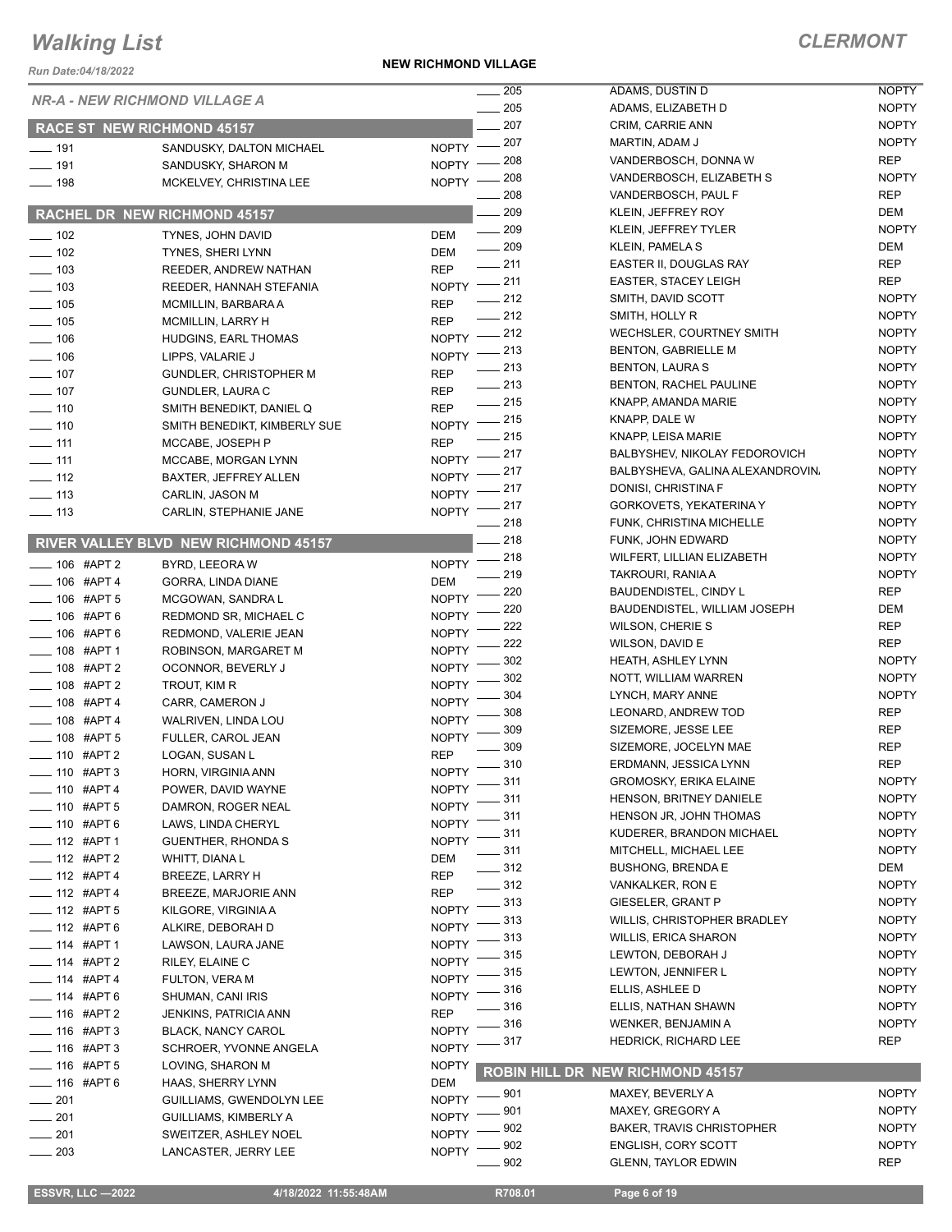*Run Date:04/18/2022*

**NEW RICHMOND VILLAGE**

#### *CLERMONT*

|                                  |                                                | 205                                 | ADAMS, DUSTIN D                                              | <b>NOPTY</b> |
|----------------------------------|------------------------------------------------|-------------------------------------|--------------------------------------------------------------|--------------|
|                                  | <b>NR-A - NEW RICHMOND VILLAGE A</b>           | $\sim$ 205                          | ADAMS, ELIZABETH D                                           | <b>NOPTY</b> |
|                                  | <b>RACE ST NEW RICHMOND 45157</b>              | 207                                 | CRIM, CARRIE ANN                                             | <b>NOPTY</b> |
|                                  |                                                | $-207$<br>$N$ OPTY $-$              | MARTIN, ADAM J                                               | <b>NOPTY</b> |
| $\frac{1}{2}$ 191<br>$- 191$     | SANDUSKY, DALTON MICHAEL<br>SANDUSKY, SHARON M | 208<br>$NOPTY =$                    | VANDERBOSCH, DONNA W                                         | <b>REP</b>   |
| $- 198$                          | MCKELVEY, CHRISTINA LEE                        | 208<br>NOPTY -                      | VANDERBOSCH, ELIZABETH S                                     | <b>NOPTY</b> |
|                                  |                                                | 208                                 | VANDERBOSCH, PAUL F                                          | <b>REP</b>   |
|                                  | RACHEL DR NEW RICHMOND 45157                   | 209                                 | KLEIN, JEFFREY ROY                                           | DEM          |
| $- 102$                          | TYNES. JOHN DAVID                              | $- 209$<br><b>DEM</b>               | KLEIN, JEFFREY TYLER                                         | <b>NOPTY</b> |
| $\frac{1}{2}$ 102                | TYNES, SHERI LYNN                              | $\frac{1}{209}$<br>DEM              | <b>KLEIN, PAMELA S</b>                                       | DEM          |
| $\frac{1}{2}$ 103                | REEDER, ANDREW NATHAN                          | $-211$<br><b>REP</b>                | EASTER II, DOUGLAS RAY                                       | <b>REP</b>   |
| $\frac{1}{2}$ 103                | REEDER, HANNAH STEFANIA                        | NOPTY $-211$                        | <b>EASTER, STACEY LEIGH</b>                                  | <b>REP</b>   |
| $\frac{1}{2}$ 105                | MCMILLIN, BARBARA A                            | $\frac{1}{212}$<br><b>REP</b>       | SMITH, DAVID SCOTT                                           | <b>NOPTY</b> |
| $\frac{1}{2}$ 105                | MCMILLIN, LARRY H                              | $\frac{1}{212}$<br><b>REP</b>       | SMITH, HOLLY R                                               | <b>NOPTY</b> |
| $- 106$                          | HUDGINS, EARL THOMAS                           | NOPTY -212                          | WECHSLER, COURTNEY SMITH                                     | <b>NOPTY</b> |
| $\frac{1}{2}$ 106                | LIPPS, VALARIE J                               | $=$ 213<br>$N$ OPTY $-$             | <b>BENTON, GABRIELLE M</b>                                   | <b>NOPTY</b> |
| $\frac{1}{2}$ 107                | <b>GUNDLER, CHRISTOPHER M</b>                  | $-213$<br><b>REP</b>                | <b>BENTON, LAURA S</b>                                       | <b>NOPTY</b> |
| $- 107$                          | GUNDLER, LAURA C                               | $\frac{1}{213}$<br><b>REP</b>       | BENTON, RACHEL PAULINE                                       | <b>NOPTY</b> |
| $- 110$                          | SMITH BENEDIKT, DANIEL Q                       | $-215$<br><b>REP</b>                | KNAPP, AMANDA MARIE                                          | <b>NOPTY</b> |
| $- 110$                          | SMITH BENEDIKT, KIMBERLY SUE                   | NOPTY -215                          | KNAPP, DALE W                                                | <b>NOPTY</b> |
| $- 111$                          | MCCABE, JOSEPH P                               | $-215$<br><b>REP</b>                | KNAPP, LEISA MARIE                                           | <b>NOPTY</b> |
| $- 111$                          | MCCABE, MORGAN LYNN                            | NOPTY -217                          | BALBYSHEV, NIKOLAY FEDOROVICH                                | <b>NOPTY</b> |
| $-112$                           | <b>BAXTER, JEFFREY ALLEN</b>                   | 217<br>NOPTY <sup>-</sup>           | BALBYSHEVA, GALINA ALEXANDROVIN,                             | <b>NOPTY</b> |
| $\frac{1}{2}$ 113                | CARLIN, JASON M                                | _ 217<br>NOPTY <sup>-</sup>         | DONISI, CHRISTINA F                                          | <b>NOPTY</b> |
| $\frac{1}{2}$ 113                | CARLIN, STEPHANIE JANE                         | $=217$<br>NOPTY <sup>-</sup>        | GORKOVETS, YEKATERINA Y                                      | <b>NOPTY</b> |
|                                  |                                                | $-218$                              | FUNK, CHRISTINA MICHELLE                                     | <b>NOPTY</b> |
|                                  | RIVER VALLEY BLVD NEW RICHMOND 45157           | $-218$                              | FUNK, JOHN EDWARD                                            | <b>NOPTY</b> |
| $-106$ #APT 2                    | BYRD, LEEORA W                                 | NOPTY $-$ 218                       | WILFERT, LILLIAN ELIZABETH                                   | <b>NOPTY</b> |
| $- 106$ #APT 4                   | GORRA, LINDA DIANE                             | 219<br>DEM                          | TAKROURI, RANIA A                                            | <b>NOPTY</b> |
| <b>_____ 106 #APT 5</b>          | MCGOWAN, SANDRA L                              | 220<br><b>NOPTY</b><br>220          | <b>BAUDENDISTEL, CINDY L</b><br>BAUDENDISTEL, WILLIAM JOSEPH | REP<br>DEM   |
| $- 106$ #APT 6                   | REDMOND SR, MICHAEL C                          | <b>NOPTY</b><br>222                 | WILSON, CHERIE S                                             | <b>REP</b>   |
| $- 106$ #APT 6                   | REDMOND, VALERIE JEAN                          | <b>NOPTY</b><br>222                 | WILSON, DAVID E                                              | <b>REP</b>   |
| $- 108$ #APT 1                   | ROBINSON, MARGARET M                           | <b>NOPTY</b><br>302                 | <b>HEATH, ASHLEY LYNN</b>                                    | <b>NOPTY</b> |
| $\frac{1}{2}$ 108 #APT 2         | OCONNOR, BEVERLY J                             | <b>NOPTY</b><br>302                 | NOTT, WILLIAM WARREN                                         | <b>NOPTY</b> |
| $-$ 108 #APT 2                   | TROUT, KIM R                                   | <b>NOPTY</b><br>304                 | LYNCH, MARY ANNE                                             | <b>NOPTY</b> |
| $-108$ #APT 4                    | CARR, CAMERON J                                | <b>NOPTY</b><br>308                 | LEONARD, ANDREW TOD                                          | <b>REP</b>   |
| $-108$ #APT 4                    | WALRIVEN, LINDA LOU                            | <b>NOPTY</b><br>309                 | SIZEMORE, JESSE LEE                                          | <b>REP</b>   |
| $-108$ #APT 5                    | FULLER, CAROL JEAN                             | <b>NOPTY</b><br>309                 | SIZEMORE, JOCELYN MAE                                        | <b>REP</b>   |
| <b>___ 110 #APT 2</b>            | LOGAN, SUSAN L                                 | <b>REP</b><br>$-310$                | ERDMANN, JESSICA LYNN                                        | <b>REP</b>   |
| $- 110$ #APT 3                   | HORN, VIRGINIA ANN                             | $N$ OPTY $-$<br>$-311$              | <b>GROMOSKY, ERIKA ELAINE</b>                                | <b>NOPTY</b> |
| $- 110$ #APT 4                   | POWER, DAVID WAYNE                             | NOPTY -<br>_ 311                    | <b>HENSON, BRITNEY DANIELE</b>                               | <b>NOPTY</b> |
| $- 110$ #APT 5                   | DAMRON, ROGER NEAL                             | <b>NOPTY</b><br>311<br><b>NOPTY</b> | HENSON JR, JOHN THOMAS                                       | <b>NOPTY</b> |
| $-$ 110 #APT 6<br>$-$ 112 #APT 1 | LAWS, LINDA CHERYL                             | $-311$<br><b>NOPTY</b>              | KUDERER, BRANDON MICHAEL                                     | <b>NOPTY</b> |
|                                  | <b>GUENTHER, RHONDA S</b>                      | $-311$                              | MITCHELL, MICHAEL LEE                                        | <b>NOPTY</b> |
| $-$ 112 #APT 2<br>$-$ 112 #APT 4 | WHITT, DIANA L<br><b>BREEZE, LARRY H</b>       | <b>DEM</b><br>$-312$<br><b>REP</b>  | <b>BUSHONG, BRENDA E</b>                                     | DEM          |
| $- 112$ #APT 4                   | BREEZE, MARJORIE ANN                           | $- 312$<br><b>REP</b>               | VANKALKER, RON E                                             | <b>NOPTY</b> |
| $-$ 112 #APT 5                   | KILGORE, VIRGINIA A                            | NOPTY $-313$                        | GIESELER, GRANT P                                            | <b>NOPTY</b> |
| $- 112$ #APT 6                   | ALKIRE, DEBORAH D                              | __ 313<br><b>NOPTY</b>              | WILLIS, CHRISTOPHER BRADLEY                                  | <b>NOPTY</b> |
| ___ 114 #APT 1                   | LAWSON, LAURA JANE                             | 313<br><b>NOPTY</b>                 | <b>WILLIS, ERICA SHARON</b>                                  | <b>NOPTY</b> |
| $-$ 114 #APT 2                   | RILEY, ELAINE C                                | 315<br><b>NOPTY</b>                 | LEWTON, DEBORAH J                                            | <b>NOPTY</b> |
| $- 114$ #APT 4                   | FULTON, VERA M                                 | 315<br><b>NOPTY</b>                 | LEWTON, JENNIFER L                                           | <b>NOPTY</b> |
| $- 114$ #APT 6                   | SHUMAN, CANI IRIS                              | 316<br><b>NOPTY</b>                 | ELLIS, ASHLEE D                                              | <b>NOPTY</b> |
| $-$ 116 #APT 2                   | JENKINS, PATRICIA ANN                          | 316<br><b>REP</b>                   | ELLIS, NATHAN SHAWN                                          | <b>NOPTY</b> |
| $- 116$ #APT 3                   | <b>BLACK, NANCY CAROL</b>                      | 316<br><b>NOPTY</b>                 | WENKER, BENJAMIN A                                           | <b>NOPTY</b> |
| $-$ 116 #APT 3                   | SCHROER, YVONNE ANGELA                         | NOPTY $-317$                        | HEDRICK, RICHARD LEE                                         | REP          |
| $- 116$ #APT 5                   | LOVING, SHARON M                               | <b>NOPTY</b>                        |                                                              |              |
| $-$ 116 #APT 6                   | HAAS, SHERRY LYNN                              | DEM                                 | ROBIN HILL DR NEW RICHMOND 45157                             |              |
| $\frac{1}{201}$                  | GUILLIAMS, GWENDOLYN LEE                       | __ 901<br><b>NOPTY</b>              | MAXEY, BEVERLY A                                             | <b>NOPTY</b> |
| $\frac{1}{201}$                  | GUILLIAMS, KIMBERLY A                          | _ 901<br><b>NOPTY</b>               | MAXEY, GREGORY A                                             | <b>NOPTY</b> |
| 201<br>$\frac{1}{1}$             | SWEITZER, ASHLEY NOEL                          | 902<br>NOPTY -                      | <b>BAKER, TRAVIS CHRISTOPHER</b>                             | <b>NOPTY</b> |
| $\sim$ 203                       | LANCASTER, JERRY LEE                           | 902<br><b>NOPTY</b>                 | <b>ENGLISH, CORY SCOTT</b>                                   | <b>NOPTY</b> |
|                                  |                                                | 902                                 | <b>GLENN, TAYLOR EDWIN</b>                                   | <b>REP</b>   |

**ESSVR, LLC -2022 4/18/2022 11:55:48AM** R708.01 **Page 6 of 19**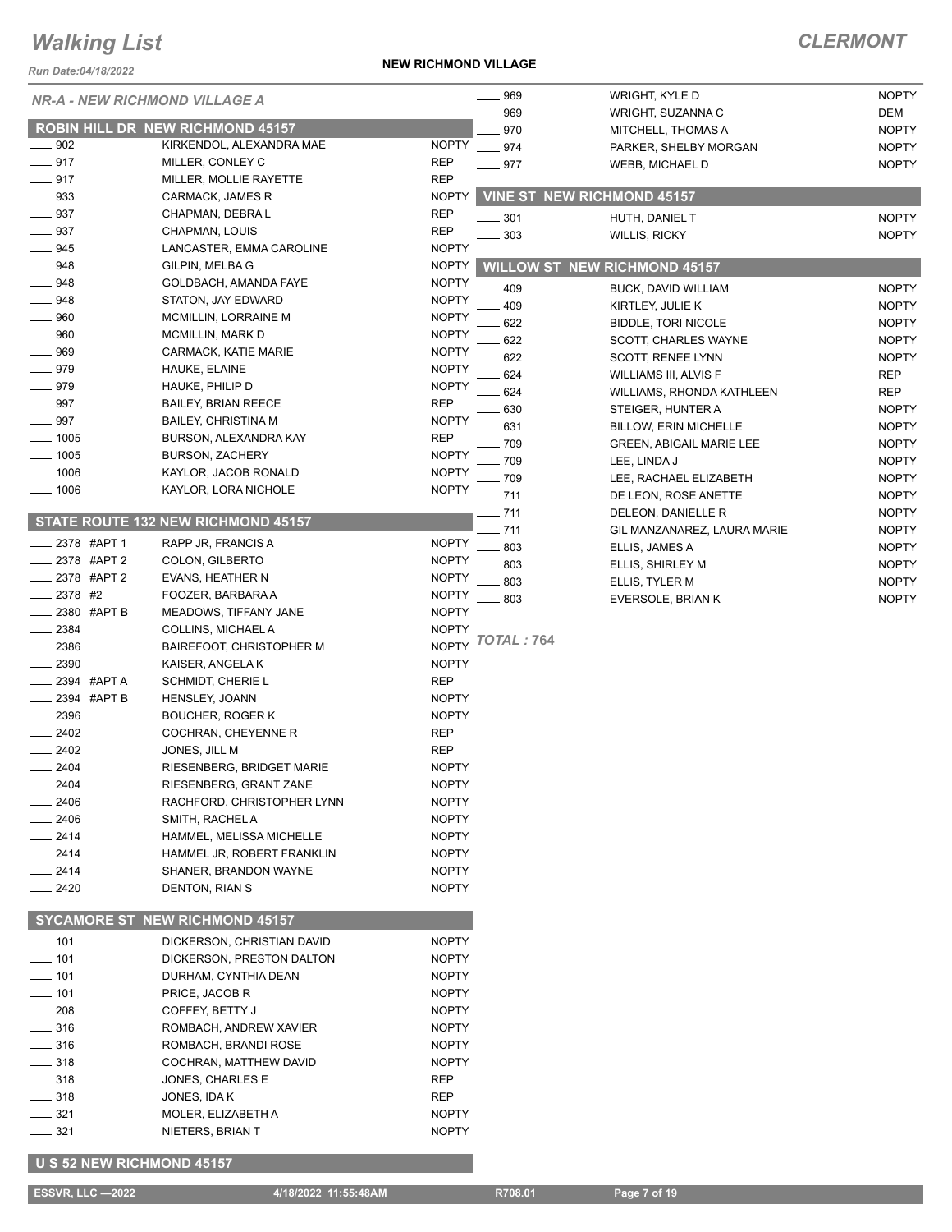*Run Date:04/18/2022*

**NEW RICHMOND VILLAGE**

### *CLERMONT*

| <b>NR-A - NEW RICHMOND VILLAGE A</b> |                                       |              | .969              | WRIGHT, KYLE D                      | <b>NOPTY</b> |
|--------------------------------------|---------------------------------------|--------------|-------------------|-------------------------------------|--------------|
|                                      |                                       |              | 969               | WRIGHT, SUZANNA C                   | DEM          |
|                                      | ROBIN HILL DR NEW RICHMOND 45157      |              | 970               | MITCHELL, THOMAS A                  | <b>NOPTY</b> |
| $-902$                               | KIRKENDOL, ALEXANDRA MAE              | <b>NOPTY</b> | $-974$            | PARKER, SHELBY MORGAN               | <b>NOPTY</b> |
| $-917$                               | MILLER, CONLEY C                      | <b>REP</b>   | $=977$            | <b>WEBB, MICHAEL D</b>              | <b>NOPTY</b> |
| .917                                 | MILLER, MOLLIE RAYETTE                | <b>REP</b>   |                   |                                     |              |
| 933                                  | CARMACK, JAMES R                      | <b>NOPTY</b> |                   | <b>VINE ST NEW RICHMOND 45157</b>   |              |
| 937                                  | CHAPMAN, DEBRA L                      | <b>REP</b>   | $-301$            | HUTH, DANIEL T                      | <b>NOPTY</b> |
| 937                                  | CHAPMAN, LOUIS                        | <b>REP</b>   | 303               | <b>WILLIS, RICKY</b>                | <b>NOPTY</b> |
| 945                                  | LANCASTER, EMMA CAROLINE              | <b>NOPTY</b> |                   |                                     |              |
| 948                                  | GILPIN, MELBA G                       | <b>NOPTY</b> |                   | <b>WILLOW ST NEW RICHMOND 45157</b> |              |
| $-948$                               | GOLDBACH, AMANDA FAYE                 | <b>NOPTY</b> | 409               | BUCK, DAVID WILLIAM                 | <b>NOPTY</b> |
| $-948$                               | STATON, JAY EDWARD                    | <b>NOPTY</b> | 409               | KIRTLEY, JULIE K                    | <b>NOPTY</b> |
| $\equiv$ 960                         | MCMILLIN, LORRAINE M                  | <b>NOPTY</b> |                   |                                     | <b>NOPTY</b> |
| $= 960$                              | <b>MCMILLIN, MARK D</b>               | <b>NOPTY</b> | 622<br>622        | <b>BIDDLE, TORI NICOLE</b>          | <b>NOPTY</b> |
| 969                                  | CARMACK, KATIE MARIE                  | <b>NOPTY</b> |                   | SCOTT, CHARLES WAYNE                |              |
| .979                                 | HAUKE, ELAINE                         | <b>NOPTY</b> | 622               | SCOTT, RENEE LYNN                   | <b>NOPTY</b> |
| 979                                  | HAUKE, PHILIP D                       | <b>NOPTY</b> | 624               | WILLIAMS III, ALVIS F               | <b>REP</b>   |
| 997                                  | <b>BAILEY, BRIAN REECE</b>            | <b>REP</b>   | 624               | WILLIAMS, RHONDA KATHLEEN           | <b>REP</b>   |
| 997                                  | <b>BAILEY, CHRISTINA M</b>            | <b>NOPTY</b> | 630               | STEIGER, HUNTER A                   | <b>NOPTY</b> |
| .1005                                | BURSON, ALEXANDRA KAY                 | <b>REP</b>   | 631               | <b>BILLOW, ERIN MICHELLE</b>        | <b>NOPTY</b> |
|                                      | <b>BURSON, ZACHERY</b>                | <b>NOPTY</b> | . 709             | <b>GREEN, ABIGAIL MARIE LEE</b>     | <b>NOPTY</b> |
| $= 1005$                             |                                       |              | 709               | LEE, LINDA J                        | <b>NOPTY</b> |
| $- 1006$                             | KAYLOR, JACOB RONALD                  | <b>NOPTY</b> | $-709$            | LEE, RACHAEL ELIZABETH              | <b>NOPTY</b> |
| ___ 1006                             | KAYLOR, LORA NICHOLE                  | <b>NOPTY</b> | $-711$            | DE LEON, ROSE ANETTE                | <b>NOPTY</b> |
|                                      |                                       |              | $-711$            | DELEON, DANIELLE R                  | <b>NOPTY</b> |
|                                      | STATE ROUTE 132 NEW RICHMOND 45157    |              | .711              | GIL MANZANAREZ, LAURA MARIE         | <b>NOPTY</b> |
| 2378 #APT 1                          | RAPP JR, FRANCIS A                    | <b>NOPTY</b> | 803               | ELLIS, JAMES A                      | <b>NOPTY</b> |
| 2378 #APT 2                          | COLON, GILBERTO                       | <b>NOPTY</b> | 803               | ELLIS, SHIRLEY M                    | <b>NOPTY</b> |
| 2378 #APT 2                          | EVANS, HEATHER N                      | <b>NOPTY</b> | 803               | ELLIS, TYLER M                      | <b>NOPTY</b> |
| 2378 #2                              | FOOZER, BARBARA A                     | <b>NOPTY</b> | 803               | EVERSOLE, BRIAN K                   | <b>NOPTY</b> |
| 2380 #APT B                          | MEADOWS, TIFFANY JANE                 | <b>NOPTY</b> |                   |                                     |              |
| 2384                                 | COLLINS, MICHAEL A                    | <b>NOPTY</b> |                   |                                     |              |
| 2386                                 | <b>BAIREFOOT, CHRISTOPHER M</b>       | <b>NOPTY</b> | <b>TOTAL: 764</b> |                                     |              |
| 2390                                 | KAISER, ANGELA K                      | <b>NOPTY</b> |                   |                                     |              |
| _2394 #APTA                          | <b>SCHMIDT, CHERIE L</b>              | <b>REP</b>   |                   |                                     |              |
| _2394 #APT B                         | HENSLEY, JOANN                        | <b>NOPTY</b> |                   |                                     |              |
| 2396                                 | <b>BOUCHER, ROGER K</b>               | <b>NOPTY</b> |                   |                                     |              |
| 2402                                 | COCHRAN, CHEYENNE R                   | <b>REP</b>   |                   |                                     |              |
| 2402                                 | JONES, JILL M                         | <b>REP</b>   |                   |                                     |              |
| 2404                                 | RIESENBERG, BRIDGET MARIE             | <b>NOPTY</b> |                   |                                     |              |
| $-2404$                              | RIESENBERG, GRANT ZANE                | <b>NOPTY</b> |                   |                                     |              |
| 2406                                 | RACHFORD, CHRISTOPHER LYNN            | <b>NOPTY</b> |                   |                                     |              |
| 2406                                 | SMITH, RACHEL A                       | <b>NOPTY</b> |                   |                                     |              |
| 2414                                 | HAMMEL, MELISSA MICHELLE              | <b>NOPTY</b> |                   |                                     |              |
| __ 2414                              | HAMMEL JR, ROBERT FRANKLIN            | <b>NOPTY</b> |                   |                                     |              |
| $-2414$                              | SHANER, BRANDON WAYNE                 | <b>NOPTY</b> |                   |                                     |              |
| 2420                                 | DENTON, RIAN S                        | <b>NOPTY</b> |                   |                                     |              |
|                                      |                                       |              |                   |                                     |              |
|                                      | <b>SYCAMORE ST NEW RICHMOND 45157</b> |              |                   |                                     |              |
| $- 101$                              | DICKERSON, CHRISTIAN DAVID            | <b>NOPTY</b> |                   |                                     |              |
| $- 101$                              | DICKERSON, PRESTON DALTON             | <b>NOPTY</b> |                   |                                     |              |
| $\rule{1em}{0.15mm}$ 101             | DURHAM, CYNTHIA DEAN                  | <b>NOPTY</b> |                   |                                     |              |
| —— 101                               | PRICE, JACOB R                        | <b>NOPTY</b> |                   |                                     |              |
|                                      |                                       |              |                   |                                     |              |
| $-208$                               | COFFEY, BETTY J                       | <b>NOPTY</b> |                   |                                     |              |
| $\equiv$ 316                         | ROMBACH, ANDREW XAVIER                | <b>NOPTY</b> |                   |                                     |              |
| $-316$                               | ROMBACH, BRANDI ROSE                  | <b>NOPTY</b> |                   |                                     |              |
| $=$ 318                              | COCHRAN, MATTHEW DAVID                | <b>NOPTY</b> |                   |                                     |              |
| ____ 318                             | JONES, CHARLES E                      | REP          |                   |                                     |              |
| $\frac{1}{2}$ 318                    | JONES, IDA K                          | REP          |                   |                                     |              |
| $- 321$                              | MOLER, ELIZABETH A                    | <b>NOPTY</b> |                   |                                     |              |
| $-321$                               | NIETERS, BRIAN T                      | <b>NOPTY</b> |                   |                                     |              |
|                                      |                                       |              |                   |                                     |              |

 **U S 52 NEW RICHMOND 45157**

**ESSVR, LLC -2022 4/18/2022 11:55:48AM** R708.01 **Page 7 of 19**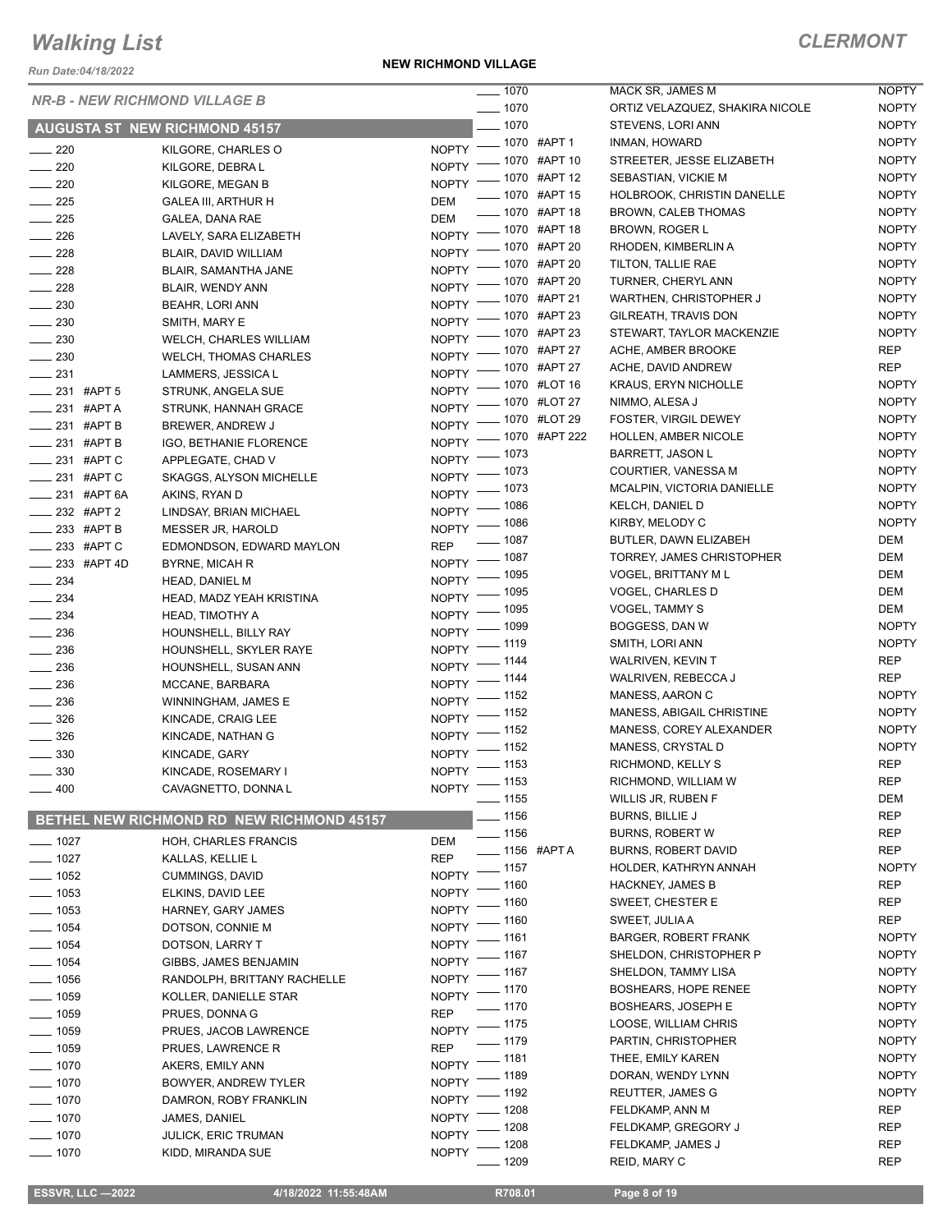*Run Date:04/18/2022*

**NEW RICHMOND VILLAGE**

NOPTY NOPTY

|                          | <b>NR-B - NEW RICHMOND VILLAGE B</b>             | $- 1070$                               | MACK SR, JAMES M                | <b>NOPTY</b> |
|--------------------------|--------------------------------------------------|----------------------------------------|---------------------------------|--------------|
|                          |                                                  | $- 1070$                               | ORTIZ VELAZQUEZ, SHAKIRA NICOLE | <b>NOPTY</b> |
|                          | <b>AUGUSTA ST NEW RICHMOND 45157</b>             | $- 1070$                               | STEVENS, LORI ANN               | <b>NOPTY</b> |
| $\sim$ 220               | KILGORE, CHARLES O                               | NOPTY - 1070 #APT 1                    | INMAN, HOWARD                   | <b>NOPTY</b> |
| $\sim$ 220               | KILGORE, DEBRA L                                 | NOPTY - 1070 #APT 10                   | STREETER, JESSE ELIZABETH       | <b>NOPTY</b> |
| $\sim$ 220               | KILGORE, MEGAN B                                 | NOPTY - 1070 #APT 12                   | SEBASTIAN, VICKIE M             | <b>NOPTY</b> |
| $\frac{1}{225}$          | <b>GALEA III, ARTHUR H</b>                       | -070 #APT 15<br>DEM                    | HOLBROOK, CHRISTIN DANELLE      | <b>NOPTY</b> |
| $\frac{1}{225}$          | GALEA, DANA RAE                                  | ___ 1070 #APT 18<br>DEM                | BROWN, CALEB THOMAS             | <b>NOPTY</b> |
|                          |                                                  | NOPTY - 1070 #APT 18                   | BROWN, ROGER L                  | <b>NOPTY</b> |
| $\frac{1}{226}$          | LAVELY, SARA ELIZABETH                           | NOPTY - 1070 #APT 20                   | RHODEN, KIMBERLIN A             | <b>NOPTY</b> |
| $\frac{1}{228}$          | BLAIR, DAVID WILLIAM                             | NOPTY - 1070 #APT 20                   | TILTON, TALLIE RAE              | <b>NOPTY</b> |
| $\sim$ 228               | BLAIR, SAMANTHA JANE                             | NOPTY - 1070 #APT 20                   | TURNER, CHERYL ANN              | <b>NOPTY</b> |
| $\frac{1}{228}$          | BLAIR, WENDY ANN                                 | NOPTY - 1070 #APT 21                   | WARTHEN, CHRISTOPHER J          | <b>NOPTY</b> |
| $\sim$ 230               | <b>BEAHR, LORI ANN</b>                           | NOPTY - 1070 #APT 23                   | GILREATH, TRAVIS DON            | <b>NOPTY</b> |
| $\frac{1}{2}$ 230        | SMITH, MARY E                                    | NOPTY - 1070 #APT 23                   | STEWART, TAYLOR MACKENZIE       | <b>NOPTY</b> |
| $\sim$ 230               | <b>WELCH, CHARLES WILLIAM</b>                    | NOPTY - 1070 #APT 27                   | ACHE, AMBER BROOKE              | REP          |
| $\sim$ 230               | <b>WELCH, THOMAS CHARLES</b>                     |                                        | ACHE, DAVID ANDREW              | REP          |
| $\frac{1}{231}$          | LAMMERS, JESSICA L                               | NOPTY - 1070 #APT 27                   | <b>KRAUS, ERYN NICHOLLE</b>     | <b>NOPTY</b> |
| $\frac{1}{231}$ #APT 5   | STRUNK, ANGELA SUE                               | NOPTY - 1070 #LOT 16                   |                                 |              |
| $\frac{1}{231}$ #APT A   | STRUNK, HANNAH GRACE                             | NOPTY - 1070 #LOT 27                   | NIMMO, ALESA J                  | <b>NOPTY</b> |
| $231$ #APT B             | BREWER, ANDREW J                                 | NOPTY - 1070 #LOT 29                   | FOSTER, VIRGIL DEWEY            | <b>NOPTY</b> |
| $\frac{1}{231}$ #APT B   | IGO, BETHANIE FLORENCE                           | NOPTY - 1070 #APT 222                  | HOLLEN, AMBER NICOLE            | <b>NOPTY</b> |
| ___ 231 #APT C           | APPLEGATE, CHAD V                                | NOPTY - 1073                           | <b>BARRETT, JASON L</b>         | <b>NOPTY</b> |
| $\frac{1}{231}$ #APTC    | SKAGGS, ALYSON MICHELLE                          | NOPTY - 1073                           | COURTIER, VANESSA M             | <b>NOPTY</b> |
| ____ 231 #APT 6A         | AKINS, RYAN D                                    | NOPTY - 1073                           | MCALPIN, VICTORIA DANIELLE      | <b>NOPTY</b> |
| $-232$ #APT 2            | LINDSAY, BRIAN MICHAEL                           | NOPTY - 1086                           | KELCH, DANIEL D                 | <b>NOPTY</b> |
| __ 233 #APT B            | MESSER JR, HAROLD                                | NOPTY - 1086                           | KIRBY, MELODY C                 | <b>NOPTY</b> |
| $\frac{1}{2}$ 233 #APT C | EDMONDSON, EDWARD MAYLON                         | $\frac{1}{2}$ 1087<br><b>REP</b>       | BUTLER, DAWN ELIZABEH           | DEM          |
| _____ 233 #APT 4D        | <b>BYRNE, MICAH R</b>                            | NOPTY - 1087                           | TORREY, JAMES CHRISTOPHER       | DEM          |
| $\frac{1}{2}$ 234        | HEAD, DANIEL M                                   | NOPTY - 1095                           | VOGEL, BRITTANY ML              | DEM          |
| $\frac{1}{2}$ 234        | HEAD, MADZ YEAH KRISTINA                         | NOPTY - 1095                           | VOGEL, CHARLES D                | DEM          |
| $\equiv$ 234             | <b>HEAD, TIMOTHY A</b>                           | NOPTY - 1095                           | VOGEL, TAMMY S                  | DEM          |
| $\frac{236}{2}$          | HOUNSHELL, BILLY RAY                             | NOPTY - 1099                           | BOGGESS, DAN W                  | <b>NOPTY</b> |
| $\frac{1}{2}$ 236        |                                                  | NOPTY - 1119                           | SMITH, LORI ANN                 | <b>NOPTY</b> |
|                          | HOUNSHELL, SKYLER RAYE                           | NOPTY - 1144                           | WALRIVEN, KEVIN T               | REP          |
| $\frac{1}{2}$ 236        | HOUNSHELL, SUSAN ANN                             | NOPTY - 1144                           | WALRIVEN, REBECCA J             | <b>REP</b>   |
| $\frac{1}{2}$ 236        | MCCANE, BARBARA                                  | NOPTY - 1152                           | MANESS, AARON C                 | <b>NOPTY</b> |
| $\equiv$ 236             | WINNINGHAM, JAMES E                              | NOPTY - 1152                           | MANESS, ABIGAIL CHRISTINE       | <b>NOPTY</b> |
| $\frac{1}{2}$ 326        | KINCADE, CRAIG LEE                               |                                        | MANESS, COREY ALEXANDER         | <b>NOPTY</b> |
| $\frac{1}{2}$ 326        | KINCADE, NATHAN G                                | NOPTY - 1152<br>NOPTY - 1152           | MANESS, CRYSTAL D               | <b>NOPTY</b> |
| $\frac{1}{2}$ 330        | KINCADE, GARY                                    |                                        | RICHMOND, KELLY S               | <b>REP</b>   |
| 330                      | KINCADE, ROSEMARY I                              | NOPTY - 1153                           | RICHMOND, WILLIAM W             | <b>REP</b>   |
| $- 400$                  | CAVAGNETTO, DONNA L                              | NOPTY - 1153<br>$- 1155$               | WILLIS JR, RUBEN F              | DEM          |
|                          |                                                  | $- 1156$                               | BURNS, BILLIE J                 | <b>REP</b>   |
|                          | <b>BETHEL NEW RICHMOND RD NEW RICHMOND 45157</b> |                                        | <b>BURNS, ROBERT W</b>          |              |
| $- 1027$                 | HOH, CHARLES FRANCIS                             | $\frac{1}{156}$<br>DEM                 |                                 | <b>REP</b>   |
| $-1027$                  | KALLAS, KELLIE L                                 | <b>_____ 1156 #APT A</b><br><b>REP</b> | <b>BURNS, ROBERT DAVID</b>      | <b>REP</b>   |
| $-1052$                  | CUMMINGS, DAVID                                  | $-1157$<br><b>NOPTY</b>                | HOLDER, KATHRYN ANNAH           | <b>NOPTY</b> |
| $- 1053$                 | ELKINS, DAVID LEE                                | $-1160$<br><b>NOPTY</b>                | <b>HACKNEY, JAMES B</b>         | REP          |
| ___ 1053                 | HARNEY, GARY JAMES                               | $-1160$<br><b>NOPTY</b>                | SWEET, CHESTER E                | <b>REP</b>   |
| $\frac{1}{1054}$         | DOTSON, CONNIE M                                 | $-1160$<br><b>NOPTY</b>                | SWEET, JULIA A                  | <b>REP</b>   |
| $- 1054$                 | DOTSON, LARRY T                                  | NOPTY - 1161                           | <b>BARGER, ROBERT FRANK</b>     | <b>NOPTY</b> |
| $- 1054$                 | GIBBS, JAMES BENJAMIN                            | NOPTY - 1167                           | SHELDON, CHRISTOPHER P          | <b>NOPTY</b> |
| ____ 1056                | RANDOLPH, BRITTANY RACHELLE                      | NOPTY - 1167                           | SHELDON, TAMMY LISA             | <b>NOPTY</b> |
| $- 1059$                 | KOLLER, DANIELLE STAR                            | NOPTY - 1170                           | <b>BOSHEARS, HOPE RENEE</b>     | <b>NOPTY</b> |
| $\frac{1}{1059}$         | PRUES, DONNA G                                   | $- 1170$<br><b>REP</b>                 | <b>BOSHEARS, JOSEPH E</b>       | <b>NOPTY</b> |
| $- 1059$                 | PRUES, JACOB LAWRENCE                            | NOPTY - 1175                           | LOOSE, WILLIAM CHRIS            | <b>NOPTY</b> |
|                          |                                                  | $- 1179$<br><b>REP</b>                 | PARTIN, CHRISTOPHER             | <b>NOPTY</b> |
| $\frac{1}{2}$ 1059       | PRUES, LAWRENCE R                                | $- 1181$                               | THEE, EMILY KAREN               | <b>NOPTY</b> |
| $- 1070$                 | AKERS, EMILY ANN                                 | <b>NOPTY</b><br>1189                   | DORAN, WENDY LYNN               | <b>NOPTY</b> |
| $- 1070$                 | <b>BOWYER, ANDREW TYLER</b>                      | <b>NOPTY</b><br>_ 1192                 | <b>REUTTER, JAMES G</b>         | <b>NOPTY</b> |
| $- 1070$                 | DAMRON, ROBY FRANKLIN                            | <b>NOPTY</b><br>$-1208$                | FELDKAMP, ANN M                 | <b>REP</b>   |
| $- 1070$                 | JAMES, DANIEL                                    | <b>NOPTY</b><br>$-1208$                | FELDKAMP, GREGORY J             | <b>REP</b>   |
| $- 1070$                 | <b>JULICK, ERIC TRUMAN</b>                       | <b>NOPTY</b><br>- 1208                 | FELDKAMP, JAMES J               | <b>REP</b>   |
| $- 1070$                 | KIDD, MIRANDA SUE                                | <b>NOPTY</b>                           |                                 |              |

Let 1209 REID, MARY C REP REP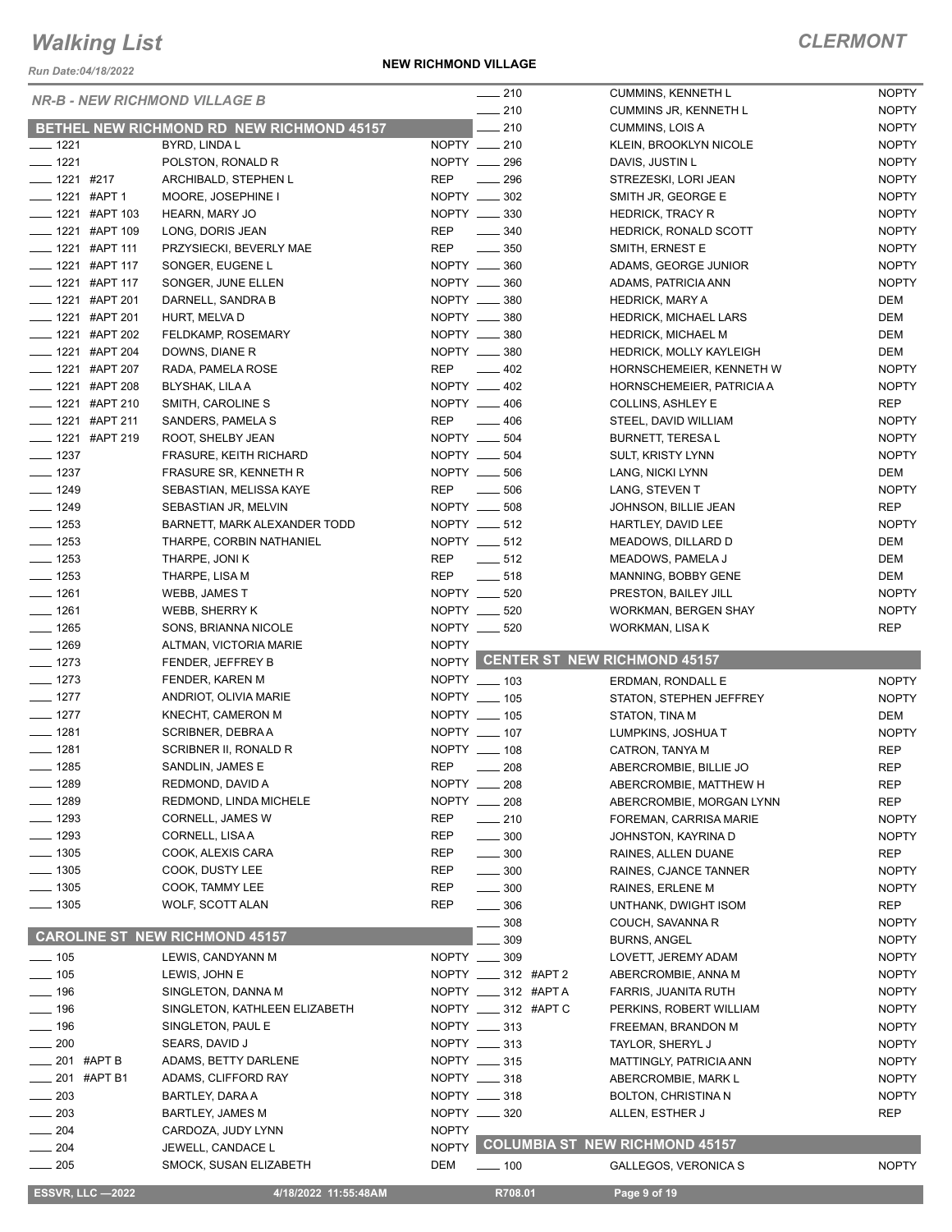*Run Date:04/18/2022*

**NEW RICHMOND VILLAGE**

|                                      |                                                  |              | $\frac{1}{210}$           | CUMMINS, KENNETH L                    | <b>NOPTY</b> |
|--------------------------------------|--------------------------------------------------|--------------|---------------------------|---------------------------------------|--------------|
| <b>NR-B - NEW RICHMOND VILLAGE B</b> |                                                  |              | $-210$                    | <b>CUMMINS JR, KENNETH L</b>          | <b>NOPTY</b> |
|                                      | <b>BETHEL NEW RICHMOND RD NEW RICHMOND 45157</b> |              | 210                       | CUMMINS, LOIS A                       | <b>NOPTY</b> |
| $- 1221$                             | BYRD, LINDA L                                    |              | NOPTY __ 210              | KLEIN, BROOKLYN NICOLE                | <b>NOPTY</b> |
| $- 1221$                             | POLSTON, RONALD R                                |              | NOPTY __ 296              | DAVIS, JUSTIN L                       | <b>NOPTY</b> |
| $- 1221$ #217                        | ARCHIBALD, STEPHEN L                             | <b>REP</b>   | 296<br>$\sim$ 100 $\mu$   | STREZESKI, LORI JEAN                  | <b>NOPTY</b> |
| $\frac{1}{2}$ 1221 #APT 1            | MOORE, JOSEPHINE I                               |              | NOPTY __ 302              | SMITH JR, GEORGE E                    | <b>NOPTY</b> |
| $\frac{1}{2}$ 1221 #APT 103          | HEARN, MARY JO                                   |              | NOPTY __ 330              | <b>HEDRICK, TRACY R</b>               | <b>NOPTY</b> |
| <b>_____ 1221 #APT 109</b>           | LONG, DORIS JEAN                                 | <b>REP</b>   | $\frac{1}{2}$ 340         | <b>HEDRICK, RONALD SCOTT</b>          | <b>NOPTY</b> |
| $\frac{1}{2}$ 1221 #APT 111          | PRZYSIECKI, BEVERLY MAE                          | <b>REP</b>   | $\frac{1}{2}$ 350         | SMITH, ERNEST E                       | <b>NOPTY</b> |
| $\frac{1}{2}$ 1221 #APT 117          | SONGER, EUGENE L                                 |              | NOPTY __ 360              | ADAMS, GEORGE JUNIOR                  | <b>NOPTY</b> |
| $-$ 1221 #APT 117                    | SONGER, JUNE ELLEN                               |              | NOPTY __ 360              | ADAMS, PATRICIA ANN                   | <b>NOPTY</b> |
| <b>____</b> 1221 #APT 201            | DARNELL, SANDRA B                                |              | NOPTY __ 380              | <b>HEDRICK, MARY A</b>                | DEM          |
| $\frac{1}{2}$ 1221 #APT 201          | HURT, MELVA D                                    |              | NOPTY __ 380              | HEDRICK, MICHAEL LARS                 | DEM          |
| -1221 #APT 202                       | FELDKAMP, ROSEMARY                               |              | NOPTY __ 380              | <b>HEDRICK, MICHAEL M</b>             | DEM          |
| $\frac{1}{2}$ 1221 #APT 204          | DOWNS, DIANE R                                   |              | NOPTY __ 380              | <b>HEDRICK, MOLLY KAYLEIGH</b>        | DEM          |
| <b>______ 1221 #APT 207</b>          | RADA, PAMELA ROSE                                | REP          | $\sim$ 402                | HORNSCHEMEIER, KENNETH W              | <b>NOPTY</b> |
| ____ 1221 #APT 208                   | BLYSHAK, LILA A                                  |              | NOPTY __ 402              | HORNSCHEMEIER, PATRICIA A             | <b>NOPTY</b> |
| __ 1221 #APT 210                     | SMITH, CAROLINE S                                |              | NOPTY __ 406              | <b>COLLINS, ASHLEY E</b>              | REP          |
| ____ 1221 #APT 211                   | SANDERS, PAMELA S                                |              | REP __ 406                | STEEL, DAVID WILLIAM                  | <b>NOPTY</b> |
| ____ 1221 #APT 219                   | ROOT, SHELBY JEAN                                |              | NOPTY __ 504              | <b>BURNETT, TERESAL</b>               | <b>NOPTY</b> |
| $\frac{1}{2}$ 1237                   | FRASURE, KEITH RICHARD                           |              | NOPTY __ 504              | <b>SULT, KRISTY LYNN</b>              | <b>NOPTY</b> |
| $\frac{1}{2}$ 1237                   | FRASURE SR, KENNETH R                            |              | NOPTY __ 506              | LANG, NICKI LYNN                      | DEM          |
| $- 1249$                             | SEBASTIAN, MELISSA KAYE                          | REP          | $\frac{1}{2}$ 506         | LANG, STEVEN T                        | <b>NOPTY</b> |
| $- 1249$                             | SEBASTIAN JR, MELVIN                             |              | NOPTY __ 508              | JOHNSON, BILLIE JEAN                  | <b>REP</b>   |
| $- 1253$                             | BARNETT, MARK ALEXANDER TODD                     |              | NOPTY __ 512              | HARTLEY, DAVID LEE                    | <b>NOPTY</b> |
| $- 1253$                             | THARPE, CORBIN NATHANIEL                         |              | NOPTY __ 512              | MEADOWS, DILLARD D                    | DEM          |
| $\frac{1}{2}$ 1253                   | THARPE, JONI K                                   |              | REP __ 512                | MEADOWS, PAMELA J                     | DEM          |
| $- 1253$                             | THARPE, LISA M                                   | REP          | $\frac{1}{2}$ 518         | MANNING, BOBBY GENE                   | DEM          |
| $- 1261$                             | WEBB, JAMES T                                    |              | NOPTY __ 520              | PRESTON, BAILEY JILL                  | <b>NOPTY</b> |
| $- 1261$                             | WEBB, SHERRY K                                   |              | NOPTY __ 520              | WORKMAN, BERGEN SHAY                  | <b>NOPTY</b> |
| $- 1265$                             | SONS, BRIANNA NICOLE                             |              | NOPTY __ 520              | WORKMAN, LISA K                       | <b>REP</b>   |
|                                      |                                                  |              |                           |                                       |              |
|                                      |                                                  |              |                           |                                       |              |
| $- 1269$                             | ALTMAN, VICTORIA MARIE                           | <b>NOPTY</b> |                           |                                       |              |
| $- 1273$                             | FENDER, JEFFREY B                                |              |                           | NOPTY CENTER ST NEW RICHMOND 45157    |              |
| $- 1273$                             | FENDER, KAREN M                                  |              | NOPTY __ 103              | ERDMAN, RONDALL E                     | <b>NOPTY</b> |
| $- 1277$                             | ANDRIOT, OLIVIA MARIE                            |              | NOPTY __ 105              | STATON, STEPHEN JEFFREY               | <b>NOPTY</b> |
| $- 1277$                             | KNECHT, CAMERON M                                |              | NOPTY __ 105              | STATON, TINA M                        | DEM          |
| $- 1281$                             | SCRIBNER, DEBRA A                                |              | NOPTY __ 107              | LUMPKINS, JOSHUAT                     | <b>NOPTY</b> |
| $- 1281$                             | SCRIBNER II, RONALD R                            |              | NOPTY __ 108              | CATRON, TANYA M                       | <b>REP</b>   |
| $- 1285$                             | SANDLIN, JAMES E                                 | <b>REP</b>   | - 208                     | ABERCROMBIE, BILLIE JO                | <b>REP</b>   |
| _ 1289                               | REDMOND, DAVID A                                 |              | NOPTY __ 208              | ABERCROMBIE, MATTHEW H                | <b>REP</b>   |
| $-1289$                              | REDMOND, LINDA MICHELE                           | NOPTY ___    | 208                       | ABERCROMBIE, MORGAN LYNN              | <b>REP</b>   |
| $- 1293$                             | CORNELL, JAMES W                                 | <b>REP</b>   | $-210$                    | FOREMAN, CARRISA MARIE                | <b>NOPTY</b> |
| ___ 1293                             | CORNELL, LISAA                                   | <b>REP</b>   | $\frac{1}{2}$ 300         | JOHNSTON, KAYRINA D                   | <b>NOPTY</b> |
| $- 1305$                             | COOK, ALEXIS CARA                                | <b>REP</b>   | $\frac{1}{2}$ 300         | RAINES, ALLEN DUANE                   | REP          |
| $-1305$                              | COOK, DUSTY LEE                                  | REP          | $\frac{1}{2}$ 300         | RAINES, CJANCE TANNER                 | <b>NOPTY</b> |
| $- 1305$                             | COOK, TAMMY LEE                                  | REP          | $\sim$ 300                | RAINES, ERLENE M                      | <b>NOPTY</b> |
| —— 1305                              | WOLF, SCOTT ALAN                                 | <b>REP</b>   | $\frac{1}{2}$ 306         | UNTHANK, DWIGHT ISOM                  | REP          |
|                                      |                                                  |              | 308                       | COUCH, SAVANNA R                      | <b>NOPTY</b> |
|                                      | <b>CAROLINE ST NEW RICHMOND 45157</b>            |              | 309                       | <b>BURNS, ANGEL</b>                   | <b>NOPTY</b> |
| $\frac{1}{105}$                      | LEWIS, CANDYANN M                                |              | NOPTY __ 309              | LOVETT, JEREMY ADAM                   | <b>NOPTY</b> |
| $- 105$                              | LEWIS, JOHN E                                    |              | NOPTY _____ 312 #APT 2    | ABERCROMBIE, ANNA M                   | <b>NOPTY</b> |
| $-196$                               | SINGLETON, DANNA M                               |              | NOPTY _____ 312 #APT A    | FARRIS, JUANITA RUTH                  | <b>NOPTY</b> |
| $-196$                               | SINGLETON, KATHLEEN ELIZABETH                    |              | NOPTY _____ 312 #APT C    | PERKINS, ROBERT WILLIAM               | <b>NOPTY</b> |
| $-196$                               | SINGLETON, PAUL E                                |              | NOPTY __ 313              | FREEMAN, BRANDON M                    | <b>NOPTY</b> |
| $-200$                               | SEARS, DAVID J                                   |              | NOPTY __ 313              | TAYLOR, SHERYL J                      | <b>NOPTY</b> |
| 201 #APT B                           | ADAMS, BETTY DARLENE                             |              | NOPTY __ 315              | MATTINGLY, PATRICIA ANN               | <b>NOPTY</b> |
| _201 #APT B1                         | ADAMS, CLIFFORD RAY                              |              | NOPTY __ 318              | ABERCROMBIE, MARK L                   | <b>NOPTY</b> |
| $= 203$                              | BARTLEY, DARA A                                  |              | NOPTY __ 318              | <b>BOLTON, CHRISTINA N</b>            | <b>NOPTY</b> |
| $-203$                               | <b>BARTLEY, JAMES M</b>                          |              | NOPTY __ 320              | ALLEN, ESTHER J                       | REP          |
| $-204$                               | CARDOZA, JUDY LYNN                               | <b>NOPTY</b> |                           |                                       |              |
| $-204$                               | JEWELL, CANDACE L                                | <b>NOPTY</b> |                           | <b>COLUMBIA ST NEW RICHMOND 45157</b> |              |
| $- 205$                              | SMOCK, SUSAN ELIZABETH                           | DEM          | $\rule{100}{00}\n\n- 100$ | GALLEGOS, VERONICA S                  | <b>NOPTY</b> |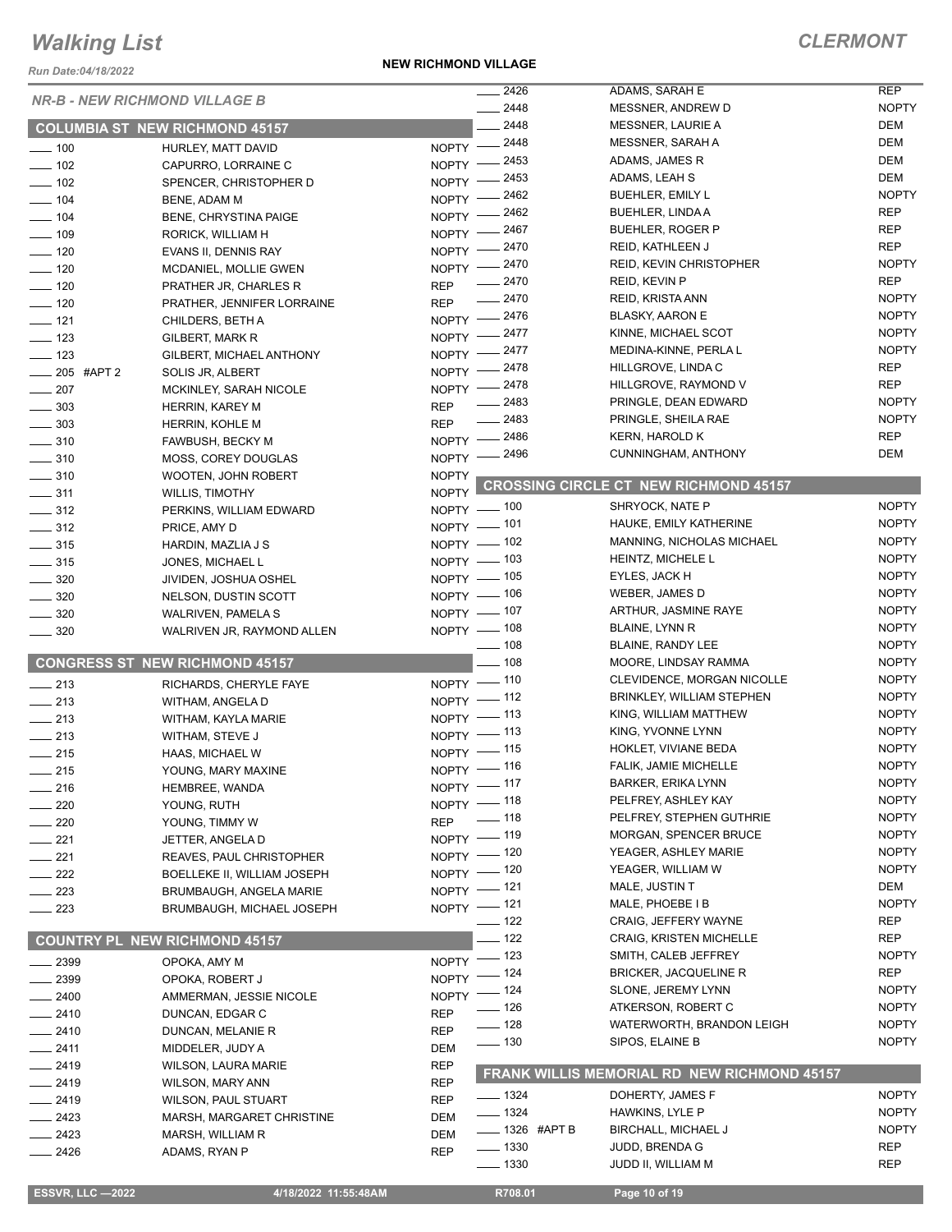*Run Date:04/18/2022*

#### **NEW RICHMOND VILLAGE**

|                                      |                                       |                    | 2426                      | ADAMS, SARAH E                               | <b>REP</b>   |
|--------------------------------------|---------------------------------------|--------------------|---------------------------|----------------------------------------------|--------------|
| <b>NR-B - NEW RICHMOND VILLAGE B</b> |                                       |                    | 2448                      | MESSNER, ANDREW D                            | <b>NOPTY</b> |
|                                      | <b>COLUMBIA ST NEW RICHMOND 45157</b> |                    | 2448                      | MESSNER, LAURIE A                            | DEM          |
|                                      |                                       |                    | NOPTY -2448               | <b>MESSNER, SARAH A</b>                      | DEM          |
| $\frac{1}{2}$ 100                    | HURLEY, MATT DAVID                    | $N$ OPTY $-$       | $= 2453$                  | ADAMS, JAMES R                               | <b>DEM</b>   |
| $- 102$                              | CAPURRO, LORRAINE C                   | NOPTY $-$          | $-2453$                   | ADAMS, LEAH S                                | DEM          |
| $\sim$ 102                           | SPENCER, CHRISTOPHER D                |                    | 2462                      | BUEHLER, EMILY L                             | <b>NOPTY</b> |
| $- 104$                              | BENE, ADAM M                          | NOPTY -            | _ 2462                    | <b>BUEHLER, LINDA A</b>                      | <b>REP</b>   |
| $\frac{1}{2}$ 104                    | <b>BENE, CHRYSTINA PAIGE</b>          | $N$ OPTY -         |                           | <b>BUEHLER, ROGER P</b>                      | <b>REP</b>   |
| $- 109$                              | RORICK, WILLIAM H                     |                    | NOPTY -2467               | REID, KATHLEEN J                             | <b>REP</b>   |
| $\frac{1}{2}$ 120                    | EVANS II, DENNIS RAY                  |                    | NOPTY -2470               | <b>REID, KEVIN CHRISTOPHER</b>               | <b>NOPTY</b> |
| $\frac{1}{2}$ 120                    | MCDANIEL, MOLLIE GWEN                 |                    | NOPTY -2470               |                                              | <b>REP</b>   |
| $- 120$                              | PRATHER JR, CHARLES R                 | <b>REP</b>         | $-2470$                   | REID, KEVIN P                                |              |
| $- 120$                              | PRATHER, JENNIFER LORRAINE            | <b>REP</b>         | $\frac{1}{2470}$          | <b>REID, KRISTA ANN</b>                      | <b>NOPTY</b> |
| $\frac{1}{2}$ 121                    | CHILDERS, BETH A                      |                    | NOPTY -2476               | <b>BLASKY, AARON E</b>                       | <b>NOPTY</b> |
| $\frac{1}{2}$ 123                    | GILBERT, MARK R                       |                    | NOPTY -2477               | KINNE, MICHAEL SCOT                          | <b>NOPTY</b> |
| $\frac{1}{2}$ 123                    | GILBERT, MICHAEL ANTHONY              |                    | NOPTY -2477               | MEDINA-KINNE, PERLA L                        | <b>NOPTY</b> |
| $-205$ #APT 2                        | SOLIS JR, ALBERT                      |                    | NOPTY -2478               | HILLGROVE, LINDA C                           | <b>REP</b>   |
| $\frac{1}{207}$                      | MCKINLEY, SARAH NICOLE                |                    | NOPTY -2478               | HILLGROVE, RAYMOND V                         | <b>REP</b>   |
| $\frac{1}{2}$ 303                    | HERRIN, KAREY M                       | <b>REP</b>         | $-2483$                   | PRINGLE, DEAN EDWARD                         | <b>NOPTY</b> |
| $\frac{1}{2}$ 303                    | HERRIN, KOHLE M                       | <b>REP</b>         | $-2483$                   | PRINGLE, SHEILA RAE                          | <b>NOPTY</b> |
| $\frac{1}{2}$ 310                    | FAWBUSH, BECKY M                      |                    | NOPTY -2486               | KERN, HAROLD K                               | <b>REP</b>   |
| $\frac{1}{2}$ 310                    | MOSS, COREY DOUGLAS                   |                    | NOPTY -2496               | CUNNINGHAM, ANTHONY                          | <b>DEM</b>   |
| $\frac{1}{2}$ 310                    | WOOTEN, JOHN ROBERT                   | <b>NOPTY</b>       |                           |                                              |              |
| $\frac{1}{2}$ 311                    | <b>WILLIS, TIMOTHY</b>                | NOPTY <sup>L</sup> |                           | <b>CROSSING CIRCLE CT NEW RICHMOND 45157</b> |              |
| $\frac{1}{2}$ 312                    | PERKINS, WILLIAM EDWARD               |                    | NOPTY - 100               | SHRYOCK, NATE P                              | <b>NOPTY</b> |
| $\frac{1}{2}$ 312                    |                                       |                    | NOPTY - 101               | HAUKE, EMILY KATHERINE                       | <b>NOPTY</b> |
|                                      | PRICE, AMY D                          |                    | NOPTY - 102               | MANNING, NICHOLAS MICHAEL                    | <b>NOPTY</b> |
| $\frac{1}{2}$ 315                    | HARDIN, MAZLIA J S                    |                    | NOPTY - 103               | HEINTZ, MICHELE L                            | <b>NOPTY</b> |
| $\frac{1}{2}$ 315                    | JONES, MICHAEL L                      |                    | NOPTY - 105               | EYLES, JACK H                                | <b>NOPTY</b> |
| $\frac{1}{2}$ 320                    | JIVIDEN, JOSHUA OSHEL                 |                    | NOPTY - 106               | WEBER, JAMES D                               | <b>NOPTY</b> |
| $\frac{1}{2}$ 320                    | NELSON, DUSTIN SCOTT                  |                    |                           |                                              |              |
| $\frac{1}{2}$ 320                    | WALRIVEN, PAMELA S                    |                    | NOPTY - 107               | ARTHUR, JASMINE RAYE                         | <b>NOPTY</b> |
| $\frac{1}{2}$ 320                    | WALRIVEN JR, RAYMOND ALLEN            |                    | NOPTY - 108               | BLAINE, LYNN R                               | <b>NOPTY</b> |
|                                      |                                       |                    | $\frac{1}{2}$ 108         | BLAINE, RANDY LEE                            | <b>NOPTY</b> |
|                                      | <b>CONGRESS ST NEW RICHMOND 45157</b> |                    | $- 108$                   | MOORE, LINDSAY RAMMA                         | <b>NOPTY</b> |
| $\frac{1}{213}$                      | RICHARDS, CHERYLE FAYE                |                    | NOPTY - 110               | CLEVIDENCE, MORGAN NICOLLE                   | <b>NOPTY</b> |
| $\frac{1}{213}$                      | WITHAM, ANGELA D                      |                    | NOPTY -112                | <b>BRINKLEY, WILLIAM STEPHEN</b>             | <b>NOPTY</b> |
| $\frac{1}{213}$                      | WITHAM, KAYLA MARIE                   |                    | NOPTY -113                | KING, WILLIAM MATTHEW                        | <b>NOPTY</b> |
| $\frac{1}{213}$                      | WITHAM, STEVE J                       |                    | $NOPTY$ - 113             | KING, YVONNE LYNN                            | <b>NOPTY</b> |
| $\frac{1}{215}$                      | HAAS, MICHAEL W                       |                    | NOPTY - 115               | HOKLET, VIVIANE BEDA                         | <b>NOPTY</b> |
| $\frac{1}{215}$                      | YOUNG, MARY MAXINE                    |                    |                           |                                              |              |
|                                      |                                       |                    |                           | FALIK, JAMIE MICHELLE                        | <b>NOPTY</b> |
|                                      |                                       |                    | NOPTY - 116               | BARKER, ERIKA LYNN                           | <b>NOPTY</b> |
| $-216$                               | HEMBREE, WANDA                        |                    | NOPTY -117                | PELFREY, ASHLEY KAY                          | <b>NOPTY</b> |
| 220                                  | YOUNG, RUTH                           |                    | NOPTY - 118               | PELFREY, STEPHEN GUTHRIE                     | <b>NOPTY</b> |
| 220                                  | YOUNG, TIMMY W                        | <b>REP</b>         | $\frac{1}{2}$ 118         | MORGAN, SPENCER BRUCE                        | <b>NOPTY</b> |
| $-221$                               | JETTER, ANGELA D                      |                    | NOPTY - 119               | YEAGER, ASHLEY MARIE                         | <b>NOPTY</b> |
| $-221$                               | REAVES, PAUL CHRISTOPHER              |                    | NOPTY - 120               |                                              |              |
| $\sim$ 222                           | BOELLEKE II, WILLIAM JOSEPH           |                    | NOPTY - 120               | YEAGER, WILLIAM W                            | <b>NOPTY</b> |
| $\sim$ 223                           | BRUMBAUGH, ANGELA MARIE               |                    | NOPTY - 121               | MALE, JUSTIN T                               | DEM          |
| $\sim$ 223                           | BRUMBAUGH, MICHAEL JOSEPH             |                    | NOPTY - 121               | MALE, PHOEBE I B                             | <b>NOPTY</b> |
|                                      |                                       |                    | $\frac{1}{2}$ 122         | CRAIG, JEFFERY WAYNE                         | REP          |
|                                      | <b>COUNTRY PL NEW RICHMOND 45157</b>  |                    | $-$ 122                   | <b>CRAIG, KRISTEN MICHELLE</b>               | <b>REP</b>   |
| $-2399$                              | OPOKA, AMY M                          |                    | NOPTY - 123               | SMITH, CALEB JEFFREY                         | <b>NOPTY</b> |
| _ 2399                               | OPOKA, ROBERT J                       |                    | NOPTY - 124               | <b>BRICKER, JACQUELINE R</b>                 | <b>REP</b>   |
| $-2400$                              | AMMERMAN, JESSIE NICOLE               |                    | NOPTY - 124               | SLONE, JEREMY LYNN                           | <b>NOPTY</b> |
| __ 2410                              | DUNCAN, EDGAR C                       | <b>REP</b>         | $- 126$                   | ATKERSON, ROBERT C                           | <b>NOPTY</b> |
| $-2410$                              | DUNCAN, MELANIE R                     | <b>REP</b>         | $- 128$                   | WATERWORTH, BRANDON LEIGH                    | <b>NOPTY</b> |
| $-2411$                              |                                       | <b>DEM</b>         | $\frac{1}{2}$ 130         | SIPOS, ELAINE B                              | <b>NOPTY</b> |
|                                      | MIDDELER, JUDY A                      |                    |                           |                                              |              |
| $-2419$                              | <b>WILSON, LAURA MARIE</b>            | <b>REP</b>         |                           | FRANK WILLIS MEMORIAL RD NEW RICHMOND 45157  |              |
| $-2419$                              | WILSON, MARY ANN                      | <b>REP</b>         | $- 1324$                  | DOHERTY, JAMES F                             | <b>NOPTY</b> |
| __ 2419                              | <b>WILSON, PAUL STUART</b>            | <b>REP</b>         | —— 1324                   | HAWKINS, LYLE P                              | <b>NOPTY</b> |
| $-2423$                              | MARSH, MARGARET CHRISTINE             | <b>DEM</b>         | $\frac{1}{2}$ 1326 #APT B | BIRCHALL, MICHAEL J                          | <b>NOPTY</b> |
| $-2423$                              | MARSH, WILLIAM R                      | DEM                |                           |                                              | <b>REP</b>   |
| __ 2426                              | ADAMS, RYAN P                         | <b>REP</b>         | $\frac{1}{2}$ 1330        | <b>JUDD, BRENDA G</b>                        |              |
|                                      |                                       |                    | $\frac{1}{2}$ 1330        | JUDD II, WILLIAM M                           | <b>REP</b>   |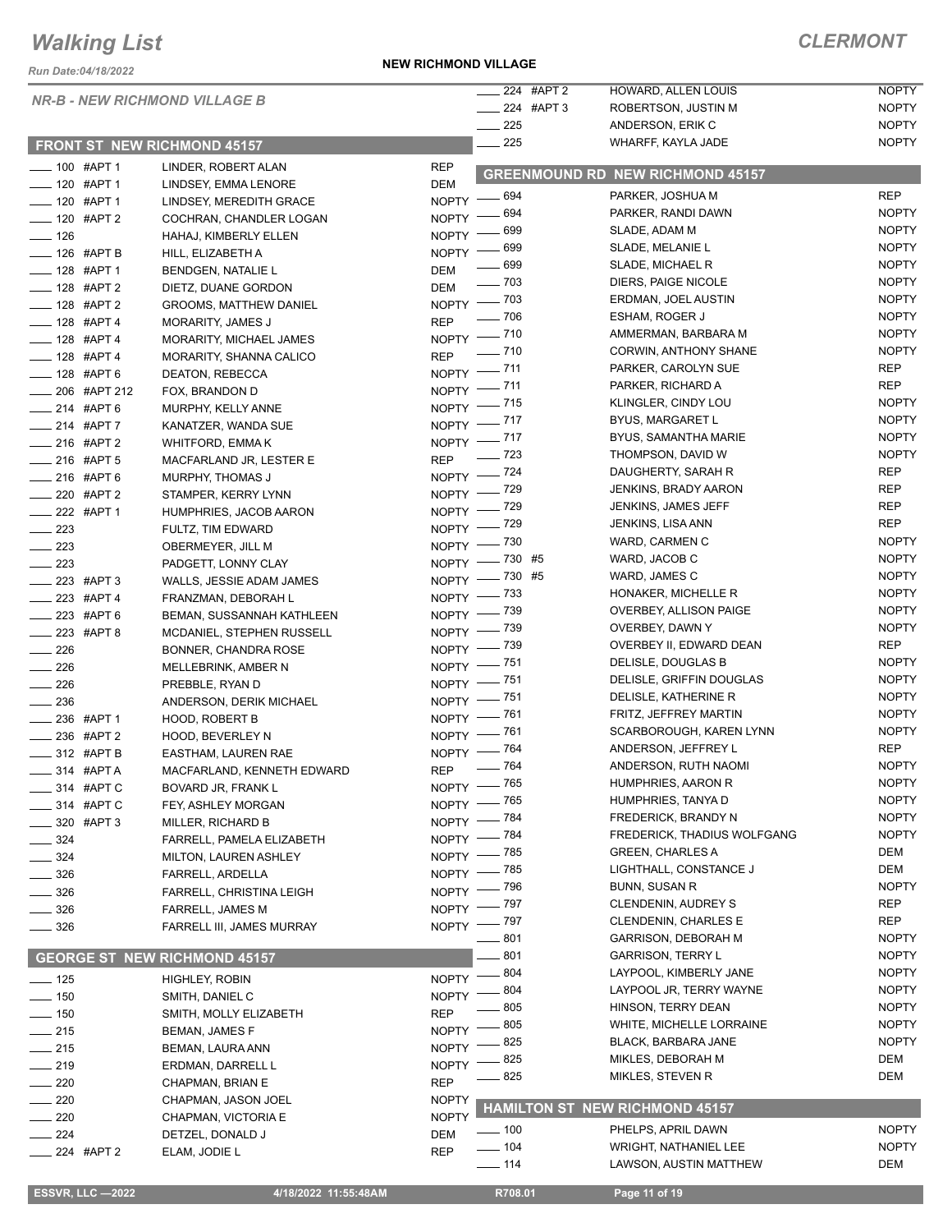*Run Date:04/18/2022*

#### *NR-B - NEW RICHMOND VILLAGE B*

#### **FRONT ST NEW RICHMOND 45157**

| _____ 224 #APT 2       | <b>HOWARD, ALLEN LOUIS</b> | <b>NOPTY</b> |
|------------------------|----------------------------|--------------|
| $\frac{1}{224}$ #APT 3 | ROBERTSON, JUSTIN M        | <b>NOPTY</b> |
| 225                    | ANDERSON, ERIK C           | <b>NOPTY</b> |
| 225                    | WHARFF, KAYLA JADE         | <b>NOPTY</b> |
|                        |                            |              |

|     | __ _       |                     | .            |
|-----|------------|---------------------|--------------|
|     | 224 #APT 3 | ROBERTSON, JUSTIN M | <b>NOPTY</b> |
| 225 |            | ANDERSON, ERIK C    | <b>NOPTY</b> |
| 225 |            | WHARFF, KAYLA JADE  | <b>NOPTY</b> |
|     |            |                     |              |

| $- 100$ #APT 1           |                          | LINDER, ROBERT ALAN                 | <b>REP</b>   |                   |                                         |              |
|--------------------------|--------------------------|-------------------------------------|--------------|-------------------|-----------------------------------------|--------------|
| __ 120 #APT 1            |                          | LINDSEY, EMMA LENORE                | <b>DEM</b>   |                   | <b>GREENMOUND RD NEW RICHMOND 45157</b> |              |
| -120 #APT 1              |                          | LINDSEY, MEREDITH GRACE             | NOPTY $-$    | _ 694             | PARKER, JOSHUA M                        | <b>REP</b>   |
| -120 #APT 2              |                          | COCHRAN, CHANDLER LOGAN             | NOPTY -      | - 694             | PARKER, RANDI DAWN                      | <b>NOPTY</b> |
| $- 126$                  |                          | HAHAJ, KIMBERLY ELLEN               | NOPTY -      | 699               | SLADE, ADAM M                           | <b>NOPTY</b> |
| $-$ 126 #APT B           |                          | HILL, ELIZABETH A                   |              | NOPTY - 699       | SLADE, MELANIE L                        | <b>NOPTY</b> |
| $- 128$ #APT 1           |                          | <b>BENDGEN, NATALIE L</b>           | <b>DEM</b>   | $-699$            | SLADE, MICHAEL R                        | <b>NOPTY</b> |
| $- 128$ #APT 2           |                          | DIETZ, DUANE GORDON                 | <b>DEM</b>   | —— 703            | DIERS, PAIGE NICOLE                     | <b>NOPTY</b> |
| -8 #APT 2                |                          | <b>GROOMS, MATTHEW DANIEL</b>       |              | NOPTY - 703       | ERDMAN, JOEL AUSTIN                     | <b>NOPTY</b> |
| $- 128$ #APT 4           |                          | <b>MORARITY, JAMES J</b>            | <b>REP</b>   | $\frac{1}{2}$ 706 | ESHAM, ROGER J                          | <b>NOPTY</b> |
| -128 #APT 4              |                          | MORARITY, MICHAEL JAMES             |              | NOPTY - 710       | AMMERMAN, BARBARA M                     | <b>NOPTY</b> |
| ____ 128 #APT 4          |                          | MORARITY, SHANNA CALICO             | <b>REP</b>   | $- 710$           | CORWIN, ANTHONY SHANE                   | <b>NOPTY</b> |
| $- 128$ #APT 6           |                          | DEATON, REBECCA                     |              | NOPTY - 711       | PARKER, CAROLYN SUE                     | REP          |
|                          | $\frac{1}{206}$ #APT 212 | FOX, BRANDON D                      |              | NOPTY -711        | PARKER, RICHARD A                       | REP          |
| $-214$ #APT 6            |                          | MURPHY, KELLY ANNE                  |              | NOPTY $-$ 715     | KLINGLER, CINDY LOU                     | <b>NOPTY</b> |
| __ 214 #APT 7            |                          | KANATZER, WANDA SUE                 |              | $NOPTY$ -717      | <b>BYUS, MARGARET L</b>                 | <b>NOPTY</b> |
| $-216$ #APT 2            |                          | WHITFORD, EMMA K                    |              | NOPTY -717        | BYUS, SAMANTHA MARIE                    | <b>NOPTY</b> |
| $-216$ #APT 5            |                          | MACFARLAND JR, LESTER E             | <b>REP</b>   | $\frac{1}{2}$ 723 | THOMPSON, DAVID W                       | <b>NOPTY</b> |
| $-216$ #APT 6            |                          | MURPHY, THOMAS J                    |              | NOPTY - 724       | DAUGHERTY, SARAH R                      | <b>REP</b>   |
| $\frac{1}{220}$ #APT 2   |                          | STAMPER, KERRY LYNN                 |              | NOPTY - 729       | JENKINS, BRADY AARON                    | <b>REP</b>   |
| ___ 222 #APT 1           |                          | HUMPHRIES, JACOB AARON              |              | NOPTY $ 729$      | <b>JENKINS, JAMES JEFF</b>              | <b>REP</b>   |
| $\sim$ 223               |                          | FULTZ, TIM EDWARD                   |              | NOPTY - 729       | JENKINS, LISA ANN                       | REP          |
| $\sim$ 223               |                          | OBERMEYER, JILL M                   |              | NOPTY - 730       | WARD, CARMEN C                          | <b>NOPTY</b> |
| $\sim$ 223               |                          | PADGETT, LONNY CLAY                 |              | NOPTY - 730 #5    | WARD, JACOB C                           | <b>NOPTY</b> |
| $223$ #APT 3             |                          | WALLS, JESSIE ADAM JAMES            |              | NOPTY - 730 #5    | WARD, JAMES C                           | <b>NOPTY</b> |
| ____ 223 #APT 4          |                          | FRANZMAN, DEBORAH L                 |              | NOPTY - 733       | HONAKER, MICHELLE R                     | <b>NOPTY</b> |
| $-223$ #APT 6            |                          | BEMAN, SUSSANNAH KATHLEEN           |              | NOPTY - 739       | OVERBEY, ALLISON PAIGE                  | <b>NOPTY</b> |
| $\frac{1}{223}$ #APT 8   |                          | MCDANIEL, STEPHEN RUSSELL           |              | NOPTY $ 739$      | OVERBEY, DAWN Y                         | <b>NOPTY</b> |
| $\frac{1}{226}$          |                          | <b>BONNER, CHANDRA ROSE</b>         |              | NOPTY - 739       | OVERBEY II, EDWARD DEAN                 | REP          |
| $\frac{226}{2}$          |                          | MELLEBRINK, AMBER N                 |              | NOPTY - 751       | DELISLE, DOUGLAS B                      | <b>NOPTY</b> |
| $\frac{1}{226}$          |                          | PREBBLE, RYAN D                     |              | NOPTY -751        | DELISLE, GRIFFIN DOUGLAS                | <b>NOPTY</b> |
| $-236$                   |                          | ANDERSON, DERIK MICHAEL             |              | NOPTY -751        | DELISLE, KATHERINE R                    | <b>NOPTY</b> |
| $236$ #APT 1             |                          | <b>HOOD, ROBERT B</b>               |              | NOPTY - 761       | FRITZ, JEFFREY MARTIN                   | <b>NOPTY</b> |
| $\frac{1}{2}$ 236 #APT 2 |                          | HOOD, BEVERLEY N                    |              | NOPTY - 761       | SCARBOROUGH, KAREN LYNN                 | <b>NOPTY</b> |
| $\frac{1}{2}$ 312 #APT B |                          | EASTHAM, LAUREN RAE                 |              | NOPTY - 764       | ANDERSON, JEFFREY L                     | REP          |
| $\frac{1}{2}$ 314 #APT A |                          | MACFARLAND, KENNETH EDWARD          |              | REP - 764         | ANDERSON, RUTH NAOMI                    | <b>NOPTY</b> |
| $\frac{1}{2}$ 314 #APT C |                          | <b>BOVARD JR, FRANK L</b>           |              | NOPTY - 765       | HUMPHRIES, AARON R                      | <b>NOPTY</b> |
| $\frac{1}{2}$ 314 #APT C |                          | FEY, ASHLEY MORGAN                  |              | NOPTY - 765       | HUMPHRIES, TANYA D                      | <b>NOPTY</b> |
| -820 #APT 3              |                          | MILLER, RICHARD B                   |              | NOPTY - 784       | FREDERICK, BRANDY N                     | <b>NOPTY</b> |
| $\frac{1}{2}$ 324        |                          | FARRELL, PAMELA ELIZABETH           |              | NOPTY - 784       | FREDERICK, THADIUS WOLFGANG             | <b>NOPTY</b> |
| 324                      |                          | MILTON, LAUREN ASHLEY               |              | NOPTY - 785       | <b>GREEN, CHARLES A</b>                 | <b>DEM</b>   |
| 326                      |                          | <b>FARRELL, ARDELLA</b>             |              | NOPTY - 785       | LIGHTHALL, CONSTANCE J                  | DEM          |
| 326                      |                          | FARRELL, CHRISTINA LEIGH            | NOPTY -      | _ 796             | BUNN, SUSAN R                           | <b>NOPTY</b> |
| 326                      |                          | <b>FARRELL, JAMES M</b>             |              | NOPTY - 797       | <b>CLENDENIN, AUDREY S</b>              | <b>REP</b>   |
| $-326$                   |                          | FARRELL III, JAMES MURRAY           |              | NOPTY - 797       | CLENDENIN, CHARLES E                    | <b>REP</b>   |
|                          |                          |                                     |              | —— 801            | <b>GARRISON, DEBORAH M</b>              | <b>NOPTY</b> |
|                          |                          | <b>GEORGE ST NEW RICHMOND 45157</b> |              | 801               | <b>GARRISON, TERRY L</b>                | <b>NOPTY</b> |
|                          |                          |                                     | <b>NOPTY</b> | 804               | LAYPOOL, KIMBERLY JANE                  | <b>NOPTY</b> |
| $\frac{1}{2}$ 125        |                          | HIGHLEY, ROBIN                      |              | 804               | LAYPOOL JR, TERRY WAYNE                 | <b>NOPTY</b> |
| $- 150$                  |                          | SMITH, DANIEL C                     | <b>NOPTY</b> | 805               | HINSON, TERRY DEAN                      | <b>NOPTY</b> |
| $- 150$                  |                          | SMITH, MOLLY ELIZABETH              | <b>REP</b>   | 805               | WHITE, MICHELLE LORRAINE                | <b>NOPTY</b> |
| $-215$                   |                          | <b>BEMAN, JAMES F</b>               | <b>NOPTY</b> | 825               | BLACK, BARBARA JANE                     | <b>NOPTY</b> |
| $-215$                   |                          | BEMAN, LAURA ANN                    | <b>NOPTY</b> | 825               | MIKLES, DEBORAH M                       | DEM          |
| 219                      |                          | ERDMAN, DARRELL L                   | <b>NOPTY</b> | 825               | MIKLES, STEVEN R                        | DEM          |
| $-220$                   |                          | CHAPMAN, BRIAN E                    | <b>REP</b>   |                   |                                         |              |
| $-220$                   |                          | CHAPMAN, JASON JOEL                 | <b>NOPTY</b> |                   | HAMILTON ST NEW RICHMOND 45157          |              |
| $-220$                   |                          | CHAPMAN, VICTORIA E                 | <b>NOPTY</b> | $\_\_$ 100        | PHELPS, APRIL DAWN                      | <b>NOPTY</b> |
| $-224$                   |                          | DETZEL, DONALD J                    | DEM          | $- 104$           | <b>WRIGHT, NATHANIEL LEE</b>            | <b>NOPTY</b> |
|                          | 224 #APT 2               | ELAM, JODIE L                       | <b>REP</b>   | $- 114$           | LAWSON, AUSTIN MATTHEW                  | DEM          |
|                          |                          |                                     |              |                   |                                         |              |
|                          | <b>ESSVR, LLC -2022</b>  | 4/18/2022 11:55:48AM                |              | R708.01           | Page 11 of 19                           |              |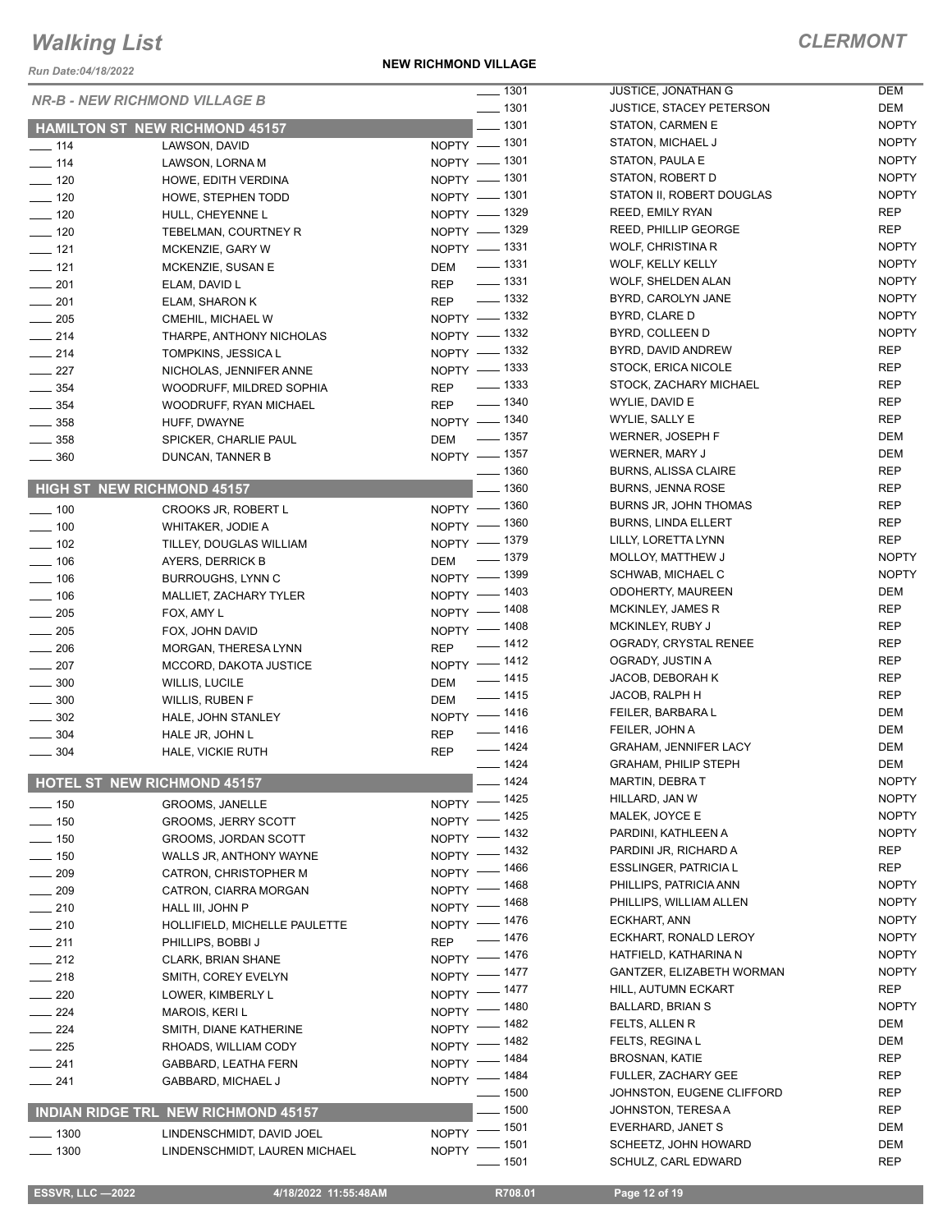*Run Date:04/18/2022*

**NEW RICHMOND VILLAGE**

|                   | <b>NR-B - NEW RICHMOND VILLAGE B</b>       | $- 1301$                  | <b>JUSTICE, JONATHAN G</b>      | DEM          |
|-------------------|--------------------------------------------|---------------------------|---------------------------------|--------------|
|                   |                                            | $\frac{1}{2}$ 1301        | <b>JUSTICE, STACEY PETERSON</b> | DEM          |
|                   | <b>HAMILTON ST NEW RICHMOND 45157</b>      | $- 1301$                  | STATON, CARMEN E                | <b>NOPTY</b> |
| $\frac{1}{2}$ 114 | LAWSON, DAVID                              | NOPTY - 1301              | STATON, MICHAEL J               | <b>NOPTY</b> |
| $- 114$           | LAWSON, LORNA M                            | NOPTY - 1301              | STATON, PAULA E                 | <b>NOPTY</b> |
| $- 120$           | HOWE, EDITH VERDINA                        | NOPTY - 1301              | STATON, ROBERT D                | <b>NOPTY</b> |
| $- 120$           | HOWE, STEPHEN TODD                         | NOPTY - 1301              | STATON II, ROBERT DOUGLAS       | <b>NOPTY</b> |
| $\frac{1}{2}$ 120 | HULL, CHEYENNE L                           | NOPTY - 1329              | <b>REED, EMILY RYAN</b>         | REP          |
| $- 120$           | TEBELMAN, COURTNEY R                       | NOPTY - 1329              | REED, PHILLIP GEORGE            | <b>REP</b>   |
| $- 121$           | MCKENZIE, GARY W                           | NOPTY - 1331              | <b>WOLF, CHRISTINA R</b>        | <b>NOPTY</b> |
| $\equiv$ 121      | MCKENZIE, SUSAN E                          | DEM - 1331                | WOLF, KELLY KELLY               | <b>NOPTY</b> |
| $\frac{1}{201}$   | ELAM, DAVID L                              | REP - 1331                | <b>WOLF, SHELDEN ALAN</b>       | <b>NOPTY</b> |
| $\frac{1}{201}$   |                                            | REP - 1332                | BYRD, CAROLYN JANE              | <b>NOPTY</b> |
|                   | ELAM, SHARON K                             | NOPTY - 1332              | BYRD, CLARE D                   | <b>NOPTY</b> |
| $\frac{1}{205}$   | CMEHIL, MICHAEL W                          | NOPTY - 1332              | BYRD, COLLEEN D                 | <b>NOPTY</b> |
| $\frac{1}{214}$   | THARPE, ANTHONY NICHOLAS                   | NOPTY - 1332              | BYRD, DAVID ANDREW              | <b>REP</b>   |
| $\frac{1}{214}$   | TOMPKINS, JESSICA L                        | NOPTY - 1333              | STOCK, ERICA NICOLE             | <b>REP</b>   |
| $\frac{1}{227}$   | NICHOLAS, JENNIFER ANNE                    |                           | STOCK, ZACHARY MICHAEL          | <b>REP</b>   |
| $\frac{1}{2}$ 354 | WOODRUFF, MILDRED SOPHIA                   | REP - 1333                |                                 |              |
| $\frac{1}{2}$ 354 | WOODRUFF, RYAN MICHAEL                     | REP - 1340                | WYLIE, DAVID E                  | <b>REP</b>   |
| $\frac{1}{2}$ 358 | HUFF, DWAYNE                               | NOPTY - 1340              | WYLIE, SALLY E                  | <b>REP</b>   |
| $\frac{1}{2}$ 358 | SPICKER, CHARLIE PAUL                      | $\frac{1}{2}$ 1357<br>DEM | <b>WERNER, JOSEPH F</b>         | <b>DEM</b>   |
| $\frac{1}{2}$ 360 | DUNCAN, TANNER B                           | NOPTY - 1357              | WERNER, MARY J                  | DEM          |
|                   |                                            | $\frac{1}{2}$ 1360        | <b>BURNS, ALISSA CLAIRE</b>     | <b>REP</b>   |
|                   | <b>HIGH ST NEW RICHMOND 45157</b>          | $-1360$                   | <b>BURNS, JENNA ROSE</b>        | <b>REP</b>   |
| $\frac{1}{2}$ 100 | CROOKS JR, ROBERT L                        | NOPTY - 1360              | <b>BURNS JR, JOHN THOMAS</b>    | <b>REP</b>   |
| $\frac{1}{2}$ 100 | <b>WHITAKER, JODIE A</b>                   | NOPTY - 1360              | <b>BURNS, LINDA ELLERT</b>      | <b>REP</b>   |
| $- 102$           | TILLEY, DOUGLAS WILLIAM                    | NOPTY - 1379              | LILLY, LORETTA LYNN             | <b>REP</b>   |
| $\frac{1}{2}$ 106 | AYERS, DERRICK B                           | DEM - 1379                | MOLLOY, MATTHEW J               | <b>NOPTY</b> |
| $\frac{1}{2}$ 106 | <b>BURROUGHS, LYNN C</b>                   | NOPTY - 1399              | SCHWAB, MICHAEL C               | <b>NOPTY</b> |
| $\frac{1}{2}$ 106 | MALLIET, ZACHARY TYLER                     | NOPTY - 1403              | <b>ODOHERTY, MAUREEN</b>        | DEM          |
| $\frac{1}{205}$   | FOX, AMY L                                 | NOPTY - 1408              | MCKINLEY, JAMES R               | <b>REP</b>   |
| $\sim$ 205        | FOX, JOHN DAVID                            | NOPTY - 1408              | MCKINLEY, RUBY J                | <b>REP</b>   |
| $\equiv$ 206      | MORGAN, THERESA LYNN                       | REP - 1412                | OGRADY, CRYSTAL RENEE           | <b>REP</b>   |
| $\frac{1}{207}$   | MCCORD, DAKOTA JUSTICE                     | NOPTY -1412               | OGRADY, JUSTIN A                | <b>REP</b>   |
| $\frac{1}{2}$ 300 | WILLIS, LUCILE                             | $\frac{1}{1415}$<br>DEM   | JACOB, DEBORAH K                | <b>REP</b>   |
| $\frac{1}{2}$ 300 |                                            | $- 1415$<br>DEM           | JACOB, RALPH H                  | <b>REP</b>   |
|                   | WILLIS, RUBEN F                            | NOPTY - 1416              | FEILER, BARBARA L               | DEM          |
| $\frac{1}{2}$ 302 | HALE, JOHN STANLEY                         | $- 1416$                  | FEILER, JOHN A                  | <b>DEM</b>   |
| $\frac{1}{2}$ 304 | HALE JR, JOHN L                            | <b>REP</b><br>$- 1424$    | <b>GRAHAM, JENNIFER LACY</b>    | DEM          |
| $\frac{1}{2}$ 304 | HALE, VICKIE RUTH                          | <b>REP</b><br>$- 1424$    | <b>GRAHAM, PHILIP STEPH</b>     | <b>DEM</b>   |
|                   | HOTEL ST NEW RICHMOND 45157                | $-1424$                   | MARTIN, DEBRAT                  | <b>NOPTY</b> |
|                   |                                            |                           |                                 | <b>NOPTY</b> |
| $- 150$           | GROOMS, JANELLE                            | NOPTY - 1425              | HILLARD, JAN W                  |              |
| $- 150$           | <b>GROOMS, JERRY SCOTT</b>                 | NOPTY - 1425              | MALEK, JOYCE E                  | <b>NOPTY</b> |
| $\frac{1}{2}$ 150 | GROOMS, JORDAN SCOTT                       | NOPTY - 1432              | PARDINI, KATHLEEN A             | <b>NOPTY</b> |
| $- 150$           | WALLS JR, ANTHONY WAYNE                    | NOPTY - 1432              | PARDINI JR, RICHARD A           | REP          |
| $\frac{1}{209}$   | CATRON, CHRISTOPHER M                      | NOPTY - 1466              | <b>ESSLINGER, PATRICIA L</b>    | REP          |
| $- 209$           | CATRON, CIARRA MORGAN                      | NOPTY - 1468              | PHILLIPS, PATRICIA ANN          | <b>NOPTY</b> |
| $-210$            | HALL III, JOHN P                           | NOPTY - 1468              | PHILLIPS, WILLIAM ALLEN         | <b>NOPTY</b> |
| $\sim$ 210        | HOLLIFIELD, MICHELLE PAULETTE              | NOPTY - 1476              | ECKHART, ANN                    | <b>NOPTY</b> |
| $-211$            | PHILLIPS, BOBBI J                          | $- 1476$<br><b>REP</b>    | ECKHART, RONALD LEROY           | <b>NOPTY</b> |
| $-212$            | <b>CLARK, BRIAN SHANE</b>                  | NOPTY - 1476              | HATFIELD, KATHARINA N           | <b>NOPTY</b> |
| $\frac{1}{218}$   | SMITH, COREY EVELYN                        | NOPTY - 1477              | GANTZER, ELIZABETH WORMAN       | <b>NOPTY</b> |
| $\sim$ 220        | LOWER, KIMBERLY L                          | NOPTY - 1477              | HILL, AUTUMN ECKART             | <b>REP</b>   |
| $-224$            | MAROIS, KERI L                             | NOPTY - 1480              | <b>BALLARD, BRIAN S</b>         | <b>NOPTY</b> |
| $\frac{1}{224}$   | SMITH, DIANE KATHERINE                     | NOPTY - 1482              | FELTS, ALLEN R                  | DEM          |
| $\frac{225}{2}$   |                                            | NOPTY - 1482              | FELTS, REGINA L                 | DEM          |
|                   | RHOADS, WILLIAM CODY                       | NOPTY - 1484              | <b>BROSNAN, KATIE</b>           | REP          |
| $-241$            | GABBARD, LEATHA FERN                       | NOPTY - 1484              | FULLER, ZACHARY GEE             | <b>REP</b>   |
| $-241$            | GABBARD, MICHAEL J                         | $\frac{1}{2}$ 1500        | JOHNSTON, EUGENE CLIFFORD       | <b>REP</b>   |
|                   | <b>INDIAN RIDGE TRL NEW RICHMOND 45157</b> | $-1500$                   | JOHNSTON, TERESA A              | <b>REP</b>   |
|                   |                                            |                           | EVERHARD, JANET S               | DEM          |
| $- 1300$          | LINDENSCHMIDT, DAVID JOEL                  | NOPTY - 1501              | SCHEETZ, JOHN HOWARD            | DEM          |
| $- 1300$          | LINDENSCHMIDT, LAUREN MICHAEL              | NOPTY - 1501<br>$-1501$   | SCHULZ, CARL EDWARD             | <b>REP</b>   |
|                   |                                            |                           |                                 |              |

 **ESSVR, LLC —2022 4/18/2022 11:55:48AM R708.01 Page 12 of 19**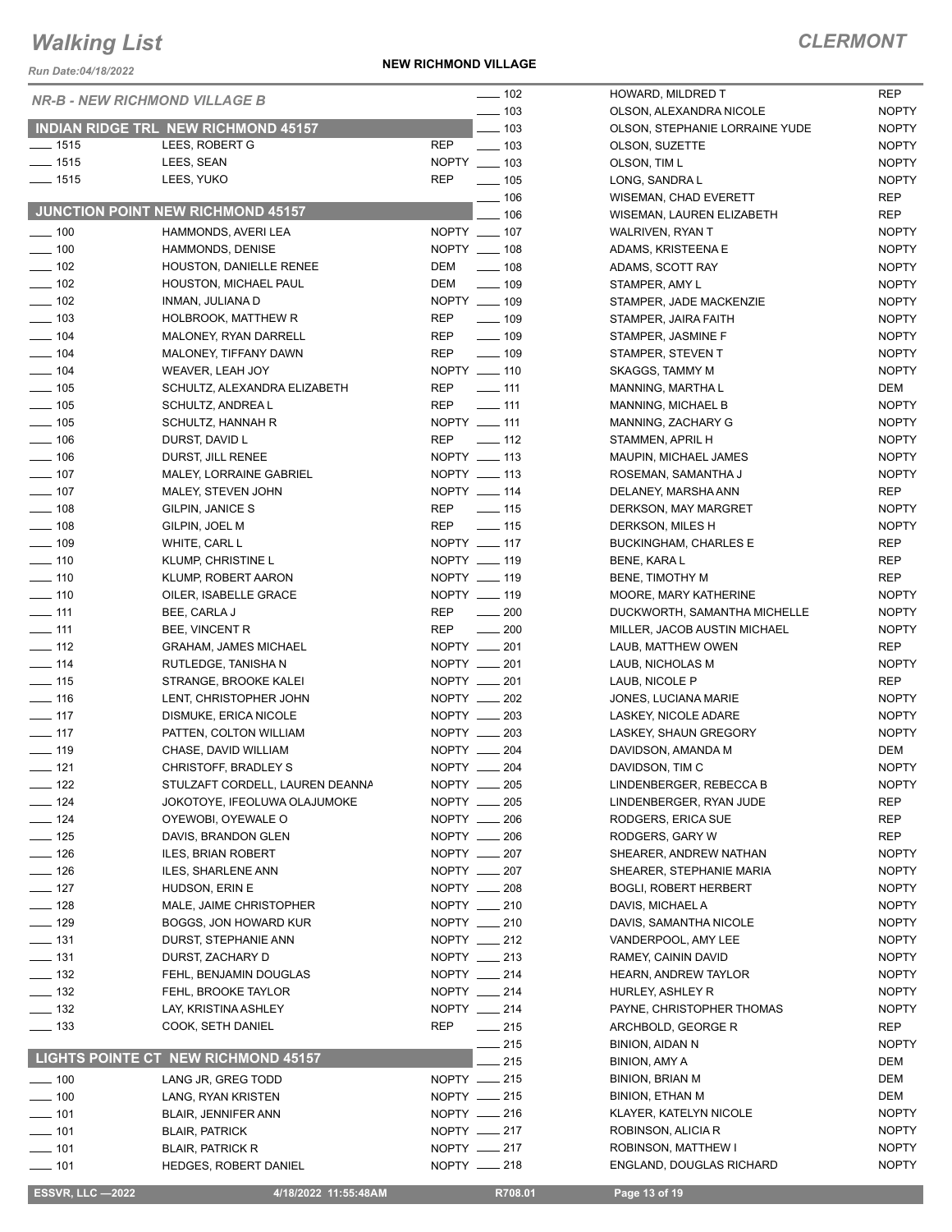*Run Date:04/18/2022*

**NEW RICHMOND VILLAGE**

#### *CLERMONT*

NOPTY

|                                        | <b>NR-B - NEW RICHMOND VILLAGE B</b>               | $\frac{1}{2}$ 102                        | HOWARD, MILDRED T                               | <b>REP</b>                   |
|----------------------------------------|----------------------------------------------------|------------------------------------------|-------------------------------------------------|------------------------------|
| $\frac{1}{2}$ 103                      |                                                    |                                          | OLSON, ALEXANDRA NICOLE                         | <b>NOPTY</b>                 |
|                                        | <b>INDIAN RIDGE TRL NEW RICHMOND 45157</b>         | $-103$                                   | OLSON, STEPHANIE LORRAINE YUDE                  | <b>NOPTY</b>                 |
| $- 1515$                               | LEES, ROBERT G                                     | <b>REP</b><br>$\frac{1}{2}$ 103          | OLSON, SUZETTE                                  | <b>NOPTY</b>                 |
| $- 1515$                               | LEES, SEAN                                         | NOPTY __ 103                             | OLSON, TIM L                                    | <b>NOPTY</b>                 |
| $- 1515$                               | LEES, YUKO                                         | <b>REP</b><br>$\frac{1}{2}$ 105          | LONG, SANDRA L                                  | <b>NOPTY</b>                 |
|                                        | JUNCTION POINT NEW RICHMOND 45157                  | $- 106$                                  | <b>WISEMAN, CHAD EVERETT</b>                    | REP                          |
|                                        |                                                    | $-106$                                   | WISEMAN, LAUREN ELIZABETH                       | <b>REP</b>                   |
| $- 100$                                | HAMMONDS, AVERI LEA                                | NOPTY __ 107                             | WALRIVEN, RYAN T                                | <b>NOPTY</b>                 |
| $\frac{1}{2}$ 100                      | <b>HAMMONDS, DENISE</b>                            | NOPTY __ 108                             | ADAMS, KRISTEENA E                              | <b>NOPTY</b>                 |
| $\frac{1}{2}$ 102                      | HOUSTON, DANIELLE RENEE                            | DEM<br>$\sim$ 108                        | ADAMS, SCOTT RAY                                | <b>NOPTY</b>                 |
| $\frac{1}{2}$ 102<br>$\frac{1}{2}$ 102 | HOUSTON, MICHAEL PAUL<br>INMAN, JULIANA D          | DEM<br>$\frac{1}{2}$ 109<br>NOPTY __ 109 | STAMPER, AMY L                                  | <b>NOPTY</b><br><b>NOPTY</b> |
| $\frac{1}{2}$ 103                      | <b>HOLBROOK, MATTHEW R</b>                         | <b>REP</b><br>$\frac{1}{2}$ 109          | STAMPER, JADE MACKENZIE<br>STAMPER, JAIRA FAITH | <b>NOPTY</b>                 |
| $- 104$                                | MALONEY, RYAN DARRELL                              | $\frac{1}{2}$ 109<br>REP                 | STAMPER, JASMINE F                              | <b>NOPTY</b>                 |
| $- 104$                                | MALONEY, TIFFANY DAWN                              | <b>REP</b><br>$- 109$                    | STAMPER, STEVEN T                               | <b>NOPTY</b>                 |
| $- 104$                                | WEAVER, LEAH JOY                                   | NOPTY __ 110                             | SKAGGS, TAMMY M                                 | <b>NOPTY</b>                 |
| $\frac{1}{2}$ 105                      | SCHULTZ, ALEXANDRA ELIZABETH                       | REP<br>$\frac{1}{2}$ 111                 | MANNING, MARTHA L                               | DEM                          |
| $- 105$                                | SCHULTZ, ANDREA L                                  | <b>REP</b><br>$- 111$                    | MANNING, MICHAEL B                              | <b>NOPTY</b>                 |
| $\frac{1}{2}$ 105                      | SCHULTZ, HANNAH R                                  | NOPTY __ 111                             | MANNING, ZACHARY G                              | <b>NOPTY</b>                 |
| $- 106$                                | DURST, DAVID L                                     | <b>REP</b><br>$\sim$ 112                 | STAMMEN, APRIL H                                | <b>NOPTY</b>                 |
| $\frac{1}{2}$ 106                      | DURST, JILL RENEE                                  | NOPTY __ 113                             | MAUPIN, MICHAEL JAMES                           | <b>NOPTY</b>                 |
| $- 107$                                | MALEY, LORRAINE GABRIEL                            | NOPTY __ 113                             | ROSEMAN, SAMANTHA J                             | <b>NOPTY</b>                 |
| $- 107$                                | MALEY, STEVEN JOHN                                 | NOPTY __ 114                             | DELANEY, MARSHA ANN                             | REP                          |
| $- 108$                                | GILPIN, JANICE S                                   | REP<br>$\frac{1}{2}$ 115                 | DERKSON, MAY MARGRET                            | <b>NOPTY</b>                 |
| $- 108$                                | GILPIN, JOEL M                                     | <b>REP</b><br>$\equiv$ 115               | DERKSON, MILES H                                | <b>NOPTY</b>                 |
| $- 109$                                | WHITE, CARL L                                      | NOPTY __ 117                             | <b>BUCKINGHAM, CHARLES E</b>                    | REP                          |
| $- 110$                                | KLUMP, CHRISTINE L                                 | NOPTY __ 119                             | BENE, KARA L                                    | REP                          |
| $\frac{1}{2}$ 110                      | KLUMP, ROBERT AARON                                | NOPTY __ 119                             | BENE, TIMOTHY M                                 | <b>REP</b>                   |
| $\frac{1}{2}$ 110                      | OILER, ISABELLE GRACE                              | NOPTY __ 119                             | MOORE, MARY KATHERINE                           | <b>NOPTY</b>                 |
| $-111$                                 | BEE, CARLA J                                       | REP<br>$\sim$ 200                        | DUCKWORTH, SAMANTHA MICHELLE                    | <b>NOPTY</b>                 |
| $\frac{1}{2}$ 111                      | BEE, VINCENT R                                     | REP<br>$\frac{1}{200}$                   | MILLER, JACOB AUSTIN MICHAEL                    | <b>NOPTY</b>                 |
| $\equiv$ 112                           | <b>GRAHAM, JAMES MICHAEL</b>                       | NOPTY __ 201                             | LAUB, MATTHEW OWEN                              | REP                          |
| $\frac{1}{2}$ 114                      | RUTLEDGE, TANISHA N                                | NOPTY __ 201                             | LAUB, NICHOLAS M                                | <b>NOPTY</b>                 |
| $\frac{1}{15}$                         | STRANGE, BROOKE KALEI                              | NOPTY __ 201                             | LAUB, NICOLE P                                  | REP                          |
| $- 116$                                | LENT, CHRISTOPHER JOHN                             | NOPTY __ 202                             | JONES, LUCIANA MARIE                            | <b>NOPTY</b>                 |
| $\frac{1}{2}$ 117                      | DISMUKE, ERICA NICOLE                              | NOPTY __ 203                             | LASKEY, NICOLE ADARE                            | <b>NOPTY</b>                 |
| $\frac{1}{2}$ 117                      | PATTEN, COLTON WILLIAM                             | NOPTY __ 203                             | LASKEY, SHAUN GREGORY                           | <b>NOPTY</b>                 |
| $- 119$                                | CHASE, DAVID WILLIAM                               | NOPTY __ 204                             | DAVIDSON, AMANDA M                              | DEM                          |
| $- 121$                                | CHRISTOFF, BRADLEY S                               | NOPTY __ 204                             | DAVIDSON, TIM C                                 | <b>NOPTY</b>                 |
| $\frac{1}{2}$ 122<br>$\frac{1}{2}$ 124 | STULZAFT CORDELL, LAUREN DEANNA                    | NOPTY __ 205<br>NOPTY __ 205             | LINDENBERGER, REBECCA B                         | <b>NOPTY</b>                 |
| $\frac{1}{2}$ 124                      | JOKOTOYE, IFEOLUWA OLAJUMOKE<br>OYEWOBI, OYEWALE O | NOPTY __ 206                             | LINDENBERGER, RYAN JUDE<br>RODGERS, ERICA SUE   | REP<br>REP                   |
| $\frac{1}{2}$ 125                      | DAVIS, BRANDON GLEN                                | NOPTY __ 206                             | RODGERS, GARY W                                 | REP                          |
| $\frac{1}{2}$ 126                      | <b>ILES, BRIAN ROBERT</b>                          | NOPTY __ 207                             | SHEARER, ANDREW NATHAN                          | <b>NOPTY</b>                 |
| $\frac{1}{2}$ 126                      | <b>ILES, SHARLENE ANN</b>                          | NOPTY __ 207                             | SHEARER, STEPHANIE MARIA                        | <b>NOPTY</b>                 |
| $\frac{1}{2}$ 127                      | HUDSON, ERIN E                                     | NOPTY __ 208                             | <b>BOGLI, ROBERT HERBERT</b>                    | <b>NOPTY</b>                 |
| $\equiv$ 128                           | MALE, JAIME CHRISTOPHER                            | NOPTY __ 210                             | DAVIS, MICHAEL A                                | <b>NOPTY</b>                 |
| $\frac{1}{2}$ 129                      | BOGGS, JON HOWARD KUR                              | NOPTY __ 210                             | DAVIS, SAMANTHA NICOLE                          | <b>NOPTY</b>                 |
| $- 131$                                | DURST, STEPHANIE ANN                               | NOPTY __ 212                             | VANDERPOOL, AMY LEE                             | <b>NOPTY</b>                 |
| $\frac{1}{2}$ 131                      | DURST, ZACHARY D                                   | NOPTY __ 213                             | RAMEY, CAININ DAVID                             | <b>NOPTY</b>                 |
| $\frac{1}{2}$ 132                      | FEHL, BENJAMIN DOUGLAS                             | NOPTY __ 214                             | <b>HEARN, ANDREW TAYLOR</b>                     | <b>NOPTY</b>                 |
| $\frac{1}{2}$ 132                      | FEHL, BROOKE TAYLOR                                | NOPTY __ 214                             | HURLEY, ASHLEY R                                | <b>NOPTY</b>                 |
| $\frac{1}{2}$ 132                      | LAY, KRISTINA ASHLEY                               | NOPTY __ 214                             | PAYNE, CHRISTOPHER THOMAS                       | <b>NOPTY</b>                 |
| $\frac{1}{2}$ 133                      | COOK, SETH DANIEL                                  | $\frac{1}{215}$<br>REP                   | ARCHBOLD, GEORGE R                              | REP                          |
|                                        |                                                    | $-215$                                   | <b>BINION, AIDAN N</b>                          | <b>NOPTY</b>                 |
|                                        | LIGHTS POINTE CT NEW RICHMOND 45157                | 215                                      | <b>BINION, AMY A</b>                            | DEM                          |
| $\frac{1}{2}$ 100                      | LANG JR, GREG TODD                                 | NOPTY -215                               | <b>BINION, BRIAN M</b>                          | DEM                          |
| $\frac{1}{2}$ 100                      | LANG, RYAN KRISTEN                                 | NOPTY $-215$                             | BINION, ETHAN M                                 | DEM                          |
| $- 101$                                | <b>BLAIR, JENNIFER ANN</b>                         | NOPTY - 216                              | KLAYER, KATELYN NICOLE                          | <b>NOPTY</b>                 |
| $\frac{1}{2}$ 101                      | <b>BLAIR, PATRICK</b>                              | NOPTY -217                               | ROBINSON, ALICIA R                              | <b>NOPTY</b>                 |
| $- 101$                                | <b>BLAIR, PATRICK R</b>                            | NOPTY __ 217                             | ROBINSON, MATTHEW I                             | <b>NOPTY</b>                 |
| $- 101$                                | <b>HEDGES, ROBERT DANIEL</b>                       | NOPTY - 218                              | <b>ENGLAND, DOUGLAS RICHARD</b>                 | <b>NOPTY</b>                 |
|                                        |                                                    |                                          |                                                 |                              |

 **ESSVR, LLC —2022 4/18/2022 11:55:48AM R708.01 Page 13 of 19**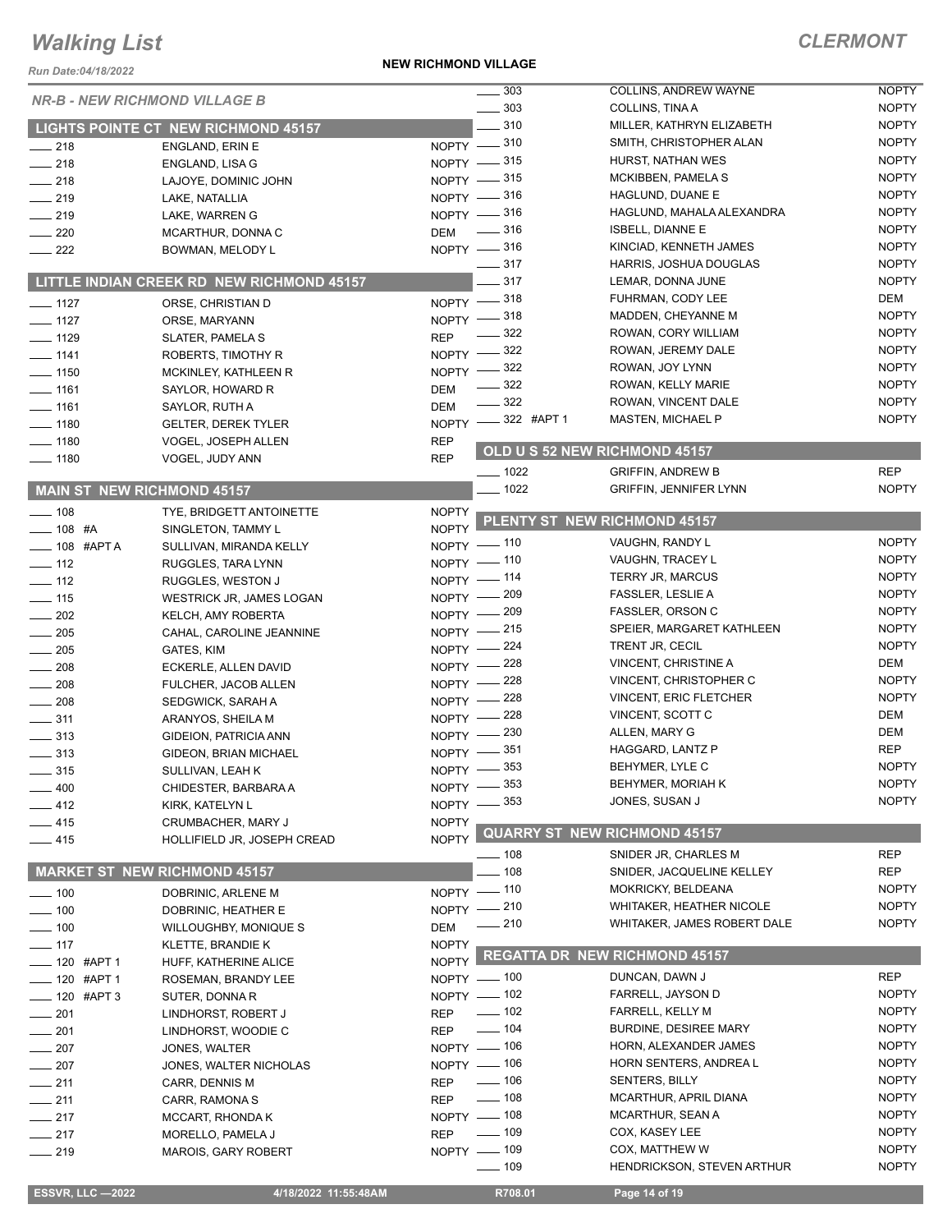#### **NEW RICHMOND VILLAGE**

| Run Date:04/18/2022                     |                                                   | <b>NEW RICHMOND VILLAGE</b> |                                 |                                                   |                              |
|-----------------------------------------|---------------------------------------------------|-----------------------------|---------------------------------|---------------------------------------------------|------------------------------|
|                                         |                                                   |                             | $\frac{1}{2}$ 303               | COLLINS, ANDREW WAYNE                             | <b>NOPTY</b>                 |
| <b>NR-B - NEW RICHMOND VILLAGE B</b>    |                                                   |                             | $\frac{1}{2}$ 303               | COLLINS, TINA A                                   | <b>NOPTY</b>                 |
|                                         | <b>LIGHTS POINTE CT NEW RICHMOND 45157</b>        |                             | $-310$                          | MILLER, KATHRYN ELIZABETH                         | <b>NOPTY</b>                 |
| $-218$                                  | ENGLAND, ERIN E                                   |                             | NOPTY -810                      | SMITH, CHRISTOPHER ALAN                           | <b>NOPTY</b>                 |
| $\frac{1}{218}$                         | ENGLAND, LISA G                                   |                             | NOPTY -815                      | HURST, NATHAN WES                                 | <b>NOPTY</b>                 |
| $-218$                                  | LAJOYE, DOMINIC JOHN                              |                             | NOPTY -815                      | MCKIBBEN, PAMELA S                                | <b>NOPTY</b>                 |
| $\frac{1}{219}$                         | LAKE, NATALLIA                                    |                             | NOPTY -816                      | HAGLUND, DUANE E                                  | <b>NOPTY</b>                 |
| $\frac{1}{219}$                         | LAKE, WARREN G                                    |                             | NOPTY -816                      | HAGLUND, MAHALA ALEXANDRA                         | <b>NOPTY</b>                 |
| $\frac{1}{220}$                         | MCARTHUR, DONNA C                                 | <b>DEM</b>                  | $\frac{1}{2}$ 316               | <b>ISBELL, DIANNE E</b><br>KINCIAD, KENNETH JAMES | <b>NOPTY</b><br><b>NOPTY</b> |
| $\frac{222}{2}$                         | BOWMAN, MELODY L                                  |                             | NOPTY -816<br>$\frac{1}{2}$ 317 | HARRIS, JOSHUA DOUGLAS                            | <b>NOPTY</b>                 |
|                                         | LITTLE INDIAN CREEK RD NEW RICHMOND 45157         |                             | $-317$                          | LEMAR, DONNA JUNE                                 | <b>NOPTY</b>                 |
|                                         |                                                   |                             | NOPTY -818                      | FUHRMAN, CODY LEE                                 | DEM                          |
| $\frac{1}{2}$ 1127<br>$- 1127$          | ORSE, CHRISTIAN D<br>ORSE, MARYANN                |                             | NOPTY -818                      | MADDEN, CHEYANNE M                                | <b>NOPTY</b>                 |
| $- 1129$                                | SLATER, PAMELA S                                  | <b>REP</b>                  | $\frac{1}{2}$ 322               | ROWAN, CORY WILLIAM                               | <b>NOPTY</b>                 |
| $- 1141$                                | ROBERTS, TIMOTHY R                                |                             | NOPTY -822                      | ROWAN, JEREMY DALE                                | <b>NOPTY</b>                 |
| $- 1150$                                | MCKINLEY, KATHLEEN R                              | NOPTY -                     | - 322                           | ROWAN, JOY LYNN                                   | <b>NOPTY</b>                 |
| $- 1161$                                | SAYLOR, HOWARD R                                  | <b>DEM</b>                  | 322                             | ROWAN, KELLY MARIE                                | <b>NOPTY</b>                 |
| $- 1161$                                | SAYLOR, RUTH A                                    | <b>DEM</b>                  | $\frac{322}{2}$                 | ROWAN, VINCENT DALE                               | <b>NOPTY</b>                 |
| $- 1180$                                | <b>GELTER, DEREK TYLER</b>                        |                             | NOPTY -822 #APT 1               | <b>MASTEN, MICHAEL P</b>                          | <b>NOPTY</b>                 |
| $- 1180$                                | VOGEL, JOSEPH ALLEN                               | <b>REP</b>                  |                                 | OLD U S 52 NEW RICHMOND 45157                     |                              |
| $- 1180$                                | VOGEL, JUDY ANN                                   | <b>REP</b>                  |                                 |                                                   |                              |
|                                         |                                                   |                             | $- 1022$                        | <b>GRIFFIN, ANDREW B</b>                          | <b>REP</b>                   |
| <b>MAIN ST NEW RICHMOND 45157</b>       |                                                   |                             | $-1022$                         | <b>GRIFFIN, JENNIFER LYNN</b>                     | <b>NOPTY</b>                 |
| $- 108$                                 | TYE. BRIDGETT ANTOINETTE                          | <b>NOPTY</b>                |                                 | PLENTY ST NEW RICHMOND 45157                      |                              |
| $- 108$ #A                              | SINGLETON, TAMMY L                                | <b>NOPTY</b>                | NOPTY - 110                     | VAUGHN, RANDY L                                   | <b>NOPTY</b>                 |
| $\equiv$ 108 #APTA<br>$\frac{1}{2}$ 112 | SULLIVAN, MIRANDA KELLY                           |                             | NOPTY - 110                     | VAUGHN, TRACEY L                                  | <b>NOPTY</b>                 |
| $\frac{1}{2}$ 112                       | RUGGLES, TARA LYNN                                |                             | NOPTY - 114                     | TERRY JR, MARCUS                                  | <b>NOPTY</b>                 |
| $\frac{1}{2}$ 115                       | RUGGLES, WESTON J<br>WESTRICK JR, JAMES LOGAN     |                             | NOPTY - 209                     | <b>FASSLER, LESLIE A</b>                          | <b>NOPTY</b>                 |
| $\frac{1}{202}$                         | KELCH, AMY ROBERTA                                |                             | NOPTY - 209                     | FASSLER, ORSON C                                  | <b>NOPTY</b>                 |
| $\sim$ 205                              | CAHAL, CAROLINE JEANNINE                          |                             | NOPTY - 215                     | SPEIER, MARGARET KATHLEEN                         | <b>NOPTY</b>                 |
| $\frac{1}{205}$                         | GATES, KIM                                        | $NOPTY =$                   | $-224$                          | TRENT JR, CECIL                                   | <b>NOPTY</b>                 |
| $\frac{1}{208}$                         | ECKERLE, ALLEN DAVID                              | $N$ OPTY $-$                | 228                             | <b>VINCENT, CHRISTINE A</b>                       | DEM                          |
| $\frac{1}{208}$                         | FULCHER, JACOB ALLEN                              | $NOPTY -$                   | _ 228                           | VINCENT, CHRISTOPHER C                            | <b>NOPTY</b>                 |
| $\sim$ 208                              | SEDGWICK, SARAH A                                 | $NOPTY$ —                   | 228                             | <b>VINCENT, ERIC FLETCHER</b>                     | <b>NOPTY</b>                 |
| $\frac{1}{2}$ 311                       | ARANYOS, SHEILA M                                 | $NOPTY -$                   | 228                             | VINCENT, SCOTT C                                  | <b>DEM</b>                   |
| $\frac{1}{2}$ 313                       | <b>GIDEION, PATRICIA ANN</b>                      |                             | NOPTY -230                      | ALLEN, MARY G                                     | DEM                          |
| $\frac{1}{2}$ 313                       | GIDEON, BRIAN MICHAEL                             |                             | NOPTY -851                      | HAGGARD, LANTZ P                                  | <b>REP</b>                   |
| $-315$                                  | SULLIVAN, LEAH K                                  |                             | NOPTY -853<br>353               | BEHYMER, LYLE C<br><b>BEHYMER, MORIAH K</b>       | <b>NOPTY</b><br><b>NOPTY</b> |
| $=400$                                  | CHIDESTER, BARBARA A                              | $NOPTY -$                   | NOPTY -853                      | JONES, SUSAN J                                    | <b>NOPTY</b>                 |
| $-412$                                  | KIRK, KATELYN L                                   |                             |                                 |                                                   |                              |
| $-415$<br>$-415$                        | CRUMBACHER, MARY J<br>HOLLIFIELD JR, JOSEPH CREAD | <b>NOPTY</b><br>NOPTY L     |                                 | <b>QUARRY ST NEW RICHMOND 45157</b>               |                              |
|                                         |                                                   |                             | $-108$                          | SNIDER JR, CHARLES M                              | <b>REP</b>                   |
|                                         | <b>MARKET ST NEW RICHMOND 45157</b>               |                             | 108                             | SNIDER, JACQUELINE KELLEY                         | <b>REP</b>                   |
| $\frac{1}{2}$ 100                       | DOBRINIC, ARLENE M                                |                             | NOPTY - 110                     | MOKRICKY, BELDEANA                                | <b>NOPTY</b>                 |
| $- 100$                                 | DOBRINIC, HEATHER E                               |                             | NOPTY -210                      | <b>WHITAKER, HEATHER NICOLE</b>                   | <b>NOPTY</b>                 |
| $- 100$                                 | <b>WILLOUGHBY, MONIQUE S</b>                      | <b>DEM</b>                  | $\frac{1}{210}$                 | WHITAKER, JAMES ROBERT DALE                       | <b>NOPTY</b>                 |
| $\frac{1}{2}$ 117                       | <b>KLETTE, BRANDIE K</b>                          | <b>NOPTY</b>                |                                 |                                                   |                              |
| ___ 120 #APT 1                          | HUFF, KATHERINE ALICE                             | NOPTY                       |                                 | <b>REGATTA DR NEW RICHMOND 45157</b>              |                              |
| $\frac{1}{2}$ 120 #APT 1                | ROSEMAN, BRANDY LEE                               |                             | NOPTY - 100                     | DUNCAN, DAWN J                                    | <b>REP</b>                   |
| ___ 120 #APT 3                          | SUTER, DONNA R                                    |                             | NOPTY $-$ 102                   | FARRELL, JAYSON D                                 | <b>NOPTY</b>                 |
| $\frac{1}{201}$                         | LINDHORST, ROBERT J                               | <b>REP</b>                  | $\frac{1}{2}$ 102               | FARRELL, KELLY M                                  | <b>NOPTY</b>                 |
| $-201$                                  | LINDHORST, WOODIE C                               | <b>REP</b>                  | $- 104$                         | BURDINE, DESIREE MARY                             | <b>NOPTY</b>                 |
| $\sim$ 207                              | JONES, WALTER                                     |                             | NOPTY - 106                     | HORN, ALEXANDER JAMES                             | <b>NOPTY</b><br><b>NOPTY</b> |
| $-207$                                  | JONES, WALTER NICHOLAS                            |                             | NOPTY - 106<br>$- 106$          | HORN SENTERS, ANDREA L<br><b>SENTERS, BILLY</b>   | <b>NOPTY</b>                 |
| $-211$<br>$-211$                        | CARR, DENNIS M                                    | <b>REP</b><br><b>REP</b>    | $\frac{1}{2}$ 108               | MCARTHUR, APRIL DIANA                             | <b>NOPTY</b>                 |
| $-217$                                  | CARR, RAMONA S<br>MCCART, RHONDA K                |                             | NOPTY - 108                     | MCARTHUR, SEAN A                                  | <b>NOPTY</b>                 |
| $-217$                                  | MORELLO, PAMELA J                                 | <b>REP</b>                  | $\frac{1}{2}$ 109               | COX, KASEY LEE                                    | <b>NOPTY</b>                 |
| $-219$                                  | <b>MAROIS, GARY ROBERT</b>                        |                             | NOPTY - 109                     | COX, MATTHEW W                                    | <b>NOPTY</b>                 |
|                                         |                                                   |                             | $\frac{1}{2}$ 109               | HENDRICKSON, STEVEN ARTHUR                        | <b>NOPTY</b>                 |
| <b>ESSVR, LLC -2022</b>                 | 4/18/2022 11:55:48AM                              |                             | R708.01                         | Page 14 of 19                                     |                              |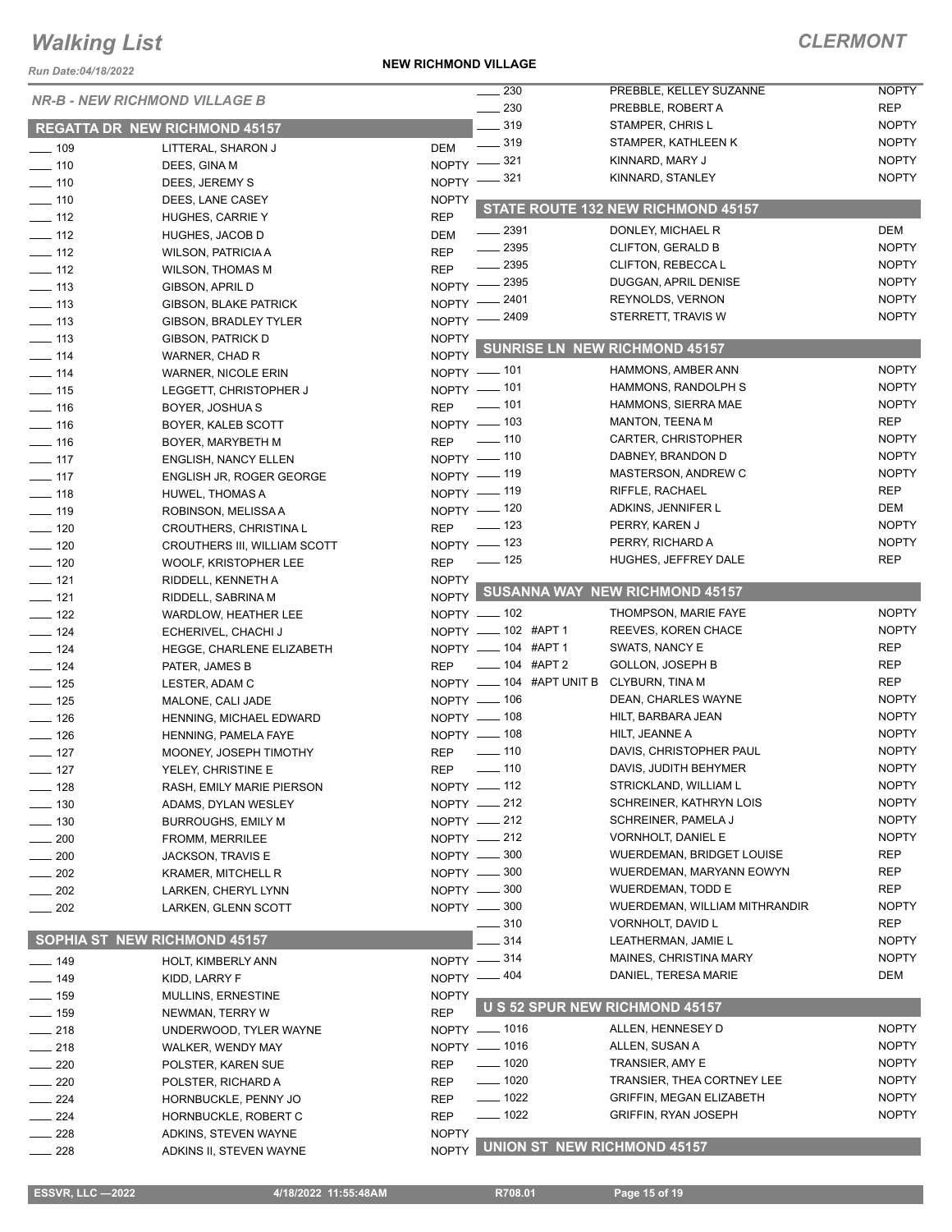*Run Date:04/18/2022*

**NEW RICHMOND VILLAGE**

### *CLERMONT*

| NUII DAIC.VY 10/4024<br><b>NR-B - NEW RICHMOND VILLAGE B</b> |                                                 |                              | $\sim$ 230                 | PREBBLE, KELLEY SUZANNE                  | <b>NOPTY</b>                 |
|--------------------------------------------------------------|-------------------------------------------------|------------------------------|----------------------------|------------------------------------------|------------------------------|
|                                                              |                                                 |                              | $\frac{1}{230}$            | PREBBLE, ROBERT A                        | <b>REP</b>                   |
|                                                              | <b>REGATTA DR NEW RICHMOND 45157</b>            |                              | $\equiv$ 319               | STAMPER, CHRIS L                         | <b>NOPTY</b>                 |
| $\frac{1}{2}$ 109                                            | LITTERAL, SHARON J                              | <b>DEM</b>                   | $\frac{1}{2}$ 319          | STAMPER, KATHLEEN K                      | <b>NOPTY</b>                 |
| $- 110$                                                      | DEES, GINA M                                    |                              | NOPTY -821                 | KINNARD, MARY J                          | <b>NOPTY</b>                 |
| $- 110$                                                      | DEES, JEREMY S                                  |                              | NOPTY $-$ 321              | KINNARD, STANLEY                         | <b>NOPTY</b>                 |
| $- 110$                                                      | DEES, LANE CASEY                                | <b>NOPTY</b>                 |                            |                                          |                              |
| $\frac{1}{2}$ 112                                            | <b>HUGHES, CARRIE Y</b>                         | <b>REP</b>                   |                            | STATE ROUTE 132 NEW RICHMOND 45157       |                              |
| $\equiv$ 112                                                 | <b>HUGHES, JACOB D</b>                          | <b>DEM</b>                   | $\frac{2391}{2}$           | DONLEY, MICHAEL R                        | <b>DEM</b>                   |
| $\frac{1}{2}$ 112                                            | <b>WILSON, PATRICIA A</b>                       | <b>REP</b>                   | $\frac{1}{2}$ 2395         | <b>CLIFTON, GERALD B</b>                 | <b>NOPTY</b>                 |
| $\frac{1}{2}$ 112                                            | <b>WILSON, THOMAS M</b>                         | <b>REP</b>                   | $\frac{1}{2}$ 2395         | CLIFTON, REBECCAL                        | <b>NOPTY</b>                 |
| $\frac{1}{2}$ 113                                            | <b>GIBSON, APRIL D</b>                          |                              | NOPTY -2395                | DUGGAN, APRIL DENISE                     | <b>NOPTY</b>                 |
| $\frac{1}{2}$ 113                                            | GIBSON, BLAKE PATRICK                           |                              | NOPTY -2401                | REYNOLDS, VERNON                         | <b>NOPTY</b>                 |
| $\frac{1}{2}$ 113                                            | <b>GIBSON, BRADLEY TYLER</b>                    |                              | NOPTY -2409                | STERRETT, TRAVIS W                       | <b>NOPTY</b>                 |
| $\frac{1}{2}$ 113                                            | <b>GIBSON, PATRICK D</b>                        | <b>NOPTY</b>                 |                            | <b>SUNRISE LN NEW RICHMOND 45157</b>     |                              |
| $- 114$                                                      | WARNER, CHAD R                                  | <b>NOPTY</b>                 |                            |                                          |                              |
| $\frac{1}{2}$ 114                                            | <b>WARNER, NICOLE ERIN</b>                      |                              | NOPTY - 101                | HAMMONS, AMBER ANN                       | <b>NOPTY</b>                 |
| $- 115$                                                      | LEGGETT, CHRISTOPHER J                          |                              | NOPTY - 101                | HAMMONS, RANDOLPH S                      | <b>NOPTY</b>                 |
| $\frac{1}{16}$                                               | <b>BOYER, JOSHUAS</b>                           | <b>REP</b>                   | $\sim$ 101                 | HAMMONS, SIERRA MAE                      | <b>NOPTY</b>                 |
| $\frac{1}{16}$                                               | BOYER, KALEB SCOTT                              |                              | NOPTY - 103                | <b>MANTON, TEENA M</b>                   | <b>REP</b><br><b>NOPTY</b>   |
| $\frac{1}{16}$                                               | BOYER, MARYBETH M                               | <b>REP</b>                   | $\sim$ 110                 | CARTER, CHRISTOPHER<br>DABNEY, BRANDON D | <b>NOPTY</b>                 |
| $-117$                                                       | <b>ENGLISH, NANCY ELLEN</b>                     |                              | NOPTY - 110                | <b>MASTERSON, ANDREW C</b>               | <b>NOPTY</b>                 |
| $\frac{1}{2}$ 117                                            | ENGLISH JR, ROGER GEORGE                        |                              | NOPTY - 119<br>NOPTY - 119 | RIFFLE, RACHAEL                          | <b>REP</b>                   |
| $\frac{1}{2}$ 118                                            | <b>HUWEL, THOMAS A</b>                          |                              | NOPTY - 120                | ADKINS, JENNIFER L                       | DEM                          |
| $\frac{1}{2}$ 119                                            | ROBINSON, MELISSA A                             | <b>REP</b>                   | $\frac{1}{2}$ 123          | PERRY, KAREN J                           | <b>NOPTY</b>                 |
| $\frac{1}{2}$ 120<br>$- 120$                                 | <b>CROUTHERS, CHRISTINA L</b>                   |                              | NOPTY - 123                | PERRY, RICHARD A                         | <b>NOPTY</b>                 |
| $\frac{1}{2}$ 120                                            | CROUTHERS III, WILLIAM SCOTT                    | <b>REP</b>                   | $\frac{1}{2}$ 125          | HUGHES, JEFFREY DALE                     | <b>REP</b>                   |
| $- 121$                                                      | WOOLF, KRISTOPHER LEE<br>RIDDELL, KENNETH A     | <b>NOPTY</b>                 |                            |                                          |                              |
| $- 121$                                                      | RIDDELL, SABRINA M                              | NOPTY                        |                            | SUSANNA WAY NEW RICHMOND 45157           |                              |
| $\frac{1}{2}$ 122                                            | <b>WARDLOW, HEATHER LEE</b>                     |                              | NOPTY - 102                | THOMPSON, MARIE FAYE                     | <b>NOPTY</b>                 |
| $\frac{1}{2}$ 124                                            | ECHERIVEL, CHACHI J                             |                              | NOPTY - 102 #APT 1         | REEVES, KOREN CHACE                      | <b>NOPTY</b>                 |
| $\frac{1}{2}$ 124                                            | HEGGE, CHARLENE ELIZABETH                       |                              | NOPTY - 104 #APT 1         | SWATS, NANCY E                           | <b>REP</b>                   |
| $- 124$                                                      | PATER, JAMES B                                  | <b>REP</b>                   | ___ 104 #APT 2             | <b>GOLLON, JOSEPH B</b>                  | REP                          |
| $\frac{1}{2}$ 125                                            | LESTER, ADAM C                                  |                              | NOPTY __ 104 #APT UNIT B   | CLYBURN, TINA M                          | <b>REP</b>                   |
| $- 125$                                                      | MALONE, CALI JADE                               |                              | $N$ OPTY $-$ 106           | DEAN, CHARLES WAYNE                      | <b>NOPTY</b>                 |
| $\frac{1}{2}$ 126                                            | HENNING, MICHAEL EDWARD                         |                              | NOPTY $-$ 108              | HILT, BARBARA JEAN                       | <b>NOPTY</b>                 |
| $\frac{1}{2}$ 126                                            | HENNING, PAMELA FAYE                            |                              | NOPTY - 108                | HILT, JEANNE A                           | <b>NOPTY</b>                 |
| $-127$                                                       | MOONEY, JOSEPH TIMOTHY                          | <b>REP</b>                   | $- 110$                    | DAVIS, CHRISTOPHER PAUL                  | <b>NOPTY</b>                 |
| $-127$                                                       | YELEY, CHRISTINE E                              | <b>REP</b>                   | .110                       | DAVIS, JUDITH BEHYMER                    | NOPTY                        |
| —— 128                                                       | RASH, EMILY MARIE PIERSON                       |                              | $NOPTY$ — 112              | STRICKLAND, WILLIAM L                    | <b>NOPTY</b>                 |
| $- 130$                                                      | ADAMS, DYLAN WESLEY                             |                              | NOPTY $-212$               | SCHREINER, KATHRYN LOIS                  | <b>NOPTY</b>                 |
| $\frac{1}{2}$ 130                                            | <b>BURROUGHS, EMILY M</b>                       |                              | NOPTY -212                 | SCHREINER, PAMELA J                      | <b>NOPTY</b>                 |
| $-200$                                                       | FROMM, MERRILEE                                 |                              | NOPTY -212                 | VORNHOLT, DANIEL E                       | <b>NOPTY</b>                 |
| $-200$                                                       | JACKSON, TRAVIS E                               |                              | NOPTY -800                 | WUERDEMAN, BRIDGET LOUISE                | <b>REP</b>                   |
| $=202$                                                       | <b>KRAMER, MITCHELL R</b>                       |                              | NOPTY -800                 | WUERDEMAN, MARYANN EOWYN                 | <b>REP</b>                   |
| $-202$                                                       | LARKEN, CHERYL LYNN                             |                              | NOPTY -800                 | <b>WUERDEMAN, TODD E</b>                 | REP                          |
| $\frac{1}{202}$                                              | LARKEN, GLENN SCOTT                             |                              | NOPTY -800                 | WUERDEMAN, WILLIAM MITHRANDIR            | <b>NOPTY</b>                 |
|                                                              |                                                 |                              | 310                        | VORNHOLT, DAVID L                        | REP                          |
|                                                              | <b>SOPHIA ST NEW RICHMOND 45157</b>             |                              | 314                        | LEATHERMAN, JAMIE L                      | <b>NOPTY</b>                 |
| $- 149$                                                      | HOLT, KIMBERLY ANN                              |                              | NOPTY -814                 | MAINES, CHRISTINA MARY                   | <b>NOPTY</b>                 |
| $- 149$                                                      | KIDD, LARRY F                                   |                              | NOPTY - 404                | DANIEL, TERESA MARIE                     | DEM                          |
| $-159$                                                       | MULLINS, ERNESTINE                              | <b>NOPTY</b>                 |                            | U S 52 SPUR NEW RICHMOND 45157           |                              |
| —— 159                                                       | NEWMAN, TERRY W                                 | <b>REP</b>                   |                            |                                          |                              |
| $-218$                                                       | UNDERWOOD, TYLER WAYNE                          |                              | NOPTY - 1016               | ALLEN, HENNESEY D                        | <b>NOPTY</b>                 |
| $-218$                                                       | <b>WALKER, WENDY MAY</b>                        |                              | NOPTY - 1016               | ALLEN, SUSAN A                           | <b>NOPTY</b>                 |
| $\sim$ 220                                                   | POLSTER, KAREN SUE                              | <b>REP</b>                   | $- 1020$                   | TRANSIER, AMY E                          | <b>NOPTY</b>                 |
| $-220$                                                       | POLSTER, RICHARD A                              | REP                          | $- 1020$                   | TRANSIER, THEA CORTNEY LEE               | <b>NOPTY</b>                 |
| $-224$                                                       | HORNBUCKLE, PENNY JO                            | <b>REP</b>                   | $- 1022$<br>$- 1022$       | <b>GRIFFIN, MEGAN ELIZABETH</b>          | <b>NOPTY</b><br><b>NOPTY</b> |
| $-224$                                                       | HORNBUCKLE, ROBERT C                            | <b>REP</b>                   |                            | <b>GRIFFIN, RYAN JOSEPH</b>              |                              |
| $=228$<br>$\sim$ 228                                         | ADKINS, STEVEN WAYNE<br>ADKINS II, STEVEN WAYNE | <b>NOPTY</b><br><b>NOPTY</b> |                            | <b>UNION ST NEW RICHMOND 45157</b>       |                              |
|                                                              |                                                 |                              |                            |                                          |                              |

 **ESSVR, LLC —2022 4/18/2022 11:55:48AM R708.01 Page 15 of 19**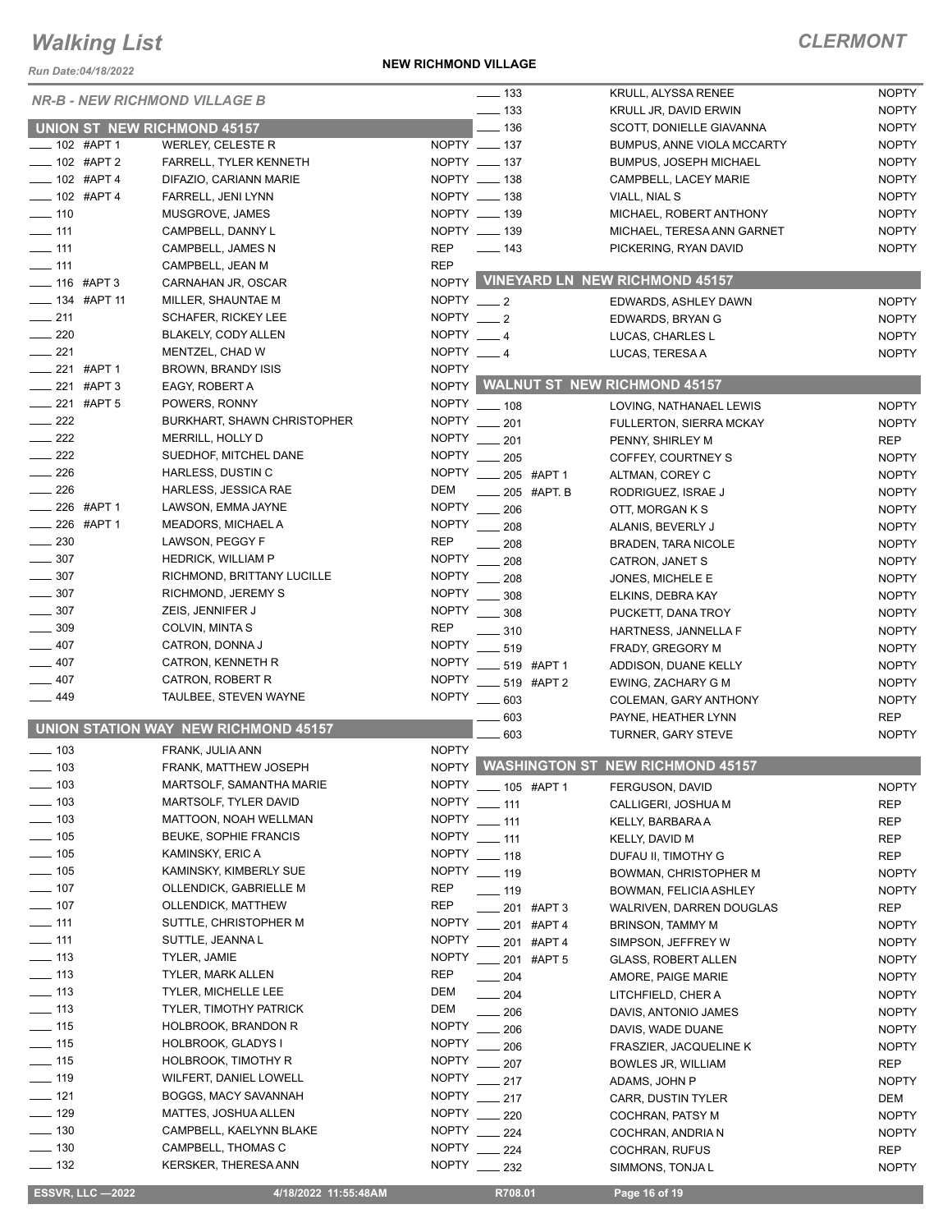*Run Date:04/18/2022*

#### **NEW RICHMOND VILLAGE**

### *CLERMONT*

| <b>NR-B - NEW RICHMOND VILLAGE B</b> |                                      |                 | $\frac{1}{2}$ 133                  | KRULL, ALYSSA RENEE                    | <b>NOPTY</b> |
|--------------------------------------|--------------------------------------|-----------------|------------------------------------|----------------------------------------|--------------|
|                                      |                                      |                 | $\frac{1}{2}$ 133                  | KRULL JR, DAVID ERWIN                  | <b>NOPTY</b> |
| <b>UNION ST NEW RICHMOND 45157</b>   |                                      |                 | $\frac{1}{2}$ 136                  | SCOTT, DONIELLE GIAVANNA               | <b>NOPTY</b> |
| ____ 102 #APT 1                      | WERLEY, CELESTE R                    |                 | NOPTY __ 137                       | <b>BUMPUS, ANNE VIOLA MCCARTY</b>      | <b>NOPTY</b> |
| $-$ 102 #APT 2                       | FARRELL, TYLER KENNETH               |                 | NOPTY __ 137                       | <b>BUMPUS, JOSEPH MICHAEL</b>          | <b>NOPTY</b> |
| $- 102$ #APT 4                       | DIFAZIO, CARIANN MARIE               |                 | NOPTY __ 138                       | CAMPBELL, LACEY MARIE                  | <b>NOPTY</b> |
| $- 102$ #APT 4                       | FARRELL, JENI LYNN                   |                 | NOPTY __ 138                       | VIALL, NIAL S                          | <b>NOPTY</b> |
| $- 110$                              | MUSGROVE, JAMES                      |                 | NOPTY __ 139                       | MICHAEL, ROBERT ANTHONY                | <b>NOPTY</b> |
|                                      |                                      |                 | NOPTY __ 139                       |                                        | <b>NOPTY</b> |
| $\frac{1}{2}$ 111                    | CAMPBELL, DANNY L                    |                 |                                    | MICHAEL, TERESA ANN GARNET             |              |
| $-$ 111                              | CAMPBELL, JAMES N                    | <b>REP</b>      | $\frac{1}{2}$ 143                  | PICKERING, RYAN DAVID                  | <b>NOPTY</b> |
| $\frac{1}{2}$ 111                    | CAMPBELL, JEAN M                     | <b>REP</b>      |                                    |                                        |              |
| $- 116$ #APT 3                       | CARNAHAN JR, OSCAR                   |                 |                                    | NOPTY VINEYARD LN NEW RICHMOND 45157   |              |
| $\frac{1}{2}$ 134 #APT 11            | MILLER, SHAUNTAE M                   | NOPTY $-2$      |                                    | EDWARDS, ASHLEY DAWN                   | <b>NOPTY</b> |
| $\frac{1}{211}$                      | <b>SCHAFER, RICKEY LEE</b>           | NOPTY $\_\_\_2$ |                                    | EDWARDS, BRYAN G                       | <b>NOPTY</b> |
| $\sim$ 220                           | BLAKELY, CODY ALLEN                  | NOPTY $-4$      |                                    | LUCAS, CHARLES L                       | <b>NOPTY</b> |
| $\frac{1}{221}$                      | MENTZEL, CHAD W                      | NOPTY $-4$      |                                    | LUCAS, TERESA A                        | <b>NOPTY</b> |
| __ 221 #APT 1                        | BROWN, BRANDY ISIS                   | <b>NOPTY</b>    |                                    |                                        |              |
| $-221$ #APT 3                        | EAGY, ROBERT A                       |                 | NOPTY WALNUT ST NEW RICHMOND 45157 |                                        |              |
| $\frac{1}{221}$ #APT 5               | POWERS, RONNY                        |                 | NOPTY __ 108                       | LOVING, NATHANAEL LEWIS                | <b>NOPTY</b> |
| $-222$                               | <b>BURKHART, SHAWN CHRISTOPHER</b>   |                 | NOPTY __ 201                       |                                        |              |
| $\sim$ 222                           |                                      |                 |                                    | <b>FULLERTON, SIERRA MCKAY</b>         | <b>NOPTY</b> |
|                                      | MERRILL, HOLLY D                     |                 | NOPTY __ 201                       | PENNY, SHIRLEY M                       | <b>REP</b>   |
| $\frac{1}{222}$                      | SUEDHOF, MITCHEL DANE                |                 | NOPTY __ 205                       | COFFEY, COURTNEY S                     | <b>NOPTY</b> |
| $\frac{1}{226}$                      | HARLESS, DUSTIN C                    |                 | NOPTY __ 205 #APT 1                | ALTMAN, COREY C                        | <b>NOPTY</b> |
| $\frac{1}{226}$                      | HARLESS, JESSICA RAE                 | DEM             | $\frac{1}{205}$ #APT. B            | RODRIGUEZ, ISRAE J                     | <b>NOPTY</b> |
| $-226$ #APT 1                        | LAWSON, EMMA JAYNE                   |                 | NOPTY __ 206                       | OTT, MORGAN K S                        | <b>NOPTY</b> |
| ____ 226 #APT 1                      | MEADORS, MICHAEL A                   | <b>NOPTY</b>    | $\frac{1}{208}$                    | ALANIS, BEVERLY J                      | <b>NOPTY</b> |
| $\frac{1}{2}$ 230                    | LAWSON, PEGGY F                      | <b>REP</b>      | 208                                | BRADEN, TARA NICOLE                    | <b>NOPTY</b> |
| $\frac{1}{2}$ 307                    | <b>HEDRICK, WILLIAM P</b>            | <b>NOPTY</b>    | $-208$                             | CATRON, JANET S                        | <b>NOPTY</b> |
| $\frac{1}{2}$ 307                    | RICHMOND, BRITTANY LUCILLE           |                 | NOPTY __ 208                       | JONES, MICHELE E                       | <b>NOPTY</b> |
| $\frac{1}{2}$ 307                    | RICHMOND, JEREMY S                   |                 | NOPTY _____ 308                    |                                        | <b>NOPTY</b> |
| $\frac{1}{2}$ 307                    | ZEIS, JENNIFER J                     |                 | NOPTY _____ 308                    | ELKINS, DEBRA KAY                      |              |
| $\frac{1}{2}$ 309                    |                                      |                 |                                    | PUCKETT, DANA TROY                     | <b>NOPTY</b> |
|                                      | COLVIN, MINTA S                      | <b>REP</b>      | $\frac{1}{2}$ 310                  | HARTNESS, JANNELLA F                   | <b>NOPTY</b> |
| $-407$                               | CATRON, DONNA J                      |                 | NOPTY __ 519                       | FRADY, GREGORY M                       | <b>NOPTY</b> |
| $-407$                               | CATRON, KENNETH R                    |                 | NOPTY ____ 519 #APT 1              | ADDISON, DUANE KELLY                   | <b>NOPTY</b> |
| $-407$                               | CATRON, ROBERT R                     |                 | NOPTY ____ 519 #APT 2              | EWING, ZACHARY G M                     | <b>NOPTY</b> |
| ___ 449                              | TAULBEE, STEVEN WAYNE                |                 | NOPTY __ 603                       | COLEMAN, GARY ANTHONY                  | <b>NOPTY</b> |
|                                      |                                      |                 | 603                                | PAYNE, HEATHER LYNN                    | <b>REP</b>   |
|                                      | UNION STATION WAY NEW RICHMOND 45157 |                 | 603                                | TURNER, GARY STEVE                     | <b>NOPTY</b> |
| $\frac{1}{2}$ 103                    | FRANK, JULIA ANN                     | <b>NOPTY</b>    |                                    |                                        |              |
| $\sim$ 103                           | FRANK, MATTHEW JOSEPH                |                 |                                    | NOPTY WASHINGTON ST NEW RICHMOND 45157 |              |
| $\frac{1}{2}$ 103                    | MARTSOLF, SAMANTHA MARIE             |                 | NOPTY __ 105 #APT 1                | FERGUSON, DAVID                        | <b>NOPTY</b> |
| $\equiv$ 103                         | <b>MARTSOLF, TYLER DAVID</b>         |                 | NOPTY __ 111                       | CALLIGERI, JOSHUA M                    | <b>REP</b>   |
| $\frac{1}{2}$ 103                    | MATTOON, NOAH WELLMAN                |                 | NOPTY __ 111                       |                                        |              |
| $\frac{1}{2}$ 105                    | <b>BEUKE, SOPHIE FRANCIS</b>         |                 | NOPTY __ 111                       | KELLY, BARBARA A                       | REP          |
|                                      |                                      |                 |                                    | KELLY, DAVID M                         | REP          |
| $\frac{1}{2}$ 105                    | KAMINSKY, ERIC A                     |                 | NOPTY __ 118                       | DUFAU II, TIMOTHY G                    | REP          |
| $\frac{1}{2}$ 105                    | KAMINSKY, KIMBERLY SUE               |                 | NOPTY __ 119                       | BOWMAN, CHRISTOPHER M                  | <b>NOPTY</b> |
| $- 107$                              | OLLENDICK, GABRIELLE M               | REP             | $\frac{1}{2}$ 119                  | BOWMAN, FELICIA ASHLEY                 | <b>NOPTY</b> |
| $\frac{1}{2}$ 107                    | OLLENDICK, MATTHEW                   | REP             | 201 #APT 3                         | WALRIVEN, DARREN DOUGLAS               | <b>REP</b>   |
| $- 111$                              | SUTTLE, CHRISTOPHER M                | <b>NOPTY</b>    | 201 #APT 4                         | BRINSON, TAMMY M                       | <b>NOPTY</b> |
| $-111$                               | SUTTLE, JEANNA L                     |                 | NOPTY __ 201 #APT 4                | SIMPSON, JEFFREY W                     | <b>NOPTY</b> |
| $- 113$                              | TYLER, JAMIE                         |                 | NOPTY __ 201 #APT 5                | GLASS, ROBERT ALLEN                    | <b>NOPTY</b> |
| $- 113$                              | TYLER, MARK ALLEN                    | REP             | $\frac{1}{204}$                    | AMORE, PAIGE MARIE                     | <b>NOPTY</b> |
| $\frac{1}{2}$ 113                    | <b>TYLER, MICHELLE LEE</b>           | DEM             | $\frac{1}{204}$                    | LITCHFIELD, CHER A                     | <b>NOPTY</b> |
| $- 113$                              | <b>TYLER, TIMOTHY PATRICK</b>        | DEM             | $\sim$ 206                         | DAVIS, ANTONIO JAMES                   | <b>NOPTY</b> |
| $- 115$                              | HOLBROOK, BRANDON R                  | <b>NOPTY</b>    | $\frac{1}{206}$                    | DAVIS, WADE DUANE                      | <b>NOPTY</b> |
| $- 115$                              | HOLBROOK, GLADYS I                   |                 | NOPTY __ 206                       |                                        |              |
| $- 115$                              | HOLBROOK, TIMOTHY R                  | NOPTY           |                                    | FRASZIER, JACQUELINE K                 | <b>NOPTY</b> |
|                                      |                                      |                 | $-207$                             | <b>BOWLES JR, WILLIAM</b>              | REP          |
| $- 119$                              | WILFERT, DANIEL LOWELL               |                 | NOPTY __ 217                       | ADAMS, JOHN P                          | <b>NOPTY</b> |
| $- 121$                              | BOGGS, MACY SAVANNAH                 | NOPTY           | $\frac{1}{217}$                    | <b>CARR, DUSTIN TYLER</b>              | DEM          |
| $- 129$                              | MATTES, JOSHUA ALLEN                 |                 | NOPTY 220                          | COCHRAN, PATSY M                       | <b>NOPTY</b> |
| $\frac{1}{2}$ 130                    | CAMPBELL, KAELYNN BLAKE              |                 | NOPTY __ 224                       | COCHRAN, ANDRIA N                      | <b>NOPTY</b> |
| $\frac{1}{2}$ 130                    | CAMPBELL, THOMAS C                   | <b>NOPTY</b>    | $-224$                             | <b>COCHRAN, RUFUS</b>                  | <b>REP</b>   |
| $\frac{1}{2}$ 132                    | KERSKER, THERESA ANN                 |                 | NOPTY __ 232                       | SIMMONS, TONJA L                       | <b>NOPTY</b> |
|                                      |                                      |                 |                                    |                                        |              |

**ESSVR, LLC —2022 4/18/2022 11:55:48AM** R708.01 **Page 16 of 19**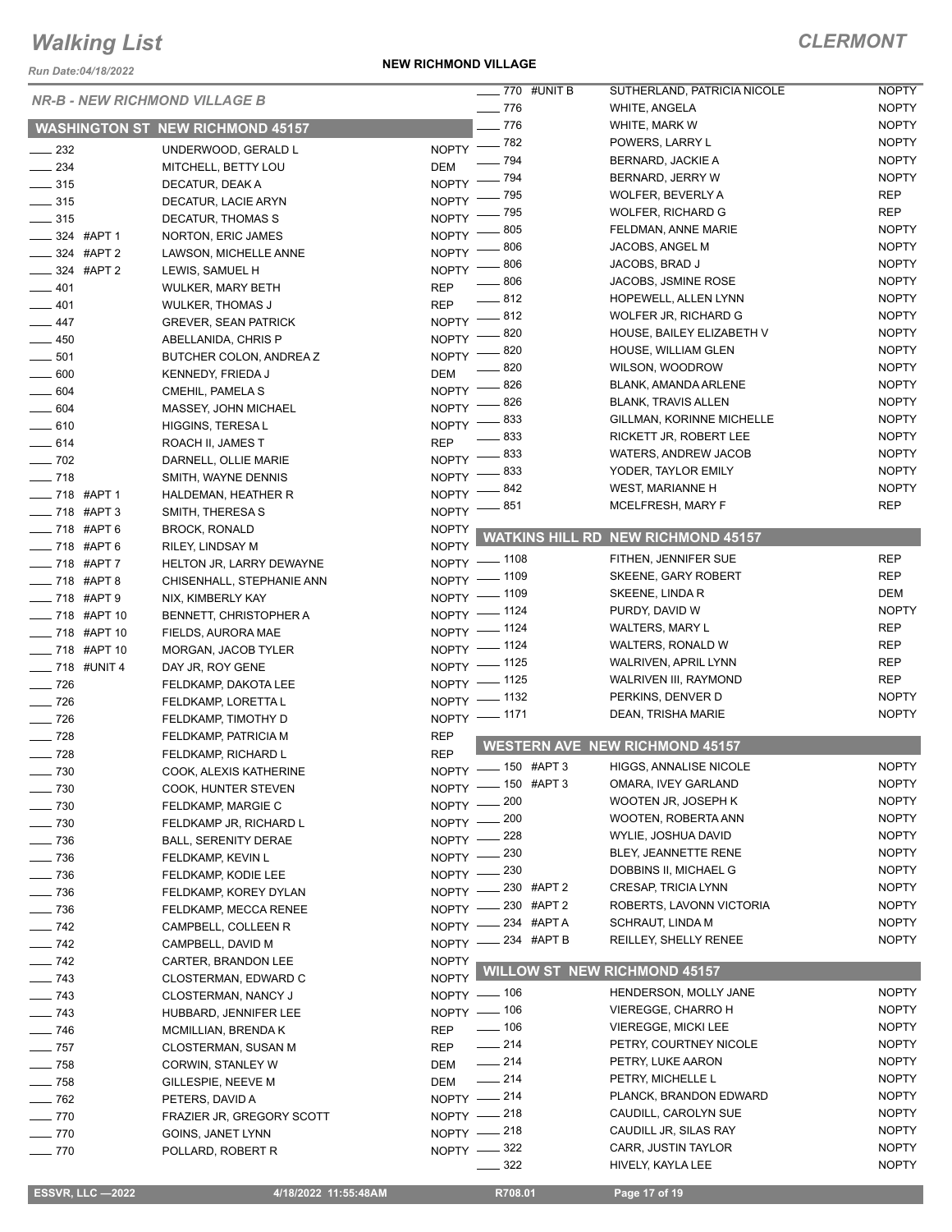*Run Date:04/18/2022*

#### **NEW RICHMOND VILLAGE**

|                          | <b>NR-B - NEW RICHMOND VILLAGE B</b>    |                    | ____ 770 #UNIT B   | SUTHERLAND, PATRICIA NICOLE                   | <b>NOPTY</b>               |
|--------------------------|-----------------------------------------|--------------------|--------------------|-----------------------------------------------|----------------------------|
|                          |                                         |                    | $- 776$            | <b>WHITE, ANGELA</b>                          | <b>NOPTY</b>               |
|                          | <b>WASHINGTON ST NEW RICHMOND 45157</b> |                    | $-776$             | WHITE, MARK W                                 | <b>NOPTY</b>               |
| $\frac{1}{2}$ 232        | UNDERWOOD, GERALD L                     |                    | NOPTY -82          | POWERS, LARRY L                               | <b>NOPTY</b>               |
| $\frac{234}{2}$          | MITCHELL, BETTY LOU                     | <b>DEM</b>         | $-794$             | BERNARD, JACKIE A                             | <b>NOPTY</b>               |
| $\frac{1}{2}$ 315        | DECATUR, DEAK A                         |                    | NOPTY - 794        | BERNARD, JERRY W                              | <b>NOPTY</b>               |
| $\frac{1}{2}$ 315        | DECATUR, LACIE ARYN                     | NOPTY -            | _ 795              | WOLFER, BEVERLY A                             | <b>REP</b>                 |
| $\frac{1}{2}$ 315        | DECATUR, THOMAS S                       | <b>NOPTY</b>       | 795                | WOLFER, RICHARD G                             | <b>REP</b>                 |
| $\frac{1}{2}$ 324 #APT 1 | <b>NORTON, ERIC JAMES</b>               | <b>NOPTY</b>       | 805                | FELDMAN, ANNE MARIE                           | <b>NOPTY</b>               |
| ____ 324 #APT 2          | LAWSON, MICHELLE ANNE                   | NOPTY <sup>-</sup> | 806                | JACOBS, ANGEL M                               | <b>NOPTY</b>               |
| $\frac{1}{2}$ 324 #APT 2 | LEWIS, SAMUEL H                         | $NOPTY$ -          | 806                | JACOBS, BRAD J                                | <b>NOPTY</b>               |
| $-401$                   | <b>WULKER, MARY BETH</b>                | <b>REP</b>         | $- 806$            | JACOBS, JSMINE ROSE                           | <b>NOPTY</b>               |
| $-401$                   | <b>WULKER, THOMAS J</b>                 | <b>REP</b>         | $-812$             | HOPEWELL, ALLEN LYNN                          | <b>NOPTY</b>               |
| $-447$                   | <b>GREVER, SEAN PATRICK</b>             |                    | NOPTY -812         | WOLFER JR, RICHARD G                          | <b>NOPTY</b>               |
| $-450$                   | ABELLANIDA, CHRIS P                     | <b>NOPTY</b>       | 820                | <b>HOUSE, BAILEY ELIZABETH V</b>              | <b>NOPTY</b>               |
| $\frac{1}{2}$ 501        | BUTCHER COLON, ANDREA Z                 | <b>NOPTY</b>       | 820                | HOUSE, WILLIAM GLEN                           | <b>NOPTY</b>               |
| $\frac{1}{2}$ 600        | KENNEDY, FRIEDA J                       | DEM                | 820                | WILSON, WOODROW                               | <b>NOPTY</b>               |
| $- 604$                  | CMEHIL, PAMELA S                        | <b>NOPTY</b>       | 826                | BLANK, AMANDA ARLENE                          | <b>NOPTY</b>               |
| $\frac{1}{2}$ 604        | MASSEY, JOHN MICHAEL                    | <b>NOPTY</b>       | 826                | <b>BLANK, TRAVIS ALLEN</b>                    | <b>NOPTY</b>               |
| $-610$                   | HIGGINS, TERESA L                       | NOPTY <sup>-</sup> | 833                | GILLMAN, KORINNE MICHELLE                     | <b>NOPTY</b>               |
| $-614$                   | ROACH II, JAMES T                       | <b>REP</b>         | 833                | RICKETT JR, ROBERT LEE                        | <b>NOPTY</b>               |
| $\frac{1}{2}$ 702        | DARNELL, OLLIE MARIE                    | NOPTY <sup>-</sup> | 833                | WATERS, ANDREW JACOB                          | <b>NOPTY</b>               |
| $\frac{1}{2}$ 718        | SMITH, WAYNE DENNIS                     | NOPTY <sup>-</sup> | 833                | YODER, TAYLOR EMILY                           | <b>NOPTY</b>               |
| -8 #APT 1                | HALDEMAN, HEATHER R                     | NOPTY <sup>-</sup> | 842                | WEST, MARIANNE H                              | <b>NOPTY</b>               |
| ___ 718 #APT 3           | SMITH, THERESA S                        |                    | NOPTY -851         | MCELFRESH, MARY F                             | <b>REP</b>                 |
| $- 718$ #APT 6           | <b>BROCK, RONALD</b>                    | <b>NOPTY</b>       |                    | <b>WATKINS HILL RD NEW RICHMOND 45157</b>     |                            |
| ___ 718 #APT 6           | RILEY, LINDSAY M                        | <b>NOPTY</b>       |                    |                                               |                            |
| $- 718$ #APT 7           | HELTON JR, LARRY DEWAYNE                |                    | NOPTY - 1108       | FITHEN, JENNIFER SUE                          | <b>REP</b>                 |
| $- 718$ #APT 8           | CHISENHALL, STEPHANIE ANN               | $N$ OPTY -         | $-1109$            | <b>SKEENE, GARY ROBERT</b>                    | <b>REP</b>                 |
| -8 #APT 9                | NIX, KIMBERLY KAY                       |                    | NOPTY - 1109       | SKEENE, LINDA R                               | <b>DEM</b><br><b>NOPTY</b> |
| <b>____ 718 #APT 10</b>  | <b>BENNETT, CHRISTOPHER A</b>           |                    | NOPTY - 1124       | PURDY, DAVID W                                |                            |
| ___ 718 #APT 10          | FIELDS, AURORA MAE                      |                    | NOPTY - 1124       | WALTERS, MARY L                               | <b>REP</b>                 |
| ____ 718 #APT 10         | MORGAN, JACOB TYLER                     |                    | NOPTY - 1124       | WALTERS, RONALD W                             | <b>REP</b><br><b>REP</b>   |
| $- 718$ #UNIT 4          | DAY JR, ROY GENE                        |                    | NOPTY - 1125       | WALRIVEN, APRIL LYNN                          | <b>REP</b>                 |
| $\frac{1}{2}$ 726        | FELDKAMP, DAKOTA LEE                    |                    | NOPTY - 1125       | WALRIVEN III, RAYMOND                         | <b>NOPTY</b>               |
| $\frac{1}{2}$ 726        | FELDKAMP, LORETTA L                     |                    | NOPTY - 1132       | PERKINS, DENVER D<br>DEAN, TRISHA MARIE       | <b>NOPTY</b>               |
| $\frac{1}{2}$ 726        | FELDKAMP, TIMOTHY D                     |                    | NOPTY - 1171       |                                               |                            |
| $- 728$                  | FELDKAMP, PATRICIA M                    | <b>REP</b>         |                    | <b>WESTERN AVE NEW RICHMOND 45157</b>         |                            |
| $\frac{1}{2}$ 728        | FELDKAMP, RICHARD L                     | <b>REP</b>         |                    |                                               | <b>NOPTY</b>               |
| $- 730$                  | COOK, ALEXIS KATHERINE                  |                    | NOPTY - 150 #APT 3 | HIGGS, ANNALISE NICOLE<br>OMARA, IVEY GARLAND | <b>NOPTY</b>               |
| $=730$                   | COOK, HUNTER STEVEN                     |                    | NOPTY - 150 #APT 3 | WOOTEN JR, JOSEPH K                           | <b>NOPTY</b>               |
| $- 730$                  | FELDKAMP, MARGIE C                      |                    | NOPTY - 200        | WOOTEN, ROBERTA ANN                           | <b>NOPTY</b>               |
| $- 730$                  | FELDKAMP JR, RICHARD L                  |                    | NOPTY - 200        | WYLIE, JOSHUA DAVID                           | <b>NOPTY</b>               |
| $- 736$                  | <b>BALL, SERENITY DERAE</b>             |                    | NOPTY -228<br>230  | BLEY, JEANNETTE RENE                          | <b>NOPTY</b>               |
| $- 736$                  | FELDKAMP, KEVIN L                       | $NOPTY$ -          | _ 230              | DOBBINS II, MICHAEL G                         | <b>NOPTY</b>               |
| $\frac{1}{2}$ 736        | FELDKAMP, KODIE LEE                     | $N$ OPTY $-$       | NOPTY -230 #APT 2  | CRESAP, TRICIA LYNN                           | <b>NOPTY</b>               |
| $\frac{1}{2}$ 736        | FELDKAMP, KOREY DYLAN                   |                    | NOPTY -230 #APT 2  | ROBERTS, LAVONN VICTORIA                      | <b>NOPTY</b>               |
| $\frac{1}{2}$ 736        | FELDKAMP, MECCA RENEE                   |                    | NOPTY -234 #APTA   | SCHRAUT, LINDA M                              | <b>NOPTY</b>               |
| $- 742$                  | CAMPBELL, COLLEEN R                     |                    | NOPTY -234 #APT B  | REILLEY, SHELLY RENEE                         | <b>NOPTY</b>               |
| $\frac{1}{2}$ 742        | CAMPBELL, DAVID M                       |                    |                    |                                               |                            |
| $\frac{1}{2}$ 742        | CARTER, BRANDON LEE                     | <b>NOPTY</b>       |                    | <b>WILLOW ST NEW RICHMOND 45157</b>           |                            |
| $\frac{1}{2}$ 743        | CLOSTERMAN, EDWARD C                    | NOPTY              | NOPTY - 106        | HENDERSON, MOLLY JANE                         | <b>NOPTY</b>               |
| $\sim$ 743               | CLOSTERMAN, NANCY J                     |                    | NOPTY - 106        | VIEREGGE, CHARRO H                            | <b>NOPTY</b>               |
| $\frac{1}{2}$ 743        | HUBBARD, JENNIFER LEE                   |                    | $\frac{1}{2}$ 106  | VIEREGGE, MICKI LEE                           | <b>NOPTY</b>               |
| $\frac{1}{2}$ 746        | MCMILLIAN, BRENDA K                     | <b>REP</b>         | $-214$             | PETRY, COURTNEY NICOLE                        | <b>NOPTY</b>               |
| $\frac{1}{2}$ 757        | CLOSTERMAN, SUSAN M                     | <b>REP</b>         | $-214$             | PETRY, LUKE AARON                             | <b>NOPTY</b>               |
| $- 758$                  | CORWIN, STANLEY W                       | DEM                | $-214$             | PETRY, MICHELLE L                             | <b>NOPTY</b>               |
| $- 758$                  | GILLESPIE, NEEVE M                      | DEM                | NOPTY -214         | PLANCK, BRANDON EDWARD                        | <b>NOPTY</b>               |
| $\frac{1}{2}$ 762        | PETERS, DAVID A                         |                    | NOPTY -218         | CAUDILL, CAROLYN SUE                          | <b>NOPTY</b>               |
| $- 770$                  | FRAZIER JR, GREGORY SCOTT               |                    | NOPTY - 218        | CAUDILL JR, SILAS RAY                         | <b>NOPTY</b>               |
| $- 770$                  | GOINS, JANET LYNN                       |                    | NOPTY -822         | CARR, JUSTIN TAYLOR                           | <b>NOPTY</b>               |
| $- 770$                  | POLLARD, ROBERT R                       |                    | 322                | HIVELY, KAYLA LEE                             | <b>NOPTY</b>               |
|                          |                                         |                    |                    |                                               |                            |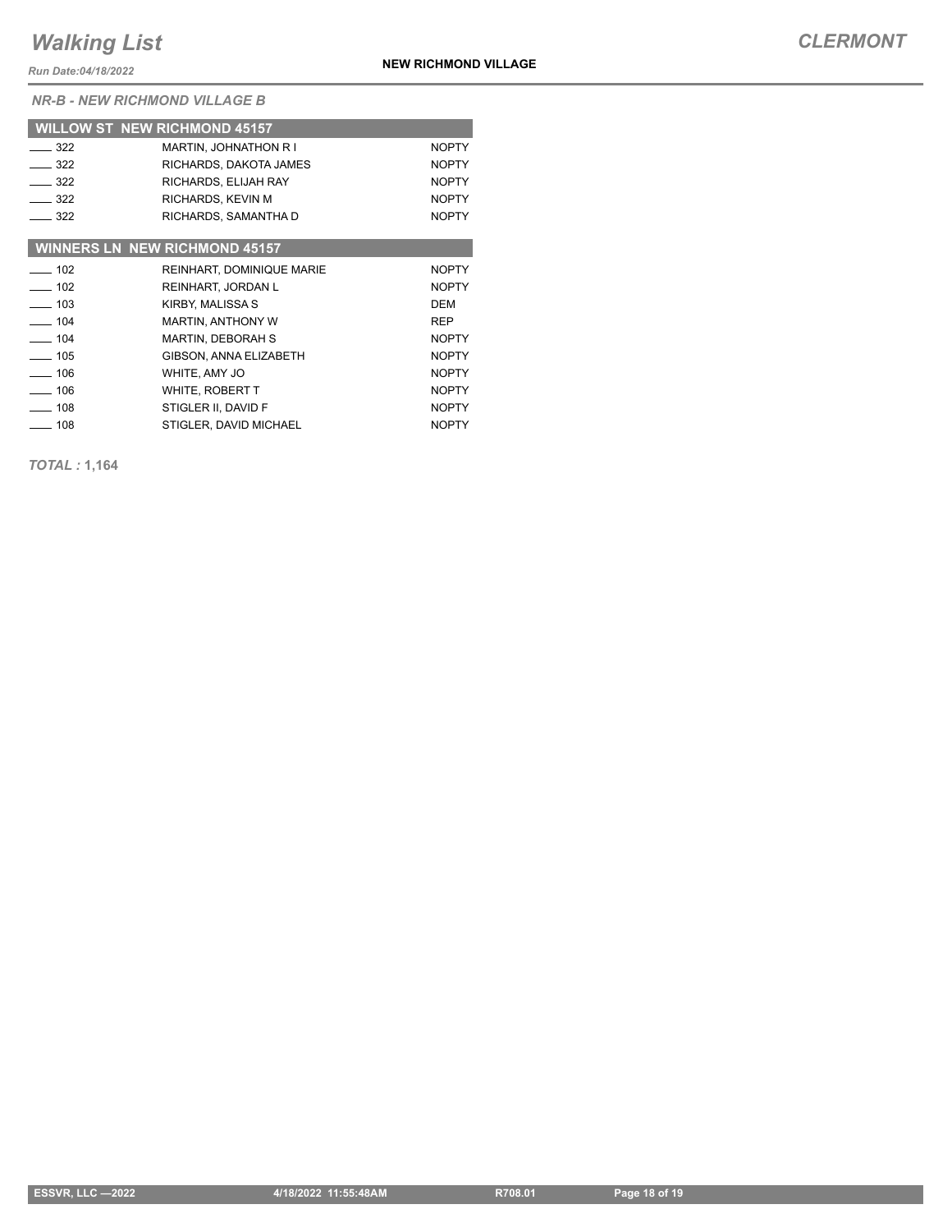*Run Date:04/18/2022*

*NR-B - NEW RICHMOND VILLAGE B*

|                   | <b>WILLOW ST NEW RICHMOND 45157</b>  |              |
|-------------------|--------------------------------------|--------------|
| $-322$            | <b>MARTIN, JOHNATHON R I</b>         | <b>NOPTY</b> |
| $-322$            | RICHARDS, DAKOTA JAMES               | <b>NOPTY</b> |
| $-322$            | RICHARDS, ELIJAH RAY                 | <b>NOPTY</b> |
| 322               | RICHARDS, KEVIN M                    | <b>NOPTY</b> |
| $\equiv$ 322      | RICHARDS, SAMANTHA D                 | <b>NOPTY</b> |
|                   |                                      |              |
|                   | <b>WINNERS LN NEW RICHMOND 45157</b> |              |
| $\equiv$ 102      | <b>REINHART, DOMINIQUE MARIE</b>     | <b>NOPTY</b> |
| $\frac{1}{2}$ 102 | REINHART, JORDAN L                   | <b>NOPTY</b> |
| $\sim$ 103        | KIRBY, MALISSA S                     | <b>DEM</b>   |
| $-104$            | <b>MARTIN, ANTHONY W</b>             | <b>REP</b>   |
| $\sim$ 104        | <b>MARTIN, DEBORAH S</b>             | <b>NOPTY</b> |
| $\sim$ 105        | <b>GIBSON, ANNA ELIZABETH</b>        | <b>NOPTY</b> |
| $-106$            | WHITE, AMY JO                        | <b>NOPTY</b> |
| $-106$            | WHITE, ROBERT T                      | <b>NOPTY</b> |
| $-108$            | STIGLER II, DAVID F                  | <b>NOPTY</b> |
| 108               | STIGLER, DAVID MICHAEL               | <b>NOPTY</b> |

*TOTAL :* **1,164**